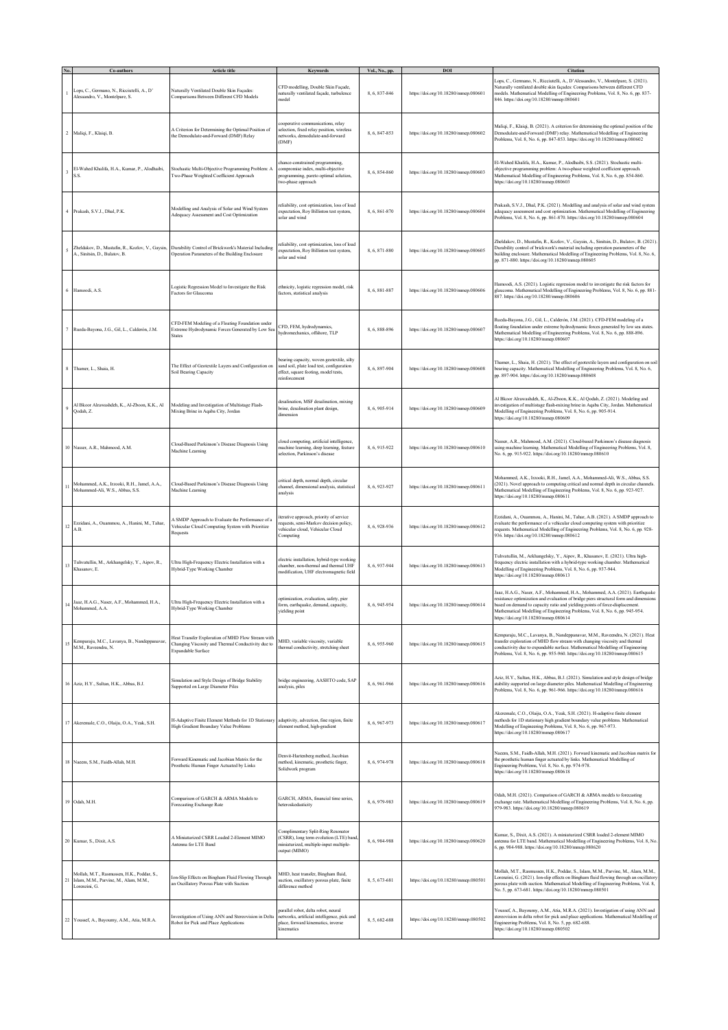|                |                                                                                                      | Article title                                                                                                                                           | Keywords                                                                                                                                        | Vol., No., pp. | DOI                                  | Citation                                                                                                                                                                                                                                                                                                                                                                    |
|----------------|------------------------------------------------------------------------------------------------------|---------------------------------------------------------------------------------------------------------------------------------------------------------|-------------------------------------------------------------------------------------------------------------------------------------------------|----------------|--------------------------------------|-----------------------------------------------------------------------------------------------------------------------------------------------------------------------------------------------------------------------------------------------------------------------------------------------------------------------------------------------------------------------------|
|                | .ops, C., Germano, N., Ricciutelli, A., D'<br>Alessandro, V., Montelpare, S.                         | Naturally Ventilated Double Skin Façades:<br>Comparisons Between Different CFD Models                                                                   | CFD modelling, Double Skin Façade,<br>naturally ventilated façade, turbulence<br>nodel                                                          | 8, 6, 837-846  | https://doi.org/10.18280/mmep.080601 | ops, C., Germano, N., Ricciutelli, A., D'Alessandro, V., Montelpare, S. (2021).<br>Vaturally ventilated double skin façades: Comparisons between different CFD<br>nodels. Mathematical Modelling of Engineering Problems, Vol. 8, No. 6, pp. 837-<br>46. https://doi.org/10.18280/mmep.080601                                                                               |
| $\overline{a}$ | Maliqi, F., Klaiqi, B.                                                                               | A Criterion for Determining the Optimal Position of<br>the Demodulate-and-Forward (DMF) Relay                                                           | cooperative communications, relay<br>selection, fixed relay position, wireless<br>tetworks, demodulate-and-forward<br>(DMF)                     | 8, 6, 847-853  | https://doi.org/10.18280/mmep.080602 | Maliqi, F., Klaiqi, B. (2021). A criterion for determining the optimal position of the<br>Demodulate-and-Forward (DMF) relay. Mathematical Modelling of Engineering<br>Problems, Vol. 8, No. 6, pp. 847-853. https://doi.org/10.18280/mmep.080602                                                                                                                           |
|                | El-Wahed Khalifa, H.A., Kumar, P., Alodhaibi,                                                        | Stochastic Multi-Objective Programming Problem: A<br>Two-Phase Weighted Coefficient Approach                                                            | chance-constrained programming,<br>compromise index, multi-objective<br>programming, pareto optimal solution,<br>two-phase approach             | 8, 6, 854-860  | https://doi.org/10.18280/mmep.080603 | El-Wahed Khalifa, H.A., Kumar, P., Alodhaibi, S.S. (2021). Stochastic multi-<br>bjective programming problem: A two-phase weighted coefficient approach.<br>Mathematical Modelling of Engineering Problems, Vol. 8, No. 6, pp. 854-860.<br>https://doi.org/10.18280/mmep.080603                                                                                             |
|                | Prakash, S.V.J., Dhal, P.K.                                                                          | Modelling and Analysis of Solar and Wind System<br>Adequacy Assessment and Cost Optimization                                                            | reliability, cost optimization, loss of load<br>expectation, Roy Billinton test system,<br>solar and wind                                       | 8, 6, 861-870  | https://doi.org/10.18280/mmep.080604 | Prakash, S.V.J., Dhal, P.K. (2021). Modelling and analysis of solar and wind system<br>adequacy assessment and cost optimization. Mathematical Modelling of Engineering<br>Problems, Vol. 8, No. 6, pp. 861-870. https://doi.org/10.18280/mmep.080604                                                                                                                       |
|                | A., Sinitsin, D., Bulatov, B.                                                                        | Zheldakov, D., Mustafin, R., Kozlov, V., Gaysin, Durability Control of Brickwork's Material Including<br>Operation Parameters of the Building Enclosure | eliability, cost optimization, loss of load<br>expectation, Roy Billinton test system,<br>solar and wind                                        | 8, 6, 871-880  | https://doi.org/10.18280/mmep.080605 | Zheldakov, D., Mustafin, R., Kozlov, V., Gaysin, A., Sinitsin, D., Bulatov, B. (2021)<br>Durability control of brickwork's material including operation parameters of the<br>vuilding enclosure. Mathematical Modelling of Engineering Problems, Vol. 8, No. 6,<br>pp. 871-880. https://doi.org/10.18280/mmcp.080605                                                        |
|                | 6 Hamoodi, A.S.                                                                                      | Logistic Regression Model to Investigate the Risk<br>Factors for Glaucoma                                                                               | ethnicity, logistic regression model, risk<br>factors, statistical analysis                                                                     | 8, 6, 881-887  | https://doi.org/10.18280/mmep.080606 | Hamoodi, A.S. (2021). Logistic regression model to investigate the risk factors for<br>glaucoma. Mathematical Modelling of Engineering Problems, Vol. 8, No. 6, pp. 881-<br>887. https://doi.org/10.18280/mmep.080606                                                                                                                                                       |
|                | Rueda-Bayona, J.G., Gil, L., Calderón, J.M.                                                          | CFD-FEM Modeling of a Floating Foundation under<br>Extreme Hydrodynamic Forces Generated by Low Se<br><b>States</b>                                     | CFD, FEM, hydrodynamics,<br>vydromechanics, offshore, TLP                                                                                       | 8, 6, 888-896  | https://doi.org/10.18280/mmcp.080607 | Rueda-Bayona, J.G., Gil, L., Calderón, J.M. (2021). CFD-FEM modeling of a<br>loating foundation under extreme hydrodynamic forces generated by low sea states.<br>Mathematical Modelling of Engineering Problems, Vol. 8, No. 6, pp. 888-896.<br>https://doi.org/10.18280/mmep.080607                                                                                       |
|                | Thamer, L., Shaia, H.                                                                                | The Effect of Geotextile Layers and Configuration on<br>Soil Bearing Capacity                                                                           | bearing capacity, woven geotextile, silty<br>sand soil, plate load test, configuration<br>effect, square footing, model tests,<br>reinforcement | 8, 6, 897-904  | https://doi.org/10.18280/mmep.080608 | Thamer, L., Shaia, H. (2021). The effect of geotextile layers and configuration on soil<br>bearing capacity. Mathematical Modelling of Engineering Problems, Vol. 8, No. 6,<br>pp. 897-904. https://doi.org/10.18280/mmcp.080608                                                                                                                                            |
|                | Al Bkoor Alrawashdeh, K., Al-Zboon, K.K., Al<br>Qodah, Z.                                            | Modeling and Investigation of Multistage Flash-<br>Mixing Brine in Aqaba City, Jordan                                                                   | desalination, MSF desalination, mixing<br>brine, desalination plant design,<br>dimension                                                        | 8, 6, 905-914  | https://doi.org/10.18280/mmep.080609 | Al Bkoor Alrawashdeh, K., Al-Zboon, K.K., Al Qodah, Z. (2021). Modeling and<br>avestigation of multistage flash-mixing brine in Aqaba City, Jordan. Mathematical<br>Modelling of Engineering Problems, Vol. 8, No. 6, pp. 905-914.<br>https://doi.org/10.18280/mmep.080609                                                                                                  |
|                | 10 Nasser, A.R., Mahmood, A.M.                                                                       | Cloud-Based Parkinson's Disease Diagnosis Using<br>Machine Learning                                                                                     | cloud computing, artificial intelligence,<br>machine learning, deep learning, feature<br>selection, Parkinson's disease                         | 8, 6, 915-922  | https://doi.org/10.18280/mmep.080610 | Vasser, A.R., Mahmood, A.M. (2021). Cloud-based Parkinson's disease diagnosis<br>ising machine learning. Mathematical Modelling of Engineering Problems, Vol. 8,<br>No. 6, pp. 915-922. https://doi.org/10.18280/mmep.080610                                                                                                                                                |
| $\mathbf{1}$   | Mohammed, A.K., Irzooki, R.H., Jamel, A.A.,<br>Mohammed-Ali, W.S., Abbas, S.S.                       | Cloud-Based Parkinson's Disease Diagnosis Using<br>Machine Learning                                                                                     | critical depth, normal depth, circular<br>channel, dimensional analysis, statistical<br>analysis                                                | 8, 6, 923-927  | https://doi.org/10.18280/mmep.080611 | Mohammed, A.K., Irzooki, R.H., Jamel, A.A., Mohammed-Ali, W.S., Abbas, S.S.<br>(2021). Novel approach to computing critical and normal depth in circular channels<br>Mathematical Modelling of Engineering Problems, Vol. 8, No. 6, pp. 923-927.<br>https://doi.org/10.18280/mmep.080611                                                                                    |
| $12$           | Ezzidani, A., Ouammou, A., Hanini, M., Tahar,<br>A.B.                                                | A SMDP Approach to Evaluate the Performance of a<br>Vehicular Cloud Computing System with Prioritize<br>Requests                                        | terative approach, priority of service<br>equests, semi-Markov decision policy,<br>rehicular cloud, Vehicular Cloud<br>Computing                | 8, 6, 928-936  | https://doi.org/10.18280/mmep.080612 | Ezzidani, A., Ouammou, A., Hanini, M., Tahar, A.B. (2021). A SMDP approach to<br>evaluate the performance of a vehicular cloud computing system with prioritize<br>equests. Mathematical Modelling of Engineering Problems, Vol. 8, No. 6, pp. 928-<br>936. https://doi.org/10.18280/mmep.080612                                                                            |
| 13             | Tuhvatullin, M., Arkhangelsky, Y., Aipov, R.,<br>Khasanov, E.                                        | Ultra High-Frequency Electric Installation with a<br>Hybrid-Type Working Chamber                                                                        | electric installation, hybrid-type working<br>chamber, non-thermal and thermal UHF<br>modification, UHF electromagnetic field                   | 8, 6, 937-944  | https://doi.org/10.18280/mmep.080613 | Fuhvatullin, M., Arkhangelsky, Y., Aipov, R., Khasanov, E. (2021). Ultra high-<br>requency electric installation with a hybrid-type working chamber. Mathematical<br>Modelling of Engineering Problems, Vol. 8, No. 6, pp. 937-944.<br>ttps://doi.org/10.18280/mmep.080613                                                                                                  |
| $14\,$         | Jaaz, H.A.G., Naser, A.F., Mohammed, H.A.,<br>Mohammed, A.A.                                         | Ultra High-Frequency Electric Installation with a<br>Hybrid-Type Working Chamber                                                                        | optimization, evaluation, safety, pier<br>form, earthquake, demand, capacity,<br>yielding point                                                 | 8, 6, 945-954  | https://doi.org/10.18280/mmep.080614 | laaz, H.A.G., Naser, A.F., Mohammed, H.A., Mohammed, A.A. (2021). Earthquake<br>esistance optimization and evaluation of bridge piers structural form and dimensions<br>based on demand to capacity ratio and yielding points of force-displacement.<br>Mathematical Modelling of Engineering Problems, Vol. 8, No. 6, pp. 945-954.<br>https://doi.org/10.18280/mmcp.080614 |
| 15             | Kemparaju, M.C., Lavanya, B., Nandeppanavar,<br>M.M., Raveendra, N.                                  | Heat Transfer Exploration of MHD Flow Stream with<br>Changing Viscosity and Thermal Conductivity due to<br>Expandable Surface                           | MHD, variable viscosity, variable<br>thermal conductivity, stretching sheet                                                                     | 8, 6, 955-960  | https://doi.org/10.18280/mmep.080615 | Kemparaju, M.C., Lavanya, B., Nandeppanavar, M.M., Raveendra, N. (2021). Heat<br>transfer exploration of MHD flow stream with changing viscosity and thermal<br>onductivity due to expandable surface. Mathematical Modelling of Engineering<br>Problems, Vol. 8, No. 6, pp. 955-960. https://doi.org/10.18280/mmep.080615                                                  |
|                | 16 Aziz, H.Y., Sultan, H.K., Abbas, B.J.                                                             | Simulation and Style Design of Bridge Stability<br>Supported on Large Diameter Piles                                                                    | bridge engineering, AASHTO code, SAP<br>analysis, piles                                                                                         | 8, 6, 961-966  | https://doi.org/10.18280/mmep.080616 | Aziz, H.Y., Sultan, H.K., Abbas, B.J. (2021). Simulation and style design of bridge<br>stability supported on large diameter piles. Mathematical Modelling of Engineering<br>Problems, Vol. 8, No. 6, pp. 961-966. https://doi.org/10.18280/mmep.080616                                                                                                                     |
|                | 17 Akeremale, C.O., Olaiju, O.A., Yeak, S.H.                                                         | H-Adaptive Finite Element Methods for 1D Stationary<br>High Gradient Boundary Value Problems                                                            | adaptivity, advection, fine region, finite<br>element method, high-gradient                                                                     | 8, 6, 967-973  | https://doi.org/10.18280/mmep.080617 | Akeremale, C.O., Olaiju, O.A., Yeak, S.H. (2021). H-adaptive finite element<br>nethods for 1D stationary high gradient boundary value problems. Mathematical<br>Modelling of Engineering Problems, Vol. 8, No. 6, pp. 967-973.<br>https://doi.org/10.18280/mmep.080617                                                                                                      |
|                | 18 Nacem, S.M., Faidh-Allah, M.H.                                                                    | Forward Kinematic and Jacobian Matrix for the<br>Prosthetic Human Finger Actuated by Links                                                              | Denvit-Hartenberg method, Jacobian<br>method, kinematic, prosthetic finger,<br>Solidwork program                                                | 8, 6, 974-978  | https://doi.org/10.18280/mmep.080618 | laeem, S.M., Faidh-Allah, M.H. (2021). Forward kinematic and Jacobian matrix for<br>he prosthetic human finger actuated by links. Mathematical Modelling of<br>ingineering Problems, Vol. 8, No. 6, pp. 974-978.<br>https://doi.org/10.18280/mmep.080618                                                                                                                    |
|                | 19 Odah, M.H.                                                                                        | Comparison of GARCH & ARMA Models to<br>Forecasting Exchange Rate                                                                                       | GARCH, ARMA, financial time series,<br>heteroskedasticity                                                                                       | 8, 6, 979-983  | https://doi.org/10.18280/mmep.080619 | Odah, M.H. (2021). Comparison of GARCH & ARMA models to forecasting<br>exchange rate. Mathematical Modelling of Engineering Problems, Vol. 8, No. 6, pp.<br>079-983. https://doi.org/10.18280/mmep.080619                                                                                                                                                                   |
|                | 20 Kumar, S., Dixit, A.S.                                                                            | A Miniaturized CSRR Loaded 2-Element MIMO<br>Antenna for LTE Band                                                                                       | Complimentary Split-Ring Resonator<br>(CSRR), long term evolution (LTE) band<br>miniaturized, multiple-input multiple-<br>output (MIMO)         | 8, 6, 984-988  | https://doi.org/10.18280/mmep.080620 | Kumar, S., Dixit, A.S. (2021). A miniaturized CSRR loaded 2-element MIMO<br>antenna for LTE band. Mathematical Modelling of Engineering Problems, Vol. 8, No.<br>5, pp. 984-988. https://doi.org/10.18280/mmep.080620                                                                                                                                                       |
| 21             | Mollah, M.T., Rasmussen, H.K., Poddar, S.,<br>Islam, M.M., Parvine, M., Alam, M.M.,<br>Lorenzini, G. | Ion-Slip Effects on Bingham Fluid Flowing Through<br>an Oscillatory Porous Plate with Suction                                                           | MHD, heat transfer, Bingham fluid,<br>suction, oscillatory porous plate, finite<br>difference method                                            | 8.5.673-681    | https://doi.org/10.18280/mmep.080501 | Mollah, M.T., Rasmussen, H.K., Poddar, S., Islam, M.M., Parvine, M., Alam, M.M.,<br>orenzini, G. (2021). Ion-slip effects on Bingham fluid flowing through an oscillatory<br>orous plate with suction. Mathematical Modelling of Engineering Problems, Vol. 8,<br>No. 5, pp. 673-681. https://doi.org/10.18280/mmep.080501                                                  |
|                | 22 Youssef, A., Bayoumy, A.M., Atia, M.R.A.                                                          | Investigation of Using ANN and Stereovision in Delta<br>Robot for Pick and Place Applications                                                           | arallel robot, delta robot, neural<br>networks, artificial intelligence, pick and<br>place, forward kinematics, inverse<br>inematics            | 8, 5, 682-688  | https://doi.org/10.18280/mmep.080502 | Youssef, A., Bayoumy, A.M., Atia, M.R.A. (2021). Investigation of using ANN and<br>tereovision in delta robot for pick and place applications. Mathematical Modelling of<br>Engineering Problems, Vol. 8, No. 5, pp. 682-688.<br>ttps://doi.org/10.18280/mmep.080502                                                                                                        |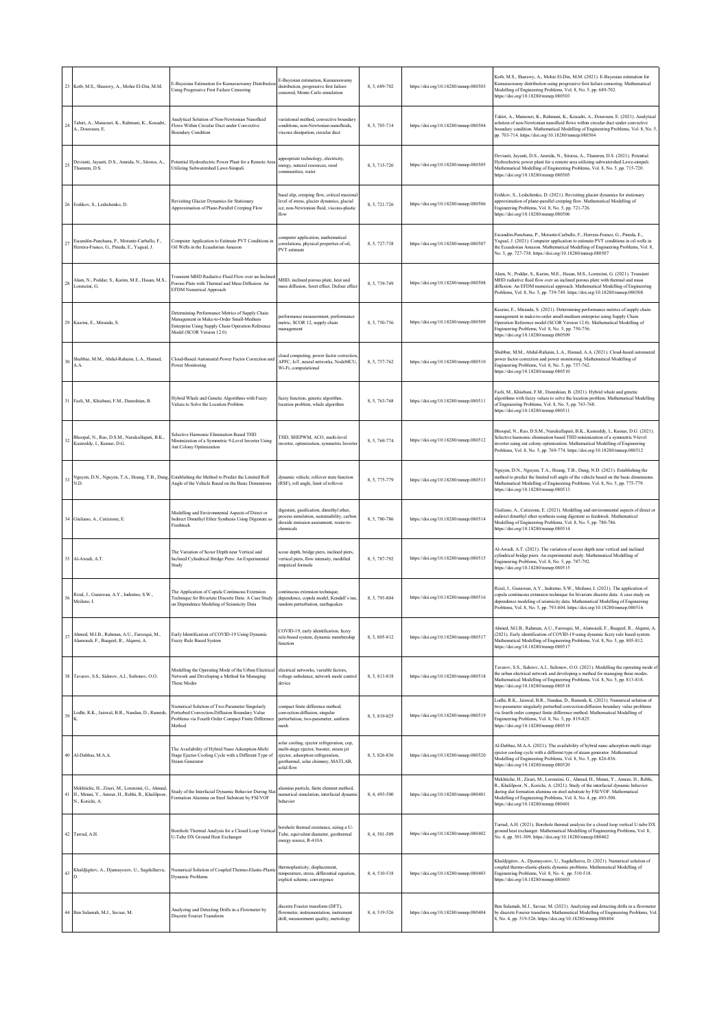| 23     | Kotb, M.S., Sharawy, A., Mohie El-Din, M.M.                                                                            | E-Bayesian Estimation for Kumaraswamy Distributio<br>Using Progressive First Failure Censoring                                                                                | E-Bayesian estimation, Kumaraswamy<br>distribution, progressive first failure<br>ensored, Monte Carlo simulation                                                              | 8, 5, 689-702 | https://doi.org/10.18280/mmep.080503 | Kotb, M.S., Sharawy, A., Mohie El-Din, M.M. (2021). E-Bayesian estimation for<br>Kumaraswamy distribution using progressive first failure censoring. Mathematical<br>Modelling of Engineering Problems, Vol. 8, No. 5, pp. 689-702.<br>https://doi.org/10.18280/mmep.080503                                                                                   |
|--------|------------------------------------------------------------------------------------------------------------------------|-------------------------------------------------------------------------------------------------------------------------------------------------------------------------------|-------------------------------------------------------------------------------------------------------------------------------------------------------------------------------|---------------|--------------------------------------|---------------------------------------------------------------------------------------------------------------------------------------------------------------------------------------------------------------------------------------------------------------------------------------------------------------------------------------------------------------|
| 24     | Tahiri, A., Mansouri, K., Rahmani, K., Kouadri,<br>A., Douroum, E.                                                     | Analytical Solution of Non-Newtonian Nanofluid<br>Flows Within Circular Duct under Convective<br><b>Boundary Condition</b>                                                    | ariational method, convective boundary<br>onditions, non-Newtonian nanofluids,<br>viscous dissipation, circular duct                                                          | 8, 5, 703-714 | https://doi.org/10.18280/mmep.080504 | Tahiri, A., Mansouri, K., Rahmani, K., Kouadri, A., Douroum, E. (2021). Analytical<br>solution of non-Newtonian nanofluid flows within circular duct under convective<br>boundary condition. Mathematical Modelling of Engineering Problems, Vol. 8, No. 5<br>pp. 703-714. https://doi.org/10.18280/mmep.080504                                               |
| 25     | Devianti, Jayanti, D.S., Amrida, N., Sitorus, A.,<br>Thamren, D.S.                                                     | Potential Hydroelectric Power Plant for a Remote Area<br>Utilizing Subwatershed Lawe-Simpali                                                                                  | appropriate technology, electricity,<br>energy, natural resources, rural<br>communities, water                                                                                | 8.5.715-720   | https://doi.org/10.18280/mmep.080505 | Devianti, Jayanti, D.S., Amrida, N., Sitorus, A., Thamren, D.S. (2021). Potential<br>Hydroelectric power plant for a remote area utilizing subwatershed Lawe-simpali.<br>Mathematical Modelling of Engineering Problems, Vol. 8, No. 5, pp. 715-720.<br>https://doi.org/10.18280/mmep.080505                                                                  |
| 26     | Ershkov, S., Leshchenko, D.                                                                                            | Revisiting Glacier Dynamics for Stationary<br>Approximation of Plane-Parallel Creeping Flow                                                                                   | basal slip, creeping flow, critical maximal<br>level of stress, glacier dynamics, glacial<br>ice, non-Newtonian fluid, viscous-plastic<br>flow                                | 8, 5, 721-726 | https://doi.org/10.18280/mmep.080506 | Ershkov, S., Leshchenko, D. (2021). Revisiting glacier dynamics for stationary<br>approximation of plane-parallel creeping flow. Mathematical Modelling of<br>Engineering Problems, Vol. 8, No. 5, pp. 721-726.<br>https://doi.org/10.18280/mmep.080506                                                                                                       |
| 27     | Escandón-Panchana, P., Morante-Carballo, F.,<br>Herrera-Franco, G., Pineda, E., Yagual, J.                             | Computer Application to Estimate PVT Conditions in<br>Oil Wells in the Ecuadorian Amazon                                                                                      | computer application, mathematical<br>correlations, physical properties of oil,<br>PVT estimate                                                                               | 8, 5, 727-738 | https://doi.org/10.18280/mmcp.080507 | Escandón-Panchana, P., Morante-Carballo, F., Herrera-Franco, G., Pineda, E.,<br>Yagual, J. (2021). Computer application to estimate PVT conditions in oil wells in<br>the Ecuadorian Amazon. Mathematical Modelling of Engineering Problems, Vol. 8,<br>No. 5, pp. 727-738. https://doi.org/10.18280/mmep.080507                                              |
| 28     | Alam, N., Poddar, S., Karim, M.E., Hasan, M.S.,<br>Lorenzini, G.                                                       | Transient MHD Radiative Fluid Flow over an Incline<br>Porous Plate with Thermal and Mass Diffusion: An<br>EFDM Numerical Approach                                             | AHD, inclined porous plate, heat and<br>nass diffusion, Soret effect, Dufour effect                                                                                           | 8, 5, 739-749 | https://doi.org/10.18280/mmep.080508 | Alam, N., Poddar, S., Karim, M.E., Hasan, M.S., Lorenzini, G. (2021). Transient<br>MHD radiative fluid flow over an inclined porous plate with thermal and mass<br>diffusion: An EFDM numerical approach. Mathematical Modelling of Engineering<br>Problems, Vol. 8, No. 5, pp. 739-749. https://doi.org/10.18280/mmep.080508                                 |
| 29     | Kusrini, E., Miranda, S.                                                                                               | Determining Performance Metrics of Supply Chain<br>Management in Make-to-Order Small-Medium<br>Enterprise Using Supply Chain Operation Reference<br>Model (SCOR Version 12.0) | performance measurement, performance<br>metric, SCOR 12, supply chain<br>nanagement                                                                                           | 8, 5, 750-756 | https://doi.org/10.18280/mmep.080509 | Kusrini, E., Miranda, S. (2021). Determining performance metrics of supply chain<br>nanagement in make-to-order small-medium enterprise using Supply Chain<br>Operation Reference model (SCOR Version 12.0). Mathematical Modelling of<br>Engineering Problems, Vol. 8, No. 5, pp. 750-756.<br>https://doi.org/10.18280/mmep.080509                           |
| 30     | Shubbar, M.M., Abdul-Rahaim, L.A., Hamad,<br>A.A.                                                                      | Cloud-Based Automated Power Factor Correction and<br>Power Monitoring                                                                                                         | cloud computing, power factor correction<br>APFC, IoT, neural networks, NodeMCU,<br>Wi-Fi, computational                                                                      | 8.5.757-762   | https://doi.org/10.18280/mmep.080510 | Shubbar, M.M., Abdul-Rahaim, L.A., Hamad, A.A. (2021). Cloud-based automated<br>power factor correction and power monitoring. Mathematical Modelling of<br>Engineering Problems, Vol. 8, No. 5, pp. 757-762.<br>https://doi.org/10.18280/mmep.080510                                                                                                          |
| 31     | Fazli, M., Khiabani, F.M., Daneshian, B.                                                                               | Hybrid Whale and Genetic Algorithms with Fuzzy<br>Values to Solve the Location Problem                                                                                        | fuzzy function, generic algorithm,<br>location problem, whale algorithm                                                                                                       | 8, 5, 763-768 | https://doi.org/10.18280/mmep.080511 | Fazli, M., Khiabani, F.M., Daneshian, B. (2021). Hybrid whale and genetic<br>algorithms with fuzzy values to solve the location problem. Mathematical Modelling<br>of Engineering Problems, Vol. 8, No. 5, pp. 763-768.<br>https://doi.org/10.18280/mmep.080511                                                                                               |
| 32     | Bhoopal, N., Rao, D.S.M., Narukullapati, B.K.,<br>Kasireddy, I., Kumar, D.G.                                           | Selective Harmonic Elimination Based THD<br>Minimization of a Symmetric 9-Level Inverter Using<br>Ant Colony Optimization                                                     | THD, SHEPWM, ACO, multi-level<br>nverter, optimization, symmetric Inverter                                                                                                    | 8, 5, 769-774 | https://doi.org/10.18280/mmep.080512 | Bhoopal, N., Rao, D.S.M., Narukullapati, B.K., Kasireddy, I., Kumar, D.G. (2021).<br>Selective harmonic elimination based THD minimization of a symmetric 9-level<br>inverter using ant colony optimization. Mathematical Modelling of Engineering<br>Problems, Vol. 8, No. 5, pp. 769-774. https://doi.org/10.18280/mmep.080512                              |
| 33     | ND.                                                                                                                    | Nguyen, D.N., Nguyen, T.A., Hoang, T.B., Dang, Establishing the Method to Predict the Limited Roll<br>Angle of the Vehicle Based on the Basic Dimensions                      | dynamic vehicle, rollover state function<br>(RSF), roll angle, limit of rollover                                                                                              | 8, 5, 775-779 | https://doi.org/10.18280/mmep.080513 | Nguyen, D.N., Nguyen, T.A., Hoang, T.B., Dang, N.D. (2021). Establishing the<br>method to predict the limited roll angle of the vehicle based on the basic dimensions<br>Mathematical Modelling of Engineering Problems, Vol. 8, No. 5, pp. 775-779.<br>https://doi.org/10.18280/mmep.080513                                                                  |
| 34     | Giuliano, A., Catizzone, E.                                                                                            | Modelling and Environmental Aspects of Direct or<br>Indirect Dimethyl Ether Synthesis Using Digestate as<br>eedstock                                                          | ligestate, gasification, dimethyl ether,<br>rocess simulation, sustainability, carbon<br>lioxide emission assessment, waste-to-<br>chemicals                                  | 8, 5, 780-786 | https://doi.org/10.18280/mmep.080514 | Giuliano, A., Catizzone, E. (2021). Modelling and environmental aspects of direct or<br>indirect dimethyl ether synthesis using digestate as feedstock. Mathematical<br>Modelling of Engineering Problems, Vol. 8, No. 5, pp. 780-786.<br>https://doi.org/10.18280/mmep.080514                                                                                |
| 35     | Al-Awadi, A.T.                                                                                                         | The Variation of Scour Depth near Vertical and<br>Inclined Cylindrical Bridge Piers: An Experimental<br>Study                                                                 | cour depth, bridge piers, inclined piers,<br>ertical piers, flow intensity, modified<br>empirical formula                                                                     | 8, 5, 787-792 | https://doi.org/10.18280/mmep.080515 | Al-Awadi, A.T. (2021). The variation of scour depth near vertical and inclined<br>cylindrical bridge piers: An experimental study. Mathematical Modelling of<br>Engineering Problems, Vol. 8, No. 5, pp. 787-792.<br>https://doi.org/10.18280/mmep.080515                                                                                                     |
| 36     | Rizal, J., Gunawan, A.Y., Indratno, S.W.,<br>Meilano, I.                                                               | The Application of Copula Continuous Extension<br>Technique for Bivariate Discrete Data: A Case Study<br>on Dependence Modeling of Seismicity Data                            | ontinuous extension technique,<br>dependence, copula model, Kendall's tau.<br>andom perturbation, earthquakes                                                                 | 8.5.793-804   | https://doi.org/10.18280/mmep.080516 | Rizal, J., Gunawan, A.Y., Indratno, S.W., Meilano, I. (2021). The application of<br>copula continuous extension technique for bivariate discrete data: A case study on<br>dependence modeling of seismicity data. Mathematical Modelling of Engineering<br>Problems, Vol. 8, No. 5, pp. 793-804. https://doi.org/10.18280/mmep.080516                         |
| 37     | Ahmed, M.I.B., Rahman, A.U., Farooqui, M.,<br>Alamoudi, F., Baageel, R., Alqarni, A.                                   | Early Identification of COVID-19 Using Dynamic<br><b>Fuzzy Rule Based System</b>                                                                                              | COVID-19, early identification, fuzzy<br>rule-based system, dynamic membership<br>function                                                                                    | 8, 5, 805-812 | https://doi.org/10.18280/mmep.080517 | Ahmed, M.I.B., Rahman, A.U., Farooqui, M., Alamoudi, F., Baageel, R., Alqarni, A.<br>(2021). Early identification of COVID-19 using dynamic fuzzy rule based system.<br>Mathematical Modelling of Engineering Problems, Vol. 8, No. 5, pp. 805-812.<br>https://doi.org/10.18280/mmep.080517                                                                   |
| 38     | Tavarov, S.S., Sidorov, A.I., Sultonov, O.O.                                                                           | Modelling the Operating Mode of the Urban Electrical<br>Network and Developing a Method for Managing<br><b>These Modes</b>                                                    | electrical networks, variable factors,<br>voltage unbalance, network mode control<br>device                                                                                   | 8, 5, 813-818 | https://doi.org/10.18280/mmep.080518 | Tavarov, S.S., Sidorov, A.I., Sultonov, O.O. (2021). Modelling the operating mode of<br>the urban electrical network and developing a method for managing these modes.<br>Mathematical Modelling of Engineering Problems, Vol. 8, No. 5, pp. 813-818.<br>https://doi.org/10.18280/mmep.080518                                                                 |
| 39     | Lodhi, R.K., Jaiswal, B.R., Nandan, D., Ramesh,                                                                        | Numerical Solution of Two-Parameter Singularly<br>Perturbed Convection-Diffusion Boundary Value<br>Problems via Fourth Order Compact Finite Difference<br>Method              | ompact finite difference method,<br>onvection-diffusion, singular<br>perturbation, two-parameter, uniform<br>mesh                                                             | 8.5.819-825   | https://doi.org/10.18280/mmep.080519 | Lodhi, R.K., Jaiswal, B.R., Nandan, D., Ramesh, K. (2021). Numerical solution of<br>two-parameter singularly perturbed convection-diffusion boundary value problems<br>via fourth order compact finite difference method. Mathematical Modelling of<br>Engineering Problems, Vol. 8, No. 5, pp. 819-825.<br>https://doi.org/10.18280/mmep.080519              |
| $40\,$ | Al-Dabbas, M.A.A.                                                                                                      | The Availability of Hybrid Nano Adsorption-Multi<br>Stage Ejector Cooling Cycle with a Different Type of<br><b>Steam Generator</b>                                            | olar cooling, ejector refrigeration, cop,<br>nulti-stage ejector, booster, steam jet<br>ejector, adsorption refrigeration,<br>geothermal, solar chimney, MATLAB,<br>olid flow | 8, 5, 826-836 | https://doi.org/10.18280/mmep.080520 | Al-Dabbas, M.A.A. (2021). The availability of hybrid nano adsorption-multi stage<br>ejector cooling cycle with a different type of steam generator. Mathematical<br>Modelling of Engineering Problems, Vol. 8, No. 5, pp. 826-836.<br>https://doi.org/10.18280/mmcp.080520                                                                                    |
| 41     | Mekhtiche, H., Zirari, M., Lorenzini, G., Ahmad,<br>H., Menni, Y., Ameur, H., Rebhi, R., Khalilpoor,<br>N., Korichi, A | Study of the Interfacial Dynamic Behavior During Sla<br>Formation Alumina on Steel Substrate by FSI/VOF                                                                       | alumina particle, finite element method,<br>numerical simulation, interfacial dynamic<br>ochavior                                                                             | 8, 4, 493-500 | https://doi.org/10.18280/mmep.080401 | Mekhtiche, H., Zirari, M., Lorenzini, G., Ahmad, H., Menni, Y., Ameur, H., Rebhi,<br>R., Khalilpoor, N., Korichi, A. (2021). Study of the interfacial dynamic behavior<br>during slat formation alumina on steel substrate by FSI/VOF. Mathematical<br>Modelling of Engineering Problems, Vol. 8, No. 4, pp. 493-500.<br>https://doi.org/10.18280/mmep.080401 |
| 42     | Tarrad, A.H.                                                                                                           | Borehole Thermal Analysis for a Closed Loop Vertica<br>U-Tube DX Ground Heat Exchanger                                                                                        | orchole thermal resistance, sizing a U-<br>Tube, equivalent diameter, geothermal<br>energy source, R-410A                                                                     | 8, 4, 501-509 | https://doi.org/10.18280/mmep.080402 | Tarrad, A.H. (2021). Borehole thermal analysis for a closed loop vertical U-tube DX<br>ground heat exchanger. Mathematical Modelling of Engineering Problems, Vol. 8,<br>No. 4, pp. 501-509. https://doi.org/10.18280/mmep.080402                                                                                                                             |
| 43     | Khaldjigitov, A., Djumayozov, U., Sagdullaeva,                                                                         | Numerical Solution of Coupled Thermo-Elastic-Plasti<br>Dynamic Problems                                                                                                       | thermoplasticity, displacement,<br>emperature, stress, differential equation,<br>explicit scheme, convergence                                                                 | 8, 4, 510-518 | https://doi.org/10.18280/mmep.080403 | Khaldjigitov, A., Djumayozov, U., Sagdullaeva, D. (2021). Numerical solution of<br>coupled thermo-elastic-plastic dynamic problems. Mathematical Modelling of<br>Engineering Problems, Vol. 8, No. 4, pp. 510-518.<br>https://doi.org/10.18280/mmep.080403                                                                                                    |
| 44     | Ben Salamah, M.J., Savsar, M.                                                                                          | Analyzing and Detecting Drifts in a Flowmeter by<br>Discrete Fourier Transform                                                                                                | liscrete Fourier transform (DFT).<br>flowmeter, instrumentation, instrument<br>drift, measurement quality, metrology                                                          | 8, 4, 519-526 | https://doi.org/10.18280/mmep.080404 | Ben Salamah, M.J., Savsar, M. (2021). Analyzing and detecting drifts in a flowmeter<br>by discrete Fourier transform. Mathematical Modelling of Engineering Problems, Vol.<br>8, No. 4, pp. 519-526. https://doi.org/10.18280/mmep.080404                                                                                                                     |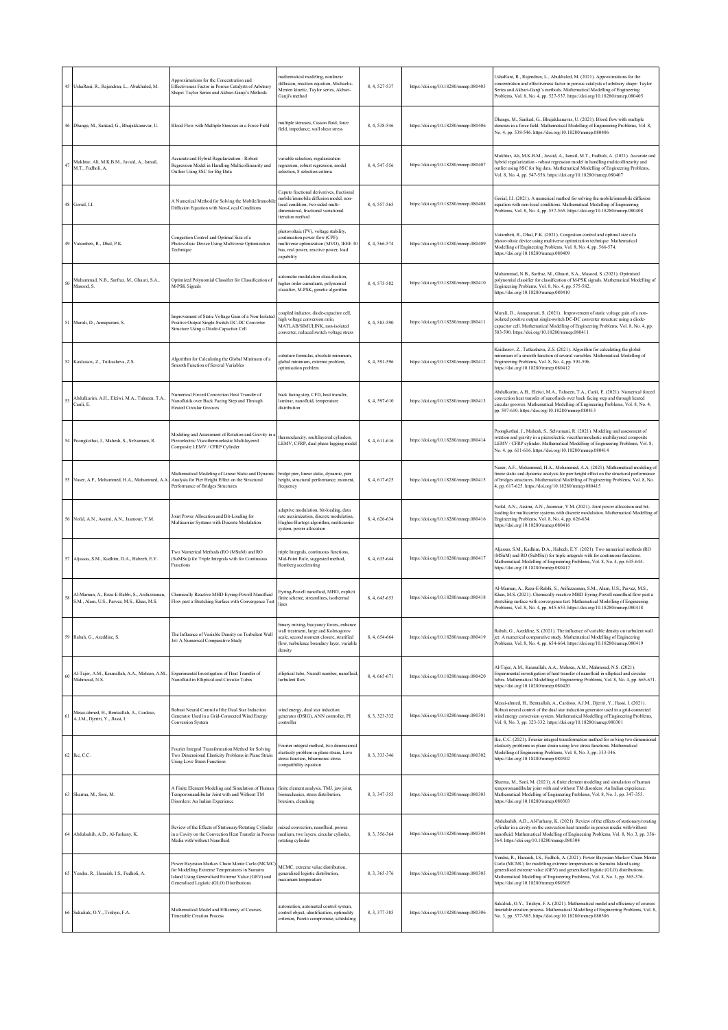|        | 45 UshaRani, R., Rajendran, L., Abukhaled, M.                                              | Approximations for the Concentration and<br>Effectiveness Factor in Porous Catalysts of Arbitrary<br>Shape: Taylor Series and Akbari-Ganji's Methods                                           | nathematical modeling, nonlinear<br>diffusion, reaction equation, Michaelis-<br>Menten kinetic, Taylor series, Akbari-<br>Ganji's method                                            | 8, 4, 527-537 | https://doi.org/10.18280/mmep.080405 | JshaRani, R., Rajendran, L., Abukhaled, M. (2021). Approximations for the<br>concentration and effectiveness factor in porous catalysts of arbitrary shape: Taylor<br>Series and Akbari-Ganji's methods. Mathematical Modelling of Engineering<br>Problems, Vol. 8, No. 4, pp. 527-537. https://doi.org/10.18280/mmep.080405                                        |
|--------|--------------------------------------------------------------------------------------------|------------------------------------------------------------------------------------------------------------------------------------------------------------------------------------------------|-------------------------------------------------------------------------------------------------------------------------------------------------------------------------------------|---------------|--------------------------------------|---------------------------------------------------------------------------------------------------------------------------------------------------------------------------------------------------------------------------------------------------------------------------------------------------------------------------------------------------------------------|
|        | 46 Dhange, M., Sankad, G., Bhujakkanavar, U.                                               | Blood Flow with Multiple Stenoses in a Force Field                                                                                                                                             | multiple stenoses, Casson fluid, force<br>field, impedance, wall shear stress                                                                                                       | 8.4.538-546   | https://doi.org/10.18280/mmep.080406 | Dhange, M., Sankad, G., Bhujakkanavar, U. (2021). Blood flow with multiple<br>stenoses in a force field. Mathematical Modelling of Engineering Problems, Vol. 8,<br>No. 4, pp. 538-546. https://doi.org/10.18280/mmep.080406                                                                                                                                        |
| $47\,$ | Mukhtar, Ali, M.K.B.M., Javaid, A., Ismail,<br>M.T., Fudholi, A.                           | Accurate and Hybrid Regularization - Robust<br>Regression Model in Handling Multicollinearity and<br>Outlier Using 8SC for Big Data                                                            | variable selection, regularization<br>regression, robust regression, model<br>selection, 8 selection criteria                                                                       | 8, 4, 547-556 | https://doi.org/10.18280/mmep.080407 | Mukhtar, Ali, M.K.B.M., Javaid, A., Ismail, M.T., Fudholi, A. (2021). Accurate and<br>hybrid regularization - robust regression model in handling multicollinearity and<br>outlier using 8SC for big data. Mathematical Modelling of Engineering Problems,<br>Vol. 8, No. 4, pp. 547-556. https://doi.org/10.18280/mmep.080407                                      |
|        | 48 Gorial, I.I.                                                                            | A Numerical Method for Solving the Mobile/Immobi<br>Diffusion Equation with Non-Local Conditions                                                                                               | Caputo fractional derivatives, fractional<br>mobile/immobile diffusion model, non-<br>local condition, two-sided multi-<br>dimensional, fractional variational<br>iteration method  | 8.4.557-565   | https://doi.org/10.18280/mmep.080408 | Gorial, I.I. (2021). A numerical method for solving the mobile/immobile diffusion<br>equation with non-local conditions. Mathematical Modelling of Engineering<br>Problems, Vol. 8, No. 4, pp. 557-565. https://doi.org/10.18280/mmep.080408                                                                                                                        |
|        | 49 Vatambeti, R., Dhal, P.K.                                                               | Congestion Control and Optimal Size of a<br>Photovoltaic Device Using Multiverse Optimization<br>Technique                                                                                     | photovoltaic (PV), voltage stability,<br>continuation power flow (CPF),<br>nultiverse optimization (MVO), IEEE 30<br>bus, real power, reactive power, load<br>capability            | 8, 4, 566-574 | https://doi.org/10.18280/mmep.080409 | Vatambeti, R., Dhal, P.K. (2021). Congestion control and optimal size of a<br>photovoltaic device using multiverse optimization technique. Mathematical<br>Modelling of Engineering Problems, Vol. 8, No. 4, pp. 566-574.<br>https://doi.org/10.18280/mmep.080409                                                                                                   |
| 50     | Muhammad, N.B., Sarfraz, M., Ghauri, S.A.,<br>Masood, S.                                   | Optimized Polynomial Classifier for Classification of<br>M-PSK Signals                                                                                                                         | automatic modulation classification,<br>higher order cumulants, polynomial<br>classifier, M-PSK, genetic algorithm                                                                  | 8, 4, 575-582 | https://doi.org/10.18280/mmep.080410 | Muhammad, N.B., Sarfraz, M., Ghauri, S.A., Masood, S. (2021). Optimized<br>bolynomial classifier for classification of M-PSK signals. Mathematical Modelling of<br>Engineering Problems, Vol. 8, No. 4, pp. 575-582.<br>https://doi.org/10.18280/mmep.080410                                                                                                        |
|        | 51 Murali, D., Annapurani, S.                                                              | Improvement of Static Voltage Gain of a Non-Isolated<br>Positive Output Single-Switch DC-DC Converter<br>Structure Using a Diode-Capacitor Cell                                                | oupled inductor, diode-capacitor cell,<br>high voltage conversion ratio,<br>MATLAR/SIMULINK_non-isolated<br>converter, reduced switch voltage stress                                | 8, 4, 583-590 | https://doi.org/10.18280/mmep.080411 | Murali, D., Annapurani, S. (2021). Improvement of static voltage gain of a non-<br>isolated positive output single-switch DC-DC converter structure using a diode-<br>capacitor cell. Mathematical Modelling of Engineering Problems, Vol. 8, No. 4, pp.<br>583-590. https://doi.org/10.18280/mmep.080411                                                           |
|        | 52 Kaidassov, Z., Tutkusheva, Z.S.                                                         | Algorithm for Calculating the Global Minimum of a<br>Smooth Function of Several Variables                                                                                                      | cubature formulas, absolute minimum,<br>global minimum, extreme problem,<br>optimisation problem                                                                                    | 8, 4, 591-596 | https://doi.org/10.18280/mmep.080412 | Kaidassov, Z., Tutkusheva, Z.S. (2021). Algorithm for calculating the global<br>minimum of a smooth function of several variables. Mathematical Modelling of<br>Engineering Problems, Vol. 8, No. 4, pp. 591-596.<br>https://doi.org/10.18280/mmep.080412                                                                                                           |
| 53     | Abdulkarim, A.H., Eleiwi, M.A., Tahseen, T.A.,<br>Canli, E.                                | Numerical Forced Convection Heat Transfer of<br>Nanofluids over Back Facing Step and Through<br><b>Heated Circular Grooves</b>                                                                 | back facing step, CFD, heat transfer,<br>laminar, nanofluid, temperature<br>distribution                                                                                            | 8, 4, 597-610 | https://doi.org/10.18280/mmep.080413 | Abdulkarim, A.H., Eleiwi, M.A., Tahseen, T.A., Canli, E. (2021). Numerical forced<br>onvection heat transfer of nanofluids over back facing step and through heated<br>circular grooves. Mathematical Modelling of Engineering Problems, Vol. 8, No. 4,<br>pp. 597-610. https://doi.org/10.18280/mmep.080413                                                        |
|        | 54 Poongkothai, J., Mahesh, S., Selvamani, R.                                              | Modeling and Assessment of Rotation and Gravity in<br>Piezoelectric Viscothermoelastic Multilayered<br>Composite LEMV / CFRP Cylinder                                                          | thermoelascity, multilayered cylinders,<br>LEMV, CFRP, dual phase lagging model                                                                                                     | 8, 4, 611-616 | https://doi.org/10.18280/mmep.080414 | Poongkothai, J., Mahesh, S., Selvamani, R. (2021). Modeling and assessment of<br>rotation and gravity in a piezoelectric viscothermoelastic multilayered composite<br>LEMV / CFRP cylinder. Mathematical Modelling of Engineering Problems, Vol. 8,<br>No. 4, pp. 611-616. https://doi.org/10.18280/mmep.080414                                                     |
|        | 55 Naser, A.F., Mohammed, H.A., Mohammed, A.A.                                             | Mathematical Modeling of Linear Static and Dynami<br>Analysis for Pier Height Effect on the Structural<br>Performance of Bridges Structures                                                    | bridge pier, linear static, dynamic, pier<br>height, structural performance, moment.<br>frequency                                                                                   | 8, 4, 617-625 | https://doi.org/10.18280/mmep.080415 | Vaser, A.F., Mohammed, H.A., Mohammed, A.A. (2021). Mathematical modeling of<br>linear static and dynamic analysis for pier height effect on the structural performance<br>of bridges structures. Mathematical Modelling of Engineering Problems, Vol. 8, No.<br>4, pp. 617-625. https://doi.org/10.18280/mmep.080415                                               |
|        | Nofal, A.N., Assimi, A.N., Jaamour, Y.M.                                                   | Joint Power Allocation and Bit-Loading for<br>Multicarrier Systems with Discrete Modulation                                                                                                    | adaptive modulation, bit-loading, data<br>rate maximization, discrete modulation,<br>Hughes-Hartogs algorithm, multicarrier<br>system, power allocation                             | 8, 4, 626-634 | https://doi.org/10.18280/mmep.080416 | Nofal, A.N., Assimi, A.N., Jaamour, Y.M. (2021). Joint power allocation and bit-<br>loading for multicarrier systems with discrete modulation. Mathematical Modelling of<br>Engineering Problems, Vol. 8, No. 4, pp. 626-634.<br>https://doi.org/10.18280/mmep.080416                                                                                               |
|        | 57 Aljassas, S.M., Kadhim, D.A., Habeeb, E.Y.                                              | Two Numerical Methods (RO (MSuM) and RO<br>(SuMSu)) for Triple Integrals with for Continuous<br>Functions                                                                                      | triple Integrals, continuous functions,<br>Mid-Point Rule, suggested method,<br>Romberg accelerating                                                                                | 8, 4, 635-644 | https://doi.org/10.18280/mmep.080417 | Aljassas, S.M., Kadhim, D.A., Habeeb, E.Y. (2021). Two numerical methods (RO<br>(MSuM) and RO (SuMSu)) for triple integrals with for continuous functions.<br>Mathematical Modelling of Engineering Problems, Vol. 8, No. 4, pp. 635-644.<br>https://doi.org/10.18280/mmep.080417                                                                                   |
| 58     | Al-Mamun, A., Reza-E-Rabbi, S., Arifuzzaman,<br>S.M., Alam, U.S., Parvez, M.S., Khan, M.S. | Chemically Reactive MHD Eyring-Powell Nanofluid<br>Flow past a Stretching Surface with Convergence Test                                                                                        | Eyring-Powell nanofluid, MHD, explicit<br>finite scheme, streamlines, isothermal<br>lines                                                                                           | 8, 4, 645-653 | https://doi.org/10.18280/mmep.080418 | Al-Mamun, A., Reza-E-Rabbi, S., Arifuzzaman, S.M., Alam, U.S., Parvez, M.S.,<br>Khan, M.S. (2021). Chemically reactive MHD Eyring-Powell nanofluid flow past a<br>stretching surface with convergence test. Mathematical Modelling of Engineering<br>Problems, Vol. 8, No. 4, pp. 645-653. https://doi.org/10.18280/mmep.080418                                     |
|        | 59 Rabah, G., Azeddine, S.                                                                 | The Influence of Variable Density on Turbulent Wall<br>Jet: A Numerical Comparative Study                                                                                                      | binary mixing, buoyancy forces, enhance<br>wall treatment, large and Kolmogorov<br>scale, second moment closure, stratified<br>flow, turbulence boundary layer, variable<br>density | 8.4.654-664   | https://doi.org/10.18280/mmep.080419 | Rabah, G., Azeddine, S. (2021). The influence of variable density on turbulent wall<br>jet: A numerical comparative study. Mathematical Modelling of Engineering<br>Problems, Vol. 8, No. 4, pp. 654-664. https://doi.org/10.18280/mmep.080419                                                                                                                      |
| 60     | Al-Tajer, A.M., Kramallah, A.A., Mohsen, A.M.,<br>Mahmoud, N.S.                            | Experimental Investigation of Heat Transfer of<br>Nanofluid in Elliptical and Circular Tubes                                                                                                   | elliptical tube, Nusselt number, nanofluid<br>turbulent flow                                                                                                                        | 8, 4, 665-671 | https://doi.org/10.18280/mmep.080420 | Al-Tajer, A.M., Kramallah, A.A., Mohsen, A.M., Mahmoud, N.S. (2021).<br>Experimental investigation of heat transfer of nanofluid in elliptical and circular<br>tubes. Mathematical Modelling of Engineering Problems, Vol. 8, No. 4, pp. 665-671.<br>https://doi.org/10.18280/mmep.080420                                                                           |
| 61     | Mesai-ahmed, H., Bentaallah, A., Cardoso,<br>A.J.M., Djeriri, Y., Jlassi, I.               | Robust Neural Control of the Dual Star Induction<br>Generator Used in a Grid-Connected Wind Energy<br>Conversion System                                                                        | wind energy, dual star induction<br>generator (DSIG), ANN controller, PI<br>controller                                                                                              | 8, 3, 323-332 | https://doi.org/10.18280/mmep.080301 | Mesai-ahmed, H., Bentaallah, A., Cardoso, A.J.M., Djeriri, Y., Jlassi, I. (2021).<br>Robust neural control of the dual star induction generator used in a grid-connected<br>wind energy conversion system. Mathematical Modelling of Engineering Problems,<br>Vol. 8, No. 3, pp. 323-332. https://doi.org/10.18280/mmep.080301                                      |
|        | 62 Ike, C.C.                                                                               | Fourier Integral Transformation Method for Solving<br>Two Dimensional Elasticity Problems in Plane Strain<br><b>Using Love Stress Functions</b>                                                | Fourier integral method, two dimensional<br>elasticity problem in plane strain, Love<br>stress function, biharmonic stress<br>compatibility equation                                | 8, 3, 333-346 | https://doi.org/10.18280/mmep.080302 | Ike, C.C. (2021). Fourier integral transformation method for solving two dimensional<br>elasticity problems in plane strain using love stress functions. Mathematical<br>Modelling of Engineering Problems, Vol. 8, No. 3, pp. 333-346.<br>https://doi.org/10.18280/mmep.080302                                                                                     |
| 63     | Sharma, M., Soni, M.                                                                       | A Finite Element Modeling and Simulation of Human<br>Temporomandibular Joint with and Without TM<br>Disorders: An Indian Experience                                                            | finite element analysis, TMJ, jaw joint,<br>biomechanics, stress distribution,<br>bruxism, clenching                                                                                | 8, 3, 347-355 | https://doi.org/10.18280/mmep.080303 | Sharma, M., Soni, M. (2021). A finite element modeling and simulation of human<br>temporomandibular joint with and without TM disorders: An Indian experience.<br>Mathematical Modelling of Engineering Problems, Vol. 8, No. 3, pp. 347-355.<br>https://doi.org/10.18280/mmep.080303                                                                               |
|        | 64 Abdulsahib, A.D., Al-Farhany, K.                                                        | Review of the Effects of Stationary/Rotating Cylinder<br>in a Cavity on the Convection Heat Transfer in Porou<br>Media with/without Nanofluid                                                  | mixed convection, nanofluid, porous<br>nedium, two layers, circular cylinder,<br>rotating cylinder                                                                                  | 8, 3, 356-364 | https://doi.org/10.18280/mmep.080304 | Abdulsahib, A.D., Al-Farhany, K. (2021). Review of the effects of stationary/rotating<br>cylinder in a cavity on the convection heat transfer in porous media with/without<br>nanofluid. Mathematical Modelling of Engineering Problems, Vol. 8, No. 3, pp. 356-<br>364. https://doi.org/10.18280/mmep.080304                                                       |
|        | 65 Yendra, R., Hanaish, I.S., Fudholi, A.                                                  | Power Bayesian Markov Chain Monte Carlo (MCMC<br>for Modelling Extreme Temperatures in Sumatra<br>Island Using Generalised Extreme Value (GEV) and<br>Generalised Logistic (GLO) Distributions | MCMC, extreme value distribution,<br>generalised logistic distribution,<br>maximum temperature                                                                                      | 8, 3, 365-376 | https://doi.org/10.18280/mmep.080305 | Yendra, R., Hanaish, I.S., Fudholi, A. (2021). Power Bayesian Markov Chain Monte<br>Carlo (MCMC) for modelling extreme temperatures in Sumatra Island using<br>generalised extreme value (GEV) and generalised logistic (GLO) distributions.<br>Mathematical Modelling of Engineering Problems, Vol. 8, No. 3, pp. 365-376.<br>https://doi.org/10.18280/mmep.080305 |
|        | 66 Sakaliuk, O.Y., Trishyn, F.A.                                                           | Mathematical Model and Efficiency of Courses<br><b>Timetable Creation Process</b>                                                                                                              | automation, automated control system,<br>control object, identification, optimality<br>criterion, Pareto compromise, scheduling                                                     | 8, 3, 377-385 | https://doi.org/10.18280/mmep.080306 | Sakaliuk, O.Y., Trishyn, F.A. (2021). Mathematical model and efficiency of courses<br>timetable creation process. Mathematical Modelling of Engineering Problems, Vol. 8,<br>No. 3, pp. 377-385. https://doi.org/10.18280/mmep.080306                                                                                                                               |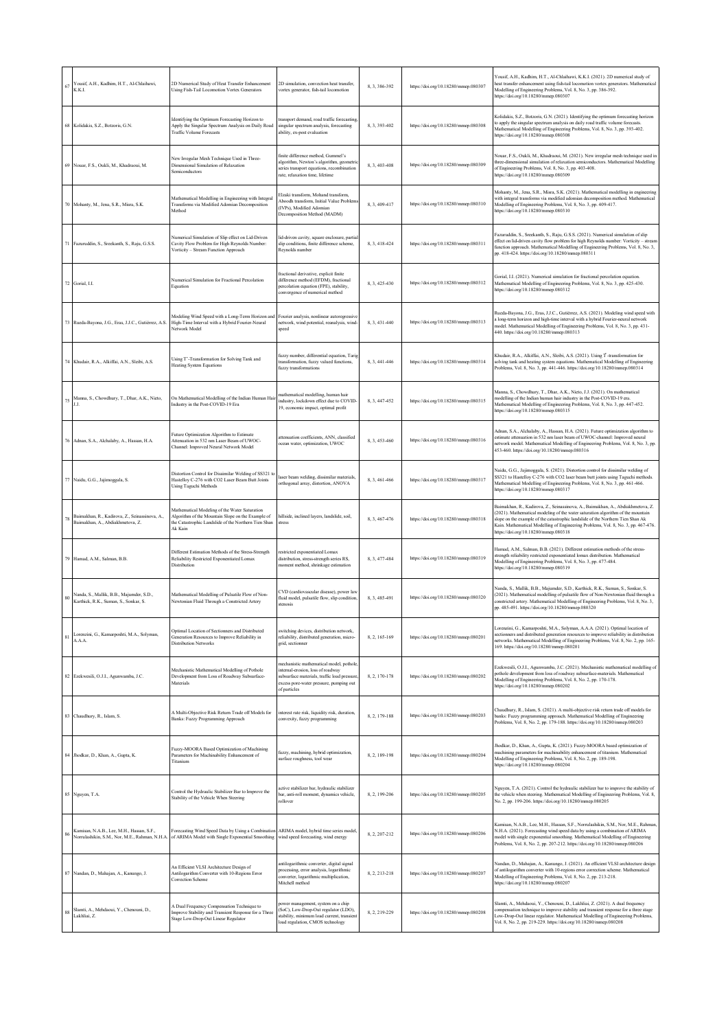| 67     | Yousif, A.H., Kadhim, H.T., Al-Chlaihawi,<br>K.K.I.                                         | 2D Numerical Study of Heat Transfer Enhancement<br>Using Fish-Tail Locomotion Vortex Generators                                                                       | 2D simulation, convection heat transfer,<br>vortex generator, fish-tail locomotion                                                                                                     | 8.3.386-392   | https://doi.org/10.18280/mmep.080307 | Yousif, A.H., Kadhim, H.T., Al-Chlaihawi, K.K.I. (2021). 2D numerical study of<br>heat transfer enhancement using fish-tail locomotion vortex generators. Mathematical<br>Modelling of Engineering Problems, Vol. 8, No. 3, pp. 386-392.<br>https://doi.org/10.18280/mmep.080307                                                                                                   |
|--------|---------------------------------------------------------------------------------------------|-----------------------------------------------------------------------------------------------------------------------------------------------------------------------|----------------------------------------------------------------------------------------------------------------------------------------------------------------------------------------|---------------|--------------------------------------|------------------------------------------------------------------------------------------------------------------------------------------------------------------------------------------------------------------------------------------------------------------------------------------------------------------------------------------------------------------------------------|
|        | 68 Kolidakis, S.Z., Botzoris, G.N.                                                          | Identifying the Optimum Forecasting Horizon to<br>Apply the Singular Spectrum Analysis on Daily Road<br><b>Traffic Volume Forecasts</b>                               | transport demand, road traffic forecasting<br>singular spectrum analysis, forecasting<br>ability, ex-post evaluation                                                                   | 8, 3, 393-402 | https://doi.org/10.18280/mmep.080308 | Kolidakis, S.Z., Botzoris, G.N. (2021). Identifying the optimum forecasting horizon<br>to apply the singular spectrum analysis on daily road traffic volume forecasts.<br>Mathematical Modelling of Engineering Problems, Vol. 8, No. 3, pp. 393-402.<br>https://doi.org/10.18280/mmep.080308                                                                                      |
|        | 69 Nouar, F.S., Oukli, M., Khadraoui, M.                                                    | New Irregular Mesh Technique Used in Three-<br>Dimensional Simulation of Relaxation<br>semiconductors                                                                 | finite difference method. Gummel's<br>algorithm, Newton's algorithm, geometric<br>series transport equations, recombination<br>rate, relaxation time, lifetime                         | 8, 3, 403-408 | https://doi.org/10.18280/mmep.080309 | Nouar, F.S., Oukli, M., Khadraoui, M. (2021). New irregular mesh technique used in<br>three-dimensional simulation of relaxation semiconductors. Mathematical Modelling<br>of Engineering Problems, Vol. 8, No. 3, pp. 403-408.<br>https://doi.org/10.18280/mmep.080309                                                                                                            |
|        | 70 Mohanty, M., Jena, S.R., Misra, S.K.                                                     | Mathematical Modelling in Engineering with Integral<br>Transforms via Modified Adomian Decomposition<br>Method                                                        | Elzaki transform, Mohand transform,<br>Aboodh transform, Initial Value Problem<br>(IVPs), Modified Adomian<br>Decomposition Method (MADM)                                              | 8, 3, 409-417 | https://doi.org/10.18280/mmep.080310 | Mohanty, M., Jena, S.R., Misra, S.K. (2021). Mathematical modelling in engineering<br>with integral transforms via modified adomian decomposition method. Mathematical<br>Modelling of Engineering Problems, Vol. 8, No. 3, pp. 409-417.<br>https://doi.org/10.18280/mmep.080310                                                                                                   |
|        | 71 Fazuruddin, S., Sreekanth, S., Raju, G.S.S.                                              | Numerical Simulation of Slip effect on Lid-Driven<br>Cavity Flow Problem for High Reynolds Number:<br>Vorticity - Stream Function Approach                            | lid-driven cavity, square enclosure, partia<br>slip conditions, finite difference scheme,<br>Reynolds number                                                                           | 8, 3, 418-424 | https://doi.org/10.18280/mmep.080311 | Fazuruddin, S., Sreekanth, S., Raju, G.S.S. (2021). Numerical simulation of slip<br>effect on lid-driven cavity flow problem for high Reynolds number: Vorticity - stream<br>function approach. Mathematical Modelling of Engineering Problems, Vol. 8, No. 3,<br>pp. 418-424. https://doi.org/10.18280/mmep.080311                                                                |
|        | 72 Gorial, I.I.                                                                             | Numerical Simulation for Fractional Percolation<br>Equation                                                                                                           | fractional derivative, explicit finite<br>difference method (EFDM), fractional<br>percolation equation (FPE), stability,<br>convergence of numerical method                            | 8, 3, 425-430 | https://doi.org/10.18280/mmep.080312 | Gorial, I.I. (2021). Numerical simulation for fractional percolation equation.<br>Mathematical Modelling of Engineering Problems, Vol. 8, No. 3, pp. 425-430.<br>https://doi.org/10.18280/mmep.080312                                                                                                                                                                              |
|        | 73 Rueda-Bayona, J.G., Eras, J.J.C., Gutiérrez, A.S.                                        | Modeling Wind Speed with a Long-Term Horizon and<br>High-Time Interval with a Hybrid Fourier-Neural<br>Network Model                                                  | Fourier analysis, nonlinear autoregressive<br>network, wind potential, reanalysis, wind-<br>speed                                                                                      | 8, 3, 431-440 | https://doi.org/10.18280/mmep.080313 | Rueda-Bayona, J.G., Eras, J.J.C., Gutiérrez, A.S. (2021). Modeling wind speed with<br>a long-term horizon and high-time interval with a hybrid Fourier-neural network<br>model. Mathematical Modelling of Engineering Problems, Vol. 8, No. 3, pp. 431-<br>440. https://doi.org/10.18280/mmep.080313                                                                               |
|        | 74 Khudair, R.A., Alkiffai, A.N., Sleibi, A.S.                                              | Using T'-Transformation for Solving Tank and<br><b>Heating System Equations</b>                                                                                       | fuzzy number, differential equation. Taris<br>transformation, fuzzy valued functions,<br>fuzzy transformations                                                                         | 8, 3, 441-446 | https://doi.org/10.18280/mmep.080314 | Khudair, R.A., Alkiffai, A.N., Sleibi, A.S. (2021). Using T -transformation for<br>solving tank and heating system equations. Mathematical Modelling of Engineering<br>Problems, Vol. 8, No. 3, pp. 441-446. https://doi.org/10.18280/mmep.080314                                                                                                                                  |
| 75     | Manna, S., Chowdhury, T., Dhar, A.K., Nieto,<br>J.J.                                        | On Mathematical Modelling of the Indian Human Ha<br>Industry in the Post-COVID-19 Era                                                                                 | mathematical modelling, human hair<br>industry, lockdown effect due to COVID-<br>19, economic impact, optimal profit                                                                   | 8.3.447-452   | https://doi.org/10.18280/mmep.080315 | Manna, S., Chowdhury, T., Dhar, A.K., Nieto, J.J. (2021). On mathematical<br>modelling of the Indian human hair industry in the Post-COVID-19 era.<br>Mathematical Modelling of Engineering Problems, Vol. 8, No. 3, pp. 447-452.<br>https://doi.org/10.18280/mmep.080315                                                                                                          |
| 76     | Adnan, S.A., Alchalaby, A., Hassan, H.A.                                                    | Future Optimization Algorithm to Estimate<br>Attenuation in 532 nm Laser Beam of UWOC-<br>Channel: Improved Neural Network Model                                      | attenuation coefficients, ANN, classified<br>ocean water, optimization, UWOC                                                                                                           | 8, 3, 453-460 | https://doi.org/10.18280/mmep.080316 | Adnan, S.A., Alchalaby, A., Hassan, H.A. (2021). Future optimization algorithm to<br>estimate attenuation in 532 nm laser beam of UWOC-channel: Improved neural<br>network model. Mathematical Modelling of Engineering Problems, Vol. 8, No. 3, pp.<br>453-460. https://doi.org/10.18280/mmep.080316                                                                              |
|        | 77 Naidu, G.G., Jajimoggala, S.                                                             | Distortion Control for Dissimilar Welding of SS321 to<br>Hastelloy C-276 with CO2 Laser Beam Butt Joints<br>Using Taguchi Methods                                     | laser beam welding, dissimilar materials.<br>orthogonal array, distortion, ANOVA                                                                                                       | 8, 3, 461-466 | https://doi.org/10.18280/mmep.080317 | Naidu, G.G., Jajimoggala, S. (2021). Distortion control for dissimilar welding of<br>SS321 to Hastelloy C-276 with CO2 laser beam butt joints using Taguchi methods.<br>Mathematical Modelling of Engineering Problems, Vol. 8, No. 3, pp. 461-466.<br>https://doi.org/10.18280/mmep.080317                                                                                        |
| 78     | Baimakhan, R., Kadirova, Z., Seinassinova, A.,<br>Baimakhan, A., Abdiakhmetova, Z.          | Mathematical Modeling of the Water Saturation<br>Algorithm of the Mountain Slope on the Example of<br>the Catastrophic Landslide of the Northern Tien Shan<br>Ak Kain | hillside, inclined layers, landslide, soil,<br>stress                                                                                                                                  | 8.3.467-476   | https://doi.org/10.18280/mmep.080318 | Baimakhan, R., Kadirova, Z., Seinassinova, A., Baimakhan, A., Abdiakhmetova, Z.<br>(2021). Mathematical modeling of the water saturation algorithm of the mountain<br>slope on the example of the catastrophic landslide of the Northern Tien Shan Ak<br>Kain. Mathematical Modelling of Engineering Problems, Vol. 8, No. 3, pp. 467-476.<br>https://doi.org/10.18280/mmep.080318 |
|        | 79 Hamad, A.M., Salman, B.B.                                                                | Different Estimation Methods of the Stress-Strength<br>Reliability Restricted Exponentiated Lomax<br>Distribution                                                     | restricted exponentiated Lomax<br>distribution, stress-strength series RS,<br>moment method, shrinkage estimation                                                                      | 8, 3, 477-484 | https://doi.org/10.18280/mmep.080319 | Hamad, A.M., Salman, B.B. (2021). Different estimation methods of the stress-<br>strength reliability restricted exponentiated lomax distribution. Mathematical<br>Modelling of Engineering Problems, Vol. 8, No. 3, pp. 477-484.<br>https://doi.org/10.18280/mmep.080319                                                                                                          |
| 80     | Nanda, S., Mallik, B.B., Majumder, S.D.,<br>Karthick, R.K., Suman, S., Sonkar, S.           | Mathematical Modelling of Pulsatile Flow of Non-<br>Newtonian Fluid Through a Constricted Artery                                                                      | CVD (cardiovascular disease), power lay<br>fluid model, pulsatile flow, slip condition,<br>stenosis                                                                                    | 8, 3, 485-491 | https://doi.org/10.18280/mmep.080320 | Nanda, S., Mallik, B.B., Majumder, S.D., Karthick, R.K., Suman, S., Sonkar, S.<br>(2021). Mathematical modelling of pulsatile flow of Non-Newtonian fluid through a<br>constricted artery. Mathematical Modelling of Engineering Problems, Vol. 8, No. 3,<br>pp. 485-491. https://doi.org/10.18280/mmep.080320                                                                     |
| 81     | Lorenzini, G., Kamarposhti, M.A., Solvman,<br>A.A.A.                                        | Optimal Location of Sectionners and Distributed<br>Generation Resources to Improve Reliability in<br><b>Distribution Networks</b>                                     | switching devices, distribution network,<br>reliability, distributed generation, micro-<br>grid, sectionner                                                                            | 8, 2, 165-169 | https://doi.org/10.18280/mmcp.080201 | Lorenzini, G., Kamarposhti, M.A., Solyman, A.A.A. (2021). Optimal location of<br>sectionners and distributed generation resources to improve reliability in distribution<br>networks. Mathematical Modelling of Engineering Problems, Vol. 8, No. 2, pp. 165-<br>169. https://doi.org/10.18280/mmep.080201                                                                         |
|        | 82 Ezekwesili, O.J.I., Agunwamba, J.C.                                                      | Mechanistic Mathematical Modelling of Pothole<br>Development from Loss of Roadway Subsurface-<br>Materials                                                            | nechanistic mathematical model, potholo<br>internal-erosion, loss of roadway<br>subsurface materials, traffic load pressure<br>excess pore-water pressure, pumping out<br>of particles | 8.2.170-178   | https://doi.org/10.18280/mmep.080202 | Ezekwesili, O.J.I., Agunwamba, J.C. (2021). Mechanistic mathematical modelling of<br>pothole development from loss of roadway subsurface-materials. Mathematical<br>Modelling of Engineering Problems, Vol. 8, No. 2, pp. 170-178.<br>https://doi.org/10.18280/mmep.080202                                                                                                         |
|        | 83 Chaudhury, R., Islam, S.                                                                 | A Multi-Objective Risk Return Trade off Models for<br>Banks: Fuzzy Programming Approach                                                                               | nterest rate risk, liquidity risk, duration,<br>convexity, fuzzy programming                                                                                                           | 8, 2, 179-188 | https://doi.org/10.18280/mmep.080203 | Chaudhury, R., Islam, S. (2021). A multi-objective risk return trade off models for<br>banks: Fuzzy programming approach. Mathematical Modelling of Engineering<br>Problems, Vol. 8, No. 2, pp. 179-188. https://doi.org/10.18280/mmep.080203                                                                                                                                      |
|        | 84 Jhodkar, D., Khan, A., Gupta, K.                                                         | Fuzzy-MOORA Based Optimization of Machining<br>Parameters for Machinability Enhancement of<br>Titanium                                                                | fuzzy, machining, hybrid optimization,<br>surface roughness, tool wear                                                                                                                 | 8, 2, 189-198 | https://doi.org/10.18280/mmep.080204 | Jhodkar, D., Khan, A., Gupta, K. (2021). Fuzzy-MOORA based optimization of<br>machining parameters for machinability enhancement of titanium. Mathematical<br>Modelling of Engineering Problems, Vol. 8, No. 2, pp. 189-198.<br>https://doi.org/10.18280/mmep.080204                                                                                                               |
|        | 85 Nguyen, T.A.                                                                             | Control the Hydraulic Stabilizer Bar to Improve the<br>Stability of the Vehicle When Steering                                                                         | active stabilizer bar, hydraulic stabilizer<br>bar, anti-roll moment, dynamics vehicle,<br>rollover                                                                                    | 8, 2, 199-206 | https://doi.org/10.18280/mmep.080205 | Nguyen, T.A. (2021). Control the hydraulic stabilizer bar to improve the stability of<br>the vehicle when steering. Mathematical Modelling of Engineering Problems, Vol. 8,<br>No. 2, pp. 199-206. https://doi.org/10.18280/mmep.080205                                                                                                                                            |
| 86     | Kamisan, N.A.B., Lee, M.H., Hassan, S.F.,<br>Norrulashikin, S.M., Nor, M.E., Rahman, N.H.A. | Forecasting Wind Speed Data by Using a Combination<br>of ARIMA Model with Single Exponential Smoothing                                                                | ARIMA model, hybrid time series model,<br>wind speed forecasting, wind energy                                                                                                          | 8, 2, 207-212 | https://doi.org/10.18280/mmcp.080206 | Kamisan, N.A.B., Lee, M.H., Hassan, S.F., Norrulashikin, S.M., Nor, M.E., Rahma<br>N.H.A. (2021). Forecasting wind speed data by using a combination of ARIMA<br>model with single exponential smoothing. Mathematical Modelling of Engineering<br>Problems, Vol. 8, No. 2, pp. 207-212. https://doi.org/10.18280/mmep.080206                                                      |
|        | 87 Nandan, D., Mahajan, A., Kanungo, J.                                                     | An Efficient VLSI Architecture Design of<br>Antilogarithm Converter with 10-Regions Error<br>Correction Scheme                                                        | antilogarithmic converter, digital signal<br>processing, error analysis, logarithmic<br>converter, logarithmic multiplication,<br>Mitchell method                                      | 8, 2, 213-218 | https://doi.org/10.18280/mmep.080207 | Nandan, D., Mahajan, A., Kanungo, J. (2021). An efficient VLSI architecture design<br>of antilogarithm converter with 10-regions error correction scheme. Mathematical<br>Modelling of Engineering Problems, Vol. 8, No. 2, pp. 213-218.<br>https://doi.org/10.18280/mmep.080207                                                                                                   |
| $88\,$ | Slamti, A., Mehdaoui, Y., Chenouni, D.,<br>Lakhliai, Z.                                     | A Dual Frequency Compensation Technique to<br>Improve Stability and Transient Response for a Three<br>Stage Low-Drop-Out Linear Regulator                             | power management, system on a chip<br>(SoC), Low-Drop-Out regulator (LDO),<br>stability, minimum load current, transient<br>load regulation, CMOS technology                           | 8, 2, 219-229 | https://doi.org/10.18280/mmep.080208 | Slamti, A., Mehdaoui, Y., Chenouni, D., Lakhliai, Z. (2021). A dual frequency<br>compensation technique to improve stability and transient response for a three stage<br>Low-Drop-Out linear regulator. Mathematical Modelling of Engineering Problems,<br>Vol. 8, No. 2, pp. 219-229. https://doi.org/10.18280/mmep.080208                                                        |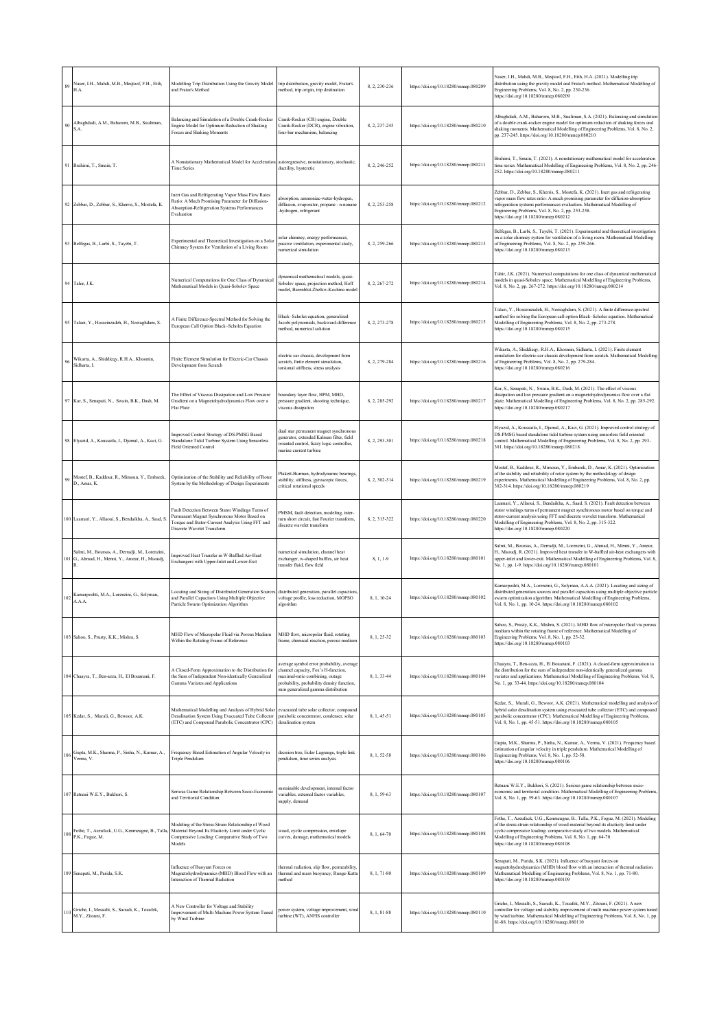| 89  | Naser, I.H., Mahdi, M.B., Meqtoof, F.H., Etih,<br>H.A.                                               | Modelling Trip Distribution Using the Gravity Model<br>and Fratar's Method                                                                                                                                          | trip distribution, gravity model, Fratar's<br>method, trip origin, trip destination                                                                                                                     | 8, 2, 230-236 | https://doi.org/10.18280/mmep.080209 | Naser, I.H., Mahdi, M.B., Megtoof, F.H., Etih, H.A. (2021). Modelling trip<br>distribution using the gravity model and Fratar's method. Mathematical Modelling of<br>Engineering Problems, Vol. 8, No. 2, pp. 230-236.<br>https://doi.org/10.18280/mmep.080209                                                                                                   |
|-----|------------------------------------------------------------------------------------------------------|---------------------------------------------------------------------------------------------------------------------------------------------------------------------------------------------------------------------|---------------------------------------------------------------------------------------------------------------------------------------------------------------------------------------------------------|---------------|--------------------------------------|------------------------------------------------------------------------------------------------------------------------------------------------------------------------------------------------------------------------------------------------------------------------------------------------------------------------------------------------------------------|
| 90  | Albaghdadi, A.M., Baharom, M.B., Sualiman,<br>S.A.                                                   | Balancing and Simulation of a Double Crank-Rocker<br>Engine Model for Optimum Reduction of Shaking<br>Forces and Shaking Moments                                                                                    | Crank-Rocker (CR) engine, Double<br>Crank-Rocker (DCR), engine vibration,<br>four-bar mechanism, balancing                                                                                              | 8, 2, 237-245 | https://doi.org/10.18280/mmep.080210 | Albaghdadi, A.M., Baharom, M.B., Sualiman, S.A. (2021). Balancing and simulatior<br>of a double crank-rocker engine model for optimum reduction of shaking forces and<br>shaking moments. Mathematical Modelling of Engineering Problems, Vol. 8, No. 2,<br>pp. 237-245. https://doi.org/10.18280/mmep.080210                                                    |
|     | 91 Brahimi, T., Smain, T.                                                                            | A Nonstationary Mathematical Model for Acceleration autoregressive, nonstationary, stochastic,<br><b>Time Series</b>                                                                                                | ductility, hysteretic                                                                                                                                                                                   | 8, 2, 246-252 | https://doi.org/10.18280/mmep.080211 | Brahimi, T., Smain, T. (2021). A nonstationary mathematical model for acceleration<br>time series. Mathematical Modelling of Engineering Problems, Vol. 8, No. 2, pp. 246-<br>252. https://doi.org/10.18280/mmep.080211                                                                                                                                          |
|     | 92 Zebbar, D., Zebbar, S., Kherris, S., Mostefa, K.                                                  | Inert Gas and Refrigerating Vapor Mass Flow Rates<br>Ratio: A Much Promising Parameter for Diffusion-<br>Absorption-Refrigeration Systems Performances<br>Evaluation                                                | absorption, ammoniac-water-hydrogen,<br>diffusion, evaporator, propane - n-nonane<br>-hydrogen, refrigerant                                                                                             | 8.2.253-258   | https://doi.org/10.18280/mmep.080212 | Zebbar, D., Zebbar, S., Kherris, S., Mostefa, K. (2021). Inert gas and refrigerating<br>vapor mass flow rates ratio: A much promising parameter for diffusion-absorption-<br>refrigeration systems performances evaluation. Mathematical Modelling of<br>Engineering Problems, Vol. 8, No. 2, pp. 253-258.<br>https://doi.org/10.18280/mmep.080212               |
|     | 93 Belfegas, B., Larbi, S., Tayebi, T.                                                               | Experimental and Theoretical Investigation on a Solar<br>Chimney System for Ventilation of a Living Room                                                                                                            | olar chimney, energy performances,<br>passive ventilation, experimental study,<br>numerical simulation                                                                                                  | 8, 2, 259-266 | https://doi.org/10.18280/mmep.080213 | Belfegas, B., Larbi, S., Tayebi, T. (2021). Experimental and theoretical investigation<br>on a solar chimney system for ventilation of a living room. Mathematical Modelling<br>of Engineering Problems, Vol. 8, No. 2, pp. 259-266.<br>https://doi.org/10.18280/mmep.080213                                                                                     |
|     | 94 Tahir, J.K.                                                                                       | Numerical Computations for One Class of Dynamica<br>Mathematical Models in Quasi-Sobolev Space                                                                                                                      | dynamical mathematical models, quasi-<br>Sobolev space, projection method, Hoff<br>model, Barenblat-Zheltov-Kochina model                                                                               | 8, 2, 267-272 | https://doi.org/10.18280/mmep.080214 | Tahir, J.K. (2021). Numerical computations for one class of dynamical mathematical<br>models in quasi-Sobolev space. Mathematical Modelling of Engineering Problems,<br>Vol. 8, No. 2, pp. 267-272. https://doi.org/10.18280/mmep.080214                                                                                                                         |
|     | 95 Talaei, Y., Hosseinzadeh, H., Noeiaghdam, S.                                                      | A Finite Difference-Spectral Method for Solving the<br>European Call Option Black-Scholes Equation                                                                                                                  | Black-Scholes equation, generalized<br>Jacobi polynomials, backward-difference<br>method, numerical solution                                                                                            | 8, 2, 273-278 | https://doi.org/10.18280/mmep.080215 | Talaei, Y., Hosseinzadeh, H., Noeiaghdam, S. (2021). A finite difference-spectral<br>method for solving the European call option Black-Scholes equation. Mathematical<br>Modelling of Engineering Problems, Vol. 8, No. 2, pp. 273-278.<br>https://doi.org/10.18280/mmep.080215                                                                                  |
| 96  | Wikarta, A., Shiddieqy, R.H.A., Khosmin,<br>Sidharta, I.                                             | Finite Element Simulation for Electric-Car Chassis<br>Development from Scratch                                                                                                                                      | electric car chassis, development from<br>scratch, finite element simulation.<br>torsional stiffness, stress analysis                                                                                   | 8, 2, 279-284 | https://doi.org/10.18280/mmep.080216 | Wikarta, A., Shiddieqy, R.H.A., Khosmin, Sidharta, I. (2021). Finite element<br>simulation for electric-car chassis development from scratch. Mathematical Modelling<br>of Engineering Problems, Vol. 8, No. 2, pp. 279-284.<br>https://doi.org/10.18280/mmep.080216                                                                                             |
|     | 97 Kar, S., Senapati, N., Swain, B.K., Dash, M.                                                      | The Effect of Viscous Dissipation and Low Pressure<br>Gradient on a Magnetohydrodynamics Flow over a<br><b>Flat Plate</b>                                                                                           | boundary layer flow, HPM, MHD,<br>pressure gradient, shooting technique,<br>viscous dissipation                                                                                                         | 8, 2, 285-292 | https://doi.org/10.18280/mmep.080217 | Kar, S., Senapati, N., Swain, B.K., Dash, M. (2021). The effect of viscous<br>dissipation and low pressure gradient on a magnetohydrodynamics flow over a flat<br>plate. Mathematical Modelling of Engineering Problems, Vol. 8, No. 2, pp. 285-292.<br>https://doi.org/10.18280/mmep.080217                                                                     |
|     | 98 Elyazid, A., Koussaila, I., Djamal, A., Kaci, G.                                                  | Improved Control Strategy of DS-PMSG Based<br>Standalone Tidal Turbine System Using Sensorless<br><b>Field Oriented Control</b>                                                                                     | dual star permanent magnet synchronous<br>generator, extended Kalman filter, field<br>oriented control, fuzzy logic controller,<br>marine current turbine                                               | 8.2.293-301   | https://doi.org/10.18280/mmep.080218 | Elyazid, A., Koussaila, I., Djamal, A., Kaci, G. (2021). Improved control strategy of<br>DS-PMSG based standalone tidal turbine system using sensorless field oriented<br>control. Mathematical Modelling of Engineering Problems, Vol. 8, No. 2, pp. 293-<br>301. https://doi.org/10.18280/mmep.080218                                                          |
| 99  | Mostef, B., Kaddour, R., Mimoun, Y., Embarek,<br>D., Amar, K.                                        | Optimization of the Stability and Reliability of Rotor<br>System by the Methodology of Design Experiments                                                                                                           | Plakett-Burman, hydrodynamic bearings,<br>stability, stiffness, gyroscopic forces,<br>critical rotational speeds                                                                                        | 8, 2, 302-314 | https://doi.org/10.18280/mmep.080219 | Mostef, B., Kaddour, R., Mimoun, Y., Embarek, D., Amar, K. (2021). Optimization<br>of the stability and reliability of rotor system by the methodology of design<br>experiments. Mathematical Modelling of Engineering Problems, Vol. 8, No. 2, pp.<br>302-314. https://doi.org/10.18280/mmcp.080219                                                             |
|     | 100 Laamari, Y., Allaoui, S., Bendaikha, A., Saad, S.                                                | Fault Detection Between Stator Windings Turns of<br>Permanent Magnet Synchronous Motor Based on<br>Torque and Stator-Current Analysis Using FFT and<br>Discrete Wavelet Transform                                   | PMSM, fault detection, modeling, inter-<br>turn short circuit, fast Fourier transform,<br>discrete wavelet transform                                                                                    | 8, 2, 315-322 | https://doi.org/10.18280/mmep.080220 | Laamari, Y., Allaoui, S., Bendaikha, A., Saad, S. (2021). Fault detection between<br>stator windings turns of permanent magnet synchronous motor based on torque and<br>stator-current analysis using FFT and discrete wavelet transform. Mathematical<br>Modelling of Engineering Problems, Vol. 8, No. 2, pp. 315-322.<br>https://doi.org/10.18280/mmep.080220 |
|     | šalmi, M., Boursas, A., Derradji, M., Lorenzini,<br>101 G., Ahmad, H., Menni, Y., Ameur, H., Maoudj, | Improved Heat Transfer in W-Baffled Air-Heat<br>Exchangers with Upper-Inlet and Lower-Exit                                                                                                                          | numerical simulation, channel heat<br>exchanger, w-shaped baffles, air heat<br>transfer fluid, flow field                                                                                               | 8.1.1-9       | https://doi.org/10.18280/mmep.080101 | Salmi, M., Boursas, A., Derradji, M., Lorenzini, G., Ahmad, H., Menni, Y., Ameur,<br>H., Maoudj, R. (2021). Improved heat transfer in W-baffled air-heat exchangers with<br>upper-inlet and lower-exit. Mathematical Modelling of Engineering Problems, Vol. 8,<br>No. 1, pp. 1-9. https://doi.org/10.18280/mmep.080101                                          |
| 102 | Kamarposhti, M.A., Lorenzini, G., Solyman,<br>A.A.A.                                                 | Locating and Sizing of Distributed Generation Source<br>and Parallel Capacitors Using Multiple Objective<br>Particle Swarm Optimization Algorithm                                                                   | distributed generation, parallel capacitors<br>voltage profile, loss reduction, MOPSO<br>algorithm                                                                                                      | 8, 1, 10-24   | https://doi.org/10.18280/mmep.080102 | Kamarposhti, M.A., Lorenzini, G., Solyman, A.A.A. (2021). Locating and sizing of<br>distributed generation sources and parallel capacitors using multiple objective particle<br>swarm optimization algorithm. Mathematical Modelling of Engineering Problems,<br>Vol. 8, No. 1, pp. 10-24. https://doi.org/10.18280/mmep.080102                                  |
|     | 103 Sahoo, S., Prusty, K.K., Mishra, S.                                                              | MHD Flow of Micropolar Fluid via Porous Medium<br>Within the Rotating Frame of Reference                                                                                                                            | MHD flow, micropolar fluid, rotating<br>frame, chemical reaction, porous medium                                                                                                                         | 8, 1, 25-32   | https://doi.org/10.18280/mmep.080103 | Sahoo, S., Prusty, K.K., Mishra, S. (2021). MHD flow of micropolar fluid via porous<br>medium within the rotating frame of reference. Mathematical Modelling of<br>Engineering Problems, Vol. 8, No. 1, pp. 25-32.<br>https://doi.org/10.18280/mmep.080103                                                                                                       |
|     | 104 Chaayra, T., Ben-azza, H., El Bouanani, F.                                                       | A Closed-Form Approximation to the Distribution for<br>the Sum of Independent Non-identically Generalized<br>Gamma Variates and Applications                                                                        | average symbol error probability, average<br>channel capacity, Fox's H-function,<br>maximal-ratio combining, outage<br>probability, probability density function,<br>sum generalized gamma distribution | 8, 1, 33-44   | https://doi.org/10.18280/mmep.080104 | Chaayra, T., Ben-azza, H., El Bouanani, F. (2021). A closed-form approximation to<br>the distribution for the sum of independent non-identically generalized gamma<br>variates and applications. Mathematical Modelling of Engineering Problems, Vol. 8,<br>No. 1, pp. 33-44. https://doi.org/10.18280/mmep.080104                                               |
|     | 105 Kedar, S., Murali, G., Bewoor, A.K.                                                              | Mathematical Modelling and Analysis of Hybrid Solar evacuated tube solar collector, compound<br>Desalination System Using Evacuated Tube Collector<br>(ETC) and Compound Parabolic Concentrator (CPC)               | parabolic concentrator, condenser, solar<br>desalination system                                                                                                                                         | 8.1.45-51     | https://doi.org/10.18280/mmep.080105 | Kedar, S., Murali, G., Bewoor, A.K. (2021). Mathematical modelling and analysis of<br>hybrid solar desalination system using evacuated tube collector (ETC) and compound<br>parabolic concentrator (CPC). Mathematical Modelling of Engineering Problems,<br>Vol. 8, No. 1, pp. 45-51. https://doi.org/10.18280/mmep.080105                                      |
|     | Gupta, M.K., Sharma, P., Sinha, N., Kumar, A.,<br>$106$ Verma, V.                                    | Frequency Based Estimation of Angular Velocity in<br>Triple Pendulum                                                                                                                                                | decision tree, Euler Lagrange, triple link<br>pendulum, time series analysis                                                                                                                            | 8, 1, 52-58   | https://doi.org/10.18280/mmep.080106 | Gupta, M.K., Sharma, P., Sinha, N., Kumar, A., Verma, V. (2021). Frequency based<br>estimation of angular velocity in triple pendulum. Mathematical Modelling of<br>Engineering Problems, Vol. 8, No. 1, pp. 52-58.<br>https://doi.org/10.18280/mmep.080106                                                                                                      |
|     | 107 Retnani W.E.Y., Bukhori, S.                                                                      | Serious Game Relationship Between Socio-Economic<br>and Territorial Condition                                                                                                                                       | sustainable development, internal factor<br>variables, external factor variables,<br>supply, demand                                                                                                     | 8.1.59-63     | https://doi.org/10.18280/mmep.080107 | Retnani W.E.Y., Bukhori, S. (2021). Serious game relationship between socio-<br>economic and territorial condition. Mathematical Modelling of Engineering Problems,<br>Vol. 8, No. 1, pp. 59-63. https://doi.org/10.18280/mmep.080107                                                                                                                            |
|     | $108$ P.K., Fogue, M.                                                                                | Modeling of the Stress-Strain Relationship of Wood<br>Fothe, T., Azeufack, U.G., Kenmeugne, B., Talla, Material Beyond Its Elasticity Limit under Cyclic<br>Compressive Loading: Comparative Study of Two<br>Models | vood, cyclic compression, envelope<br>curves, damage, mathematical models                                                                                                                               | 8, 1, 64-70   | https://doi.org/10.18280/mmep.080108 | Fothe, T., Azeufack, U.G., Kenmeugne, B., Talla, P.K., Fogue, M. (2021). Modeling<br>of the stress-strain relationship of wood material beyond its elasticity limit under<br>cyclic compressive loading: comparative study of two models. Mathematical<br>Modelling of Engineering Problems, Vol. 8, No. 1, pp. 64-70.<br>https://doi.org/10.18280/mmep.080108   |
|     | 109 Senapati, M., Parida, S.K.                                                                       | Influence of Buoyant Forces on<br>Magnetohydrodynamics (MHD) Blood Flow with an<br>Interaction of Thermal Radiation                                                                                                 | thermal radiation, slip flow, permeability,<br>thermal and mass buoyancy, Runge-Kutta<br>method                                                                                                         | 8, 1, 71-80   | https://doi.org/10.18280/mmep.080109 | Senapati, M., Parida, S.K. (2021). Influence of buoyant forces on<br>magnetohydrodynamics (MHD) blood flow with an interaction of thermal radiation.<br>Mathematical Modelling of Engineering Problems, Vol. 8, No. 1, pp. 71-80.<br>https://doi.org/10.18280/mmep.080109                                                                                        |
| 110 | Griche, I., Messalti, S., Saoudi, K., Touafek,<br>M.Y., Zitouni, F.                                  | A New Controller for Voltage and Stability<br>Improvement of Multi Machine Power System Tuned<br>by Wind Turbine                                                                                                    | power system, voltage improvement, wind<br>turbine (WT), ANFIS controller                                                                                                                               | 8, 1, 81-88   | https://doi.org/10.18280/mmep.080110 | Griche, I., Messalti, S., Saoudi, K., Touafek, M.Y., Zitouni, F. (2021). A new<br>controller for voltage and stability improvement of multi machine power system tuned<br>by wind turbine. Mathematical Modelling of Engineering Problems, Vol. 8, No. 1, pp.<br>81-88. https://doi.org/10.18280/mmep.080110                                                     |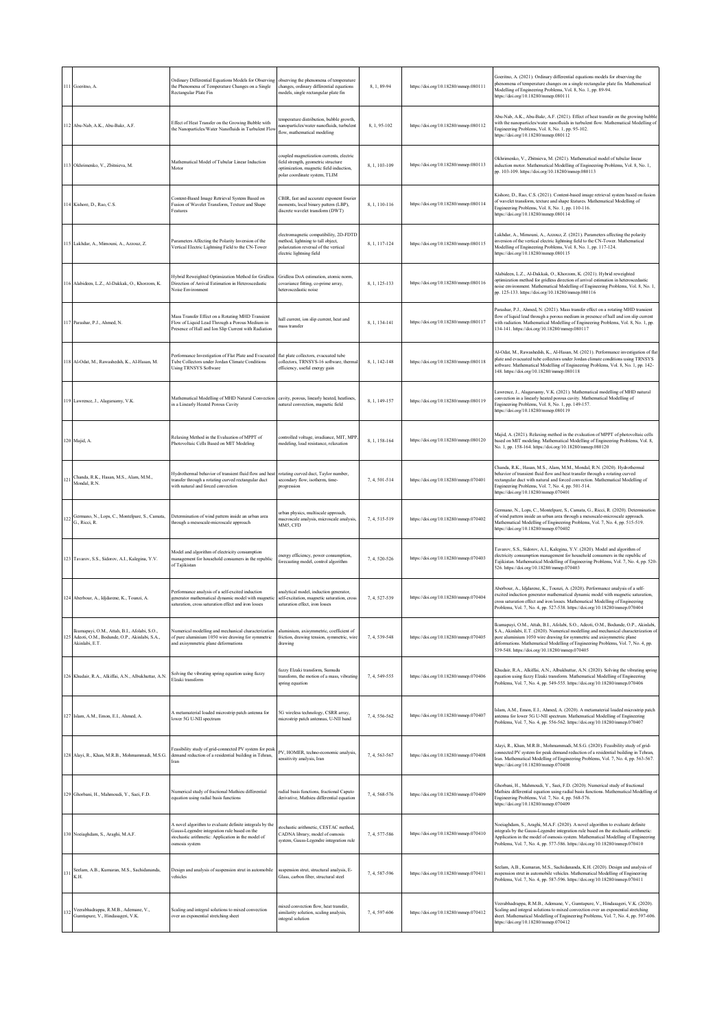| 111 | Goeritno, A.                                                                                                   | Ordinary Differential Equations Models for Observing<br>the Phenomena of Temperature Changes on a Single<br>Rectangular Plate Fin                                               | observing the phenomena of temperature<br>changes, ordinary differential equations<br>nodels, single rectangular plate fin                                 | 8, 1, 89-94   | https://doi.org/10.18280/mmep.080111 | Goeritno, A. (2021). Ordinary differential equations models for observing the<br>ohenomena of temperature changes on a single rectangular plate fin. Mathematical<br>Modelling of Engineering Problems, Vol. 8, No. 1, pp. 89-94.<br>https://doi.org/10.18280/mmep.080111                                                                                                                |
|-----|----------------------------------------------------------------------------------------------------------------|---------------------------------------------------------------------------------------------------------------------------------------------------------------------------------|------------------------------------------------------------------------------------------------------------------------------------------------------------|---------------|--------------------------------------|------------------------------------------------------------------------------------------------------------------------------------------------------------------------------------------------------------------------------------------------------------------------------------------------------------------------------------------------------------------------------------------|
| 112 | Abu-Nab, A.K., Abu-Bakr, A.F.                                                                                  | Effect of Heat Transfer on the Growing Bubble with<br>the Nanoparticles/Water Nanofluids in Turbulent Flo                                                                       | emperature distribution, bubble growth,<br>anoparticles/water nanofluids, turbulent<br>flow, mathematical modeling                                         | 8.1.95-102    | https://doi.org/10.18280/mmep.080112 | Abu-Nab, A.K., Abu-Bakr, A.F. (2021). Effect of heat transfer on the growing bubble<br>vith the nanoparticles/water nanofluids in turbulent flow. Mathematical Modelling of<br>Engineering Problems, Vol. 8, No. 1, pp. 95-102.<br>https://doi.org/10.18280/mmep.080112                                                                                                                  |
|     | 113 Okhrimenko, V., Zbitnieva, M.                                                                              | Mathematical Model of Tubular Linear Induction<br>Motor                                                                                                                         | oupled magnetization currents, electric<br>field strength, geometric structure<br>optimization, magnetic field induction,<br>polar coordinate system, TLIM | 8, 1, 103-109 | https://doi.org/10.18280/mmep.080113 | Okhrimenko, V., Zbitnieva, M. (2021). Mathematical model of tubular linear<br>induction motor. Mathematical Modelling of Engineering Problems, Vol. 8, No. 1,<br>pp. 103-109. https://doi.org/10.18280/mmcp.080113                                                                                                                                                                       |
| 114 | Kishore, D., Rao, C.S.                                                                                         | Content-Based Image Retrieval System Based on<br>Fusion of Wavelet Transform, Texture and Shape<br>catures                                                                      | CBIR, fast and accurate exponent fourier<br>moments, local binary pattern (LBP),<br>discrete wavelet transform (DWT)                                       | 8, 1, 110-116 | https://doi.org/10.18280/mmep.080114 | Kishore, D., Rao, C.S. (2021). Content-based image retrieval system based on fusion<br>of wavelet transform, texture and shape features. Mathematical Modelling of<br>Engineering Problems, Vol. 8, No. 1, pp. 110-116.<br>https://doi.org/10.18280/mmep.080114                                                                                                                          |
|     | Lakhdar, A., Mimouni, A., Azzouz, Z.                                                                           | Parameters Affecting the Polarity Inversion of the<br>Vertical Electric Lightning Field to the CN-Tower                                                                         | electromagnetic compatibility, 2D-FDTD<br>nethod, lightning to tall object,<br>polarization reversal of the vertical<br>electric lightning field           | 8, 1, 117-124 | https://doi.org/10.18280/mmep.080115 | Lakhdar, A., Mimouni, A., Azzouz, Z. (2021). Parameters affecting the polarity<br>inversion of the vertical electric lightning field to the CN-Tower. Mathematical<br>Modelling of Engineering Problems, Vol. 8, No. 1, pp. 117-124.<br>https://doi.org/10.18280/mmep.080115                                                                                                             |
|     | 116 Alabideen, L.Z., Al-Dakkak, O., Khorzom, K.                                                                | Hybrid Reweighted Optimization Method for Gridless<br>Direction of Arrival Estimation in Heteroscedastic<br><b>Voise Environment</b>                                            | Gridless DoA estimation, atomic norm,<br>covariance fitting, co-prime array,<br>heteroscedastic noise                                                      | 8, 1, 125-133 | https://doi.org/10.18280/mmep.080116 | Alabideen, L.Z., Al-Dakkak, O., Khorzom, K. (2021). Hybrid reweighted<br>optimization method for gridless direction of arrival estimation in heteroscedastic<br>noise environment. Mathematical Modelling of Engineering Problems, Vol. 8, No. 1,<br>pp. 125-133. https://doi.org/10.18280/mmep.080116                                                                                   |
| 117 | Parashar, P.J., Ahmed, N.                                                                                      | Mass Transfer Effect on a Rotating MHD Transient<br>Flow of Liquid Lead Through a Porous Medium in<br>Presence of Hall and Ion Slip Current with Radiation                      | hall current, ion slip current, heat and<br>mass transfer                                                                                                  | 8.1.134-141   | https://doi.org/10.18280/mmep.080117 | Parashar, P.J., Ahmed, N. (2021). Mass transfer effect on a rotating MHD transient<br>flow of liquid lead through a porous medium in presence of hall and ion slip current<br>with radiation. Mathematical Modelling of Engineering Problems, Vol. 8, No. 1, pp.<br>134-141. https://doi.org/10.18280/mmep.080117                                                                        |
|     | Al-Odat, M., Rawashedsh, K., Al-Hasan, M.                                                                      | Performance Investigation of Flat Plate and Evacuated<br>Tube Collectors under Jordan Climate Conditions<br><b>Using TRNSYS Software</b>                                        | flat plate collectors, evacuated tube<br>collectors, TRNSYS-16 software, therma<br>efficiency, useful energy gain                                          | 8, 1, 142-148 | https://doi.org/10.18280/mmep.080118 | Al-Odat, M., Rawashedsh, K., Al-Hasan, M. (2021). Performance investigation of fla<br>plate and evacuated tube collectors under Jordan climate conditions using TRNSYS<br>oftware. Mathematical Modelling of Engineering Problems, Vol. 8, No. 1, pp. 142-<br>148. https://doi.org/10.18280/mmep.080118                                                                                  |
|     | 119 Lawrence, J., Alagarsamy, V.K.                                                                             | Mathematical Modelling of MHD Natural Convection<br>in a Linearly Heated Porous Cavity                                                                                          | cavity, porous, linearly heated, heatlines,<br>atural convection, magnetic field                                                                           | 8.1.149-157   | https://doi.org/10.18280/mmep.080119 | Lawrence, J., Alagarsamy, V.K. (2021). Mathematical modelling of MHD natural<br>convection in a linearly heated porous cavity. Mathematical Modelling of<br>Engineering Problems, Vol. 8, No. 1, pp. 149-157.<br>https://doi.org/10.18280/mmep.080119                                                                                                                                    |
|     | 120 Majid, A.                                                                                                  | Relaxing Method in the Evaluation of MPPT of<br>Photovoltaic Cells Based on MIT Modeling                                                                                        | controlled voltage, irradiance, MIT, MPP.<br>modeling, load resistance, relaxation                                                                         | 8, 1, 158-164 | https://doi.org/10.18280/mmep.080120 | Majid, A. (2021). Relaxing method in the evaluation of MPPT of photovoltaic cells<br>based on MIT modeling. Mathematical Modelling of Engineering Problems, Vol. 8,<br>No. 1, pp. 158-164. https://doi.org/10.18280/mmep.080120                                                                                                                                                          |
| 12  | Chanda, R.K., Hasan, M.S., Alam, M.M.,<br>Mondal, R.N.                                                         | Hydrothermal behavior of transient fluid flow and hea<br>transfer through a rotating curved rectangular duct<br>vith natural and forced convection                              | otating curved duct, Taylor number,<br>secondary flow, isotherm, time-<br>progression                                                                      | 7, 4, 501-514 | https://doi.org/10.18280/mmep.070401 | Chanda, R.K., Hasan, M.S., Alam, M.M., Mondal, R.N. (2020). Hydrothermal<br>behavior of transient fluid flow and heat transfer through a rotating curved<br>rectangular duct with natural and forced convection. Mathematical Modelling of<br>Engineering Problems, Vol. 7, No. 4, pp. 501-514.<br>https://doi.org/10.18280/mmep.070401                                                  |
|     | Germano, N., Lops, C., Montelpare, S., Camata,<br>G., Ricci, R.                                                | Determination of wind pattern inside an urban area<br>through a mesoscale-microscale approach                                                                                   | arban physics, multiscale approach,<br>nacroscale analysis, microscale analysis,<br>MM5, CFD                                                               | 7, 4, 515-519 | https://doi.org/10.18280/mmep.070402 | Germano, N., Lops, C., Montelpare, S., Camata, G., Ricci, R. (2020). Determination<br>of wind pattern inside an urban area through a mesoscale-microscale approach.<br>Mathematical Modelling of Engineering Problems, Vol. 7, No. 4, pp. 515-519.<br>https://doi.org/10.18280/mmcp.070402                                                                                               |
|     | 123 Tavarov, S.S., Sidorov, A.I., Kalegina, Y.V.                                                               | Model and algorithm of electricity consumption<br>management for household consumers in the republic<br>of Tajikistan                                                           | nergy efficiency, power consumption,<br>orecasting model, control algorithm                                                                                | 7, 4, 520-526 | https://doi.org/10.18280/mmep.070403 | Tavarov, S.S., Sidorov, A.I., Kalegina, Y.V. (2020). Model and algorithm of<br>electricity consumption management for household consumers in the republic of<br>Tajikistan. Mathematical Modelling of Engineering Problems, Vol. 7, No. 4, pp. 520-<br>526. https://doi.org/10.18280/mmep.070403                                                                                         |
|     | 124 Aberbour, A., Idjdarene, K., Tounzi, A.                                                                    | Performance analysis of a self-excited induction<br>generator mathematical dynamic model with magneti<br>aturation, cross saturation effect and iron losses                     | analytical model, induction generator,<br>self-excitation, magnetic saturation, cross<br>saturation effect, iron losses                                    | 7, 4, 527-539 | https://doi.org/10.18280/mmep.070404 | Aberbour, A., Idjdarene, K., Tounzi, A. (2020). Performance analysis of a self-<br>excited induction generator mathematical dynamic model with magnetic saturation,<br>cross saturation effect and iron losses. Mathematical Modelling of Engineering<br>Problems, Vol. 7, No. 4, pp. 527-538. https://doi.org/10.18280/mmep.070404                                                      |
| 125 | lkumapayi, O.M., Attah, B.I., Afolabi, S.O.,<br>Adeoti, O.M., Bodunde, O.P., Akinlabi, S.A.,<br>Akinlabi, E.T. | Numerical modelling and mechanical characterization<br>of pure aluminium 1050 wire drawing for symmetric<br>and axisymmetric plane deformations                                 | aluminium, axisymmetric, coefficient of<br>friction, drawing tension, symmetric, wire<br>drawing                                                           | 7.4.539-548   | https://doi.org/10.18280/mmep.070405 | Ikumapayi, O.M., Attah, B.I., Afolabi, S.O., Adeoti, O.M., Bodunde, O.P., Akinlabi.<br>S.A., Akinlabi, E.T. (2020). Numerical modelling and mechanical characterization of<br>pure aluminium 1050 wire drawing for symmetric and axisymmetric plane<br>deformations. Mathematical Modelling of Engineering Problems, Vol. 7, No. 4, pp.<br>539-548. https://doi.org/10.18280/mmep.070405 |
|     | 126 Khudair, R.A., Alkiffai, A.N., Albukhuttar, A.N.                                                           | Solving the vibrating spring equation using fuzzy<br>Elzaki transform                                                                                                           | fuzzy Elzaki transform, Sumudu<br>ransform, the motion of a mass, vibrating<br>spring equation                                                             | 7, 4, 549-555 | https://doi.org/10.18280/mmep.070406 | Khudair, R.A., Alkiffai, A.N., Albukhuttar, A.N. (2020). Solving the vibrating spring<br>equation using fuzzy Elzaki transform. Mathematical Modelling of Engineering<br>Problems, Vol. 7, No. 4, pp. 549-555. https://doi.org/10.18280/mmep.070406                                                                                                                                      |
|     | 127 Islam, A.M., Emon, E.I., Ahmed, A.                                                                         | A metamaterial loaded microstrip patch antenna for<br>lower 5G U-NII spectrum                                                                                                   | 5G wireless technology, CSRR array,<br>microstrip patch antennas, U-NII band                                                                               | 7, 4, 556-562 | https://doi.org/10.18280/mmep.070407 | Islam, A.M., Emon, E.I., Ahmed, A. (2020). A metamaterial loaded microstrip patch<br>antenna for lower 5G U-NII spectrum. Mathematical Modelling of Engineering<br>Problems, Vol. 7, No. 4, pp. 556-562. https://doi.org/10.18280/mmep.070407                                                                                                                                            |
| 128 | Alayi, R., Khan, M.R.B., Mohmammadi, M.S.G.                                                                    | Feasibility study of grid-connected PV system for peak<br>demand reduction of a residential building in Tehran,<br>Iran                                                         | PV, HOMER, techno-economic analysis,<br>sensitivity analysis, Iran                                                                                         | 7, 4, 563-567 | https://doi.org/10.18280/mmep.070408 | Alayi, R., Khan, M.R.B., Mohmammadi, M.S.G. (2020). Feasibility study of grid-<br>connected PV system for peak demand reduction of a residential building in Tehran,<br>Iran. Mathematical Modelling of Engineering Problems, Vol. 7, No. 4, pp. 563-567.<br>https://doi.org/10.18280/mmep.070408                                                                                        |
|     | 129 Ghorbani, H., Mahmoudi, Y., Saei, F.D.                                                                     | Numerical study of fractional Mathieu differential<br>equation using radial basis functions                                                                                     | radial basis functions, fractional Caputo<br>derivative, Mathieu differential equation                                                                     | 7, 4, 568-576 | https://doi.org/10.18280/mmep.070409 | Ghorbani, H., Mahmoudi, Y., Saei, F.D. (2020). Numerical study of fractional<br>Mathieu differential equation using radial basis functions. Mathematical Modelling of<br>Engineering Problems, Vol. 7, No. 4, pp. 568-576.<br>https://doi.org/10.18280/mmcp.070409                                                                                                                       |
|     | 130 Noeiaghdam, S., Araghi, M.A.F.                                                                             | A novel algorithm to evaluate definite integrals by the<br>Gauss-Legendre integration rule based on the<br>stochastic arithmetic: Application in the model of<br>osmosis system | tochastic arithmetic, CESTAC method,<br>CADNA library, model of osmosis<br>system, Gauss-Legendre integration rule                                         | 7, 4, 577-586 | https://doi.org/10.18280/mmep.070410 | Noeiaghdam, S., Araghi, M.A.F. (2020). A novel algorithm to evaluate definite<br>integrals by the Gauss-Legendre integration rule based on the stochastic arithmetic:<br>Application in the model of osmosis system. Mathematical Modelling of Engineering<br>Problems, Vol. 7, No. 4, pp. 577-586. https://doi.org/10.18280/mmep.070410                                                 |
| 131 | Seelam, A.B., Kumaran, M.S., Sachidananda,<br>K.H.                                                             | Design and analysis of suspension strut in automobile<br>vehicles                                                                                                               | suspension strut, structural analysis, E-<br>Glass, carbon fiber, structural steel                                                                         | 7, 4, 587-596 | https://doi.org/10.18280/mmep.070411 | Seelam, A.B., Kumaran, M.S., Sachidananda, K.H. (2020). Design and analysis of<br>suspension strut in automobile vehicles. Mathematical Modelling of Engineering<br>Problems, Vol. 7, No. 4, pp. 587-596. https://doi.org/10.18280/mmep.070411                                                                                                                                           |
|     | Veerabhadrappa, R.M.B., Ademane, V.,<br>Gumtapure, V., Hindasageri, V.K.                                       | Scaling and integral solutions to mixed convection<br>over an exponential stretching sheet                                                                                      | mixed convection flow, heat transfer,<br>similarity solution, scaling analysis,<br>ntegral solution                                                        | 7, 4, 597-606 | https://doi.org/10.18280/mmep.070412 | Veerabhadrappa, R.M.B., Ademane, V., Gumtapure, V., Hindasageri, V.K. (2020).<br>Scaling and integral solutions to mixed convection over an exponential stretching<br>sheet. Mathematical Modelling of Engineering Problems, Vol. 7, No. 4, pp. 597-606.<br>https://doi.org/10.18280/mmep.070412                                                                                         |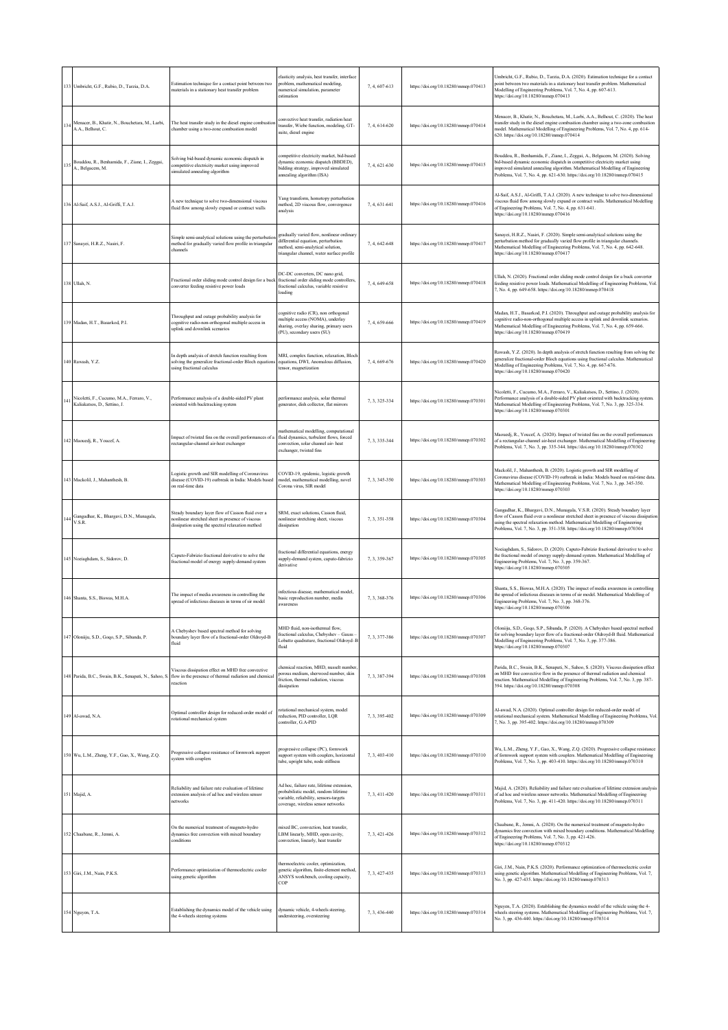|     | 133 Umbricht G.F. Rubio D. Tarzia D.A.                                    | Estimation technique for a contact point between two<br>materials in a stationary heat transfer problem                                                                       | elasticity analysis, heat transfer, interface<br>problem, mathematical modeling,<br>numerical simulation, parameter<br>estimation                                 | 7.4.607-613   | https://doi.org/10.18280/mmep.070413 | Umbricht, G.F., Rubio, D., Tarzia, D.A. (2020). Estimation technique for a contact<br>point between two materials in a stationary heat transfer problem. Mathematical<br>Modelling of Engineering Problems, Vol. 7, No. 4, pp. 607-613.<br>https://doi.org/10.18280/mmep.070413                                                        |
|-----|---------------------------------------------------------------------------|-------------------------------------------------------------------------------------------------------------------------------------------------------------------------------|-------------------------------------------------------------------------------------------------------------------------------------------------------------------|---------------|--------------------------------------|----------------------------------------------------------------------------------------------------------------------------------------------------------------------------------------------------------------------------------------------------------------------------------------------------------------------------------------|
| 134 | Menacer, B., Khatir, N., Bouchetara, M., Larbi,<br>A.A., Belhout, C.      | The heat transfer study in the diesel engine combustic<br>chamber using a two-zone combustion model                                                                           | onvective heat transfer, radiation heat<br>ransfer, Wiebe function, modeling, GT-<br>suite, diesel engine                                                         | 7, 4, 614-620 | https://doi.org/10.18280/mmep.070414 | Menacer, B., Khatir, N., Bouchetara, M., Larbi, A.A., Belhout, C. (2020). The heat<br>transfer study in the diesel engine combustion chamber using a two-zone combustion<br>nodel. Mathematical Modelling of Engineering Problems, Vol. 7, No. 4, pp. 614-<br>620. https://doi.org/10.18280/mmcp.070414                                |
| 135 | Bouddou, R., Benhamida, F., Ziane, I., Zeggai,<br>A., Belgacem, M.        | Solving bid-based dynamic economic dispatch in<br>competitive electricity market using improved<br>imulated annealing algorithm                                               | competitive electricity market, bid-based<br>dynamic economic dispatch (BBDED),<br>bidding strategy, improved simulated<br>annealing algorithm (ISA)              | 7, 4, 621-630 | https://doi.org/10.18280/mmep.070415 | Bouddou, R., Benhamida, F., Ziane, I., Zeggai, A., Belgacem, M. (2020). Solving<br>bid-based dynamic economic dispatch in competitive electricity market using<br>improved simulated annealing algorithm. Mathematical Modelling of Engineering<br>Problems, Vol. 7, No. 4, pp. 621-630. https://doi.org/10.18280/mmep.070415          |
|     | 136 Al-Saif, A.S.J., Al-Griffi, T.A.J.                                    | A new technique to solve two-dimensional viscous<br>fluid flow among slowly expand or contract walls                                                                          | Yang transform, homotopy perturbation<br>method, 2D viscous flow, convergence<br>analysis                                                                         | 7, 4, 631-641 | https://doi.org/10.18280/mmep.070416 | Al-Saif, A.S.J., Al-Griffi, T.A.J. (2020). A new technique to solve two-dimensional<br>viscous fluid flow among slowly expand or contract walls. Mathematical Modelling<br>of Engineering Problems, Vol. 7, No. 4, pp. 631-641.<br>https://doi.org/10.18280/mmcp.070416                                                                |
|     | 137 Sanavei, H.R.Z., Nasiri, F.                                           | Simple semi-analytical solutions using the perturbatio<br>method for gradually varied flow profile in triangular<br>channels                                                  | radually varied flow, nonlinear ordinary<br>differential equation, perturbation<br>nethod, semi-analytical solution,<br>triangular channel, water surface profile | 7, 4, 642-648 | https://doi.org/10.18280/mmep.070417 | Sanayei, H.R.Z., Nasiri, F. (2020). Simple semi-analytical solutions using the<br>perturbation method for gradually varied flow profile in triangular channels.<br>Mathematical Modelling of Engineering Problems, Vol. 7, No. 4, pp. 642-648.<br>https://doi.org/10.18280/mmep.070417                                                 |
|     | 138 Ullah, N.                                                             | Fractional order sliding mode control design for a buc<br>converter feeding resistive power loads                                                                             | DC-DC converters, DC nano grid,<br>fractional order sliding mode controllers,<br>fractional calculus, variable resistive<br>loading                               | 7, 4, 649-658 | https://doi.org/10.18280/mmep.070418 | Ullah, N. (2020). Fractional order sliding mode control design for a buck converter<br>feeding resistive power loads. Mathematical Modelling of Engineering Problems, Vol<br>7, No. 4, pp. 649-658. https://doi.org/10.18280/mmcp.070418                                                                                               |
|     | 139 Madan, H.T., Basarkod, P.I.                                           | Throughput and outage probability analysis for<br>cognitive radio-non-orthogonal multiple access in<br>uplink and downlink scenarios                                          | ognitive radio (CR), non orthogonal<br>nultiple access (NOMA), underlay<br>sharing, overlay sharing, primary users<br>(PU), secondary users (SU)                  | 7, 4, 659-666 | https://doi.org/10.18280/mmep.070419 | Madan, H.T., Basarkod, P.I. (2020). Throughput and outage probability analysis for<br>cognitive radio-non-orthogonal multiple access in uplink and downlink scenarios.<br>Mathematical Modelling of Engineering Problems, Vol. 7, No. 4, pp. 659-666.<br>https://doi.org/10.18280/mmcp.070419                                          |
|     | 140 Rawash, Y.Z.                                                          | In depth analysis of stretch function resulting from<br>solving the generalize fractional-order Bloch equation<br>using fractional calculus                                   | MRI, complex function, relaxation, Bloch<br>equations, DWI, Anomalous diffusion,<br>ensor, magnetization                                                          | 7, 4, 669-676 | https://doi.org/10.18280/mmcp.070420 | Rawash, Y.Z. (2020). In depth analysis of stretch function resulting from solving the<br>generalize fractional-order Bloch equations using fractional calculus. Mathematical<br>Modelling of Engineering Problems, Vol. 7, No. 4, pp. 667-676.<br>https://doi.org/10.18280/mmep.070420                                                 |
| 141 | Nicoletti, F., Cucumo, M.A., Ferraro, V.,<br>Kaliakatsos, D., Settino, J. | Performance analysis of a double-sided PV plant<br>priented with backtracking system                                                                                          | performance analysis, solar thermal<br>generator, dish collector, flat mirrors                                                                                    | 7.3.325-334   | https://doi.org/10.18280/mmep.070301 | Nicoletti, F., Cucumo, M.A., Ferraro, V., Kaliakatsos, D., Settino, J. (2020).<br>Performance analysis of a double-sided PV plant oriented with backtracking system.<br>Mathematical Modelling of Engineering Problems, Vol. 7, No. 3, pp. 325-334.<br>https://doi.org/10.18280/mmep.070301                                            |
|     | 142 Maouedj, R., Youcef, A.                                               | Impact of twisted fins on the overall performances of<br>rectangular-channel air-heat exchanger                                                                               | nathematical modelling, computational<br>fluid dynamics, turbulent flows, forced<br>convection, solar channel air-heat<br>exchanger, twisted fins                 | 7.3.335-344   | https://doi.org/10.18280/mmep.070302 | Maouedj, R., Youcef, A. (2020). Impact of twisted fins on the overall performances<br>of a rectangular-channel air-heat exchanger. Mathematical Modelling of Engineering<br>Problems, Vol. 7, No. 3, pp. 335-344. https://doi.org/10.18280/mmep.070302                                                                                 |
|     | 143 Mackolil, J., Mahanthesh, B.                                          | Logistic growth and SIR modelling of Coronavirus<br>disease (COVID-19) outbreak in India: Models based<br>on real-time data                                                   | COVID-19, epidemic, logistic growth<br>model, mathematical modelling, novel<br>Corona virus, SIR model                                                            | 7, 3, 345-350 | https://doi.org/10.18280/mmep.070303 | Mackolil, J., Mahanthesh, B. (2020). Logistic growth and SIR modelling of<br>Coronavirus disease (COVID-19) outbreak in India: Models based on real-time data<br>Mathematical Modelling of Engineering Problems, Vol. 7, No. 3, pp. 345-350.<br>https://doi.org/10.18280/mmep.070303                                                   |
| 144 | Gangadhar, K., Bhargavi, D.N., Munagala,<br>V.S.R.                        | Steady boundary layer flow of Casson fluid over a<br>nonlinear stretched sheet in presence of viscous<br>dissipation using the spectral relaxation method                     | SRM, exact solutions, Casson fluid,<br>nonlinear stretching sheet, viscous<br>dissipation                                                                         | 7.3.351-358   | https://doi.org/10.18280/mmep.070304 | Gangadhar, K., Bhargavi, D.N., Munagala, V.S.R. (2020). Steady boundary layer<br>flow of Casson fluid over a nonlinear stretched sheet in presence of viscous dissipation<br>using the spectral relaxation method. Mathematical Modelling of Engineering<br>Problems, Vol. 7, No. 3, pp. 351-358. https://doi.org/10.18280/mmep.070304 |
|     | 145 Noeiaghdam, S., Sidorov, D.                                           | Caputo-Fabrizio fractional derivative to solve the<br>fractional model of energy supply-demand system                                                                         | fractional differential equations, energy<br>upply-demand system, caputo-fabrizio<br>derivative                                                                   | 7, 3, 359-367 | https://doi.org/10.18280/mmep.070305 | Noeiaghdam, S., Sidorov, D. (2020). Caputo-Fabrizio fractional derivative to solve<br>the fractional model of energy supply-demand system. Mathematical Modelling of<br>Engineering Problems, Vol. 7, No. 3, pp. 359-367.<br>https://doi.org/10.18280/mmep.070305                                                                      |
|     | 146 Shanta, S.S., Biswas, M.H.A.                                          | The impact of media awareness in controlling the<br>spread of infectious diseases in terms of sir model                                                                       | nfectious disease, mathematical model,<br>pasic reproduction number, media<br>awareness                                                                           | 7, 3, 368-376 | https://doi.org/10.18280/mmep.070306 | Shanta, S.S., Biswas, M.H.A. (2020). The impact of media awareness in controlling<br>the spread of infectious diseases in terms of sir model. Mathematical Modelling of<br>Engineering Problems, Vol. 7, No. 3, pp. 368-376.<br>https://doi.org/10.18280/mmep.070306                                                                   |
|     | 147 Oloniiju, S.D., Goqo, S.P., Sibanda, P.                               | A Chebyshev based spectral method for solving<br>boundary layer flow of a fractional-order Oldroyd-B<br>fluid                                                                 | MHD fluid, non-isothermal flow.<br>fractional calculus, Chebyshev - Gauss -<br>.obatto quadrature, fractional Oldroyd-E<br>fluid                                  | 7, 3, 377-386 | https://doi.org/10.18280/mmep.070307 | Oloniiju, S.D., Goqo, S.P., Sibanda, P. (2020). A Chebyshev based spectral method<br>for solving boundary layer flow of a fractional-order Oldroyd-B fluid. Mathematical<br>Modelling of Engineering Problems, Vol. 7, No. 3, pp. 377-386.<br>https://doi.org/10.18280/mmep.070307                                                     |
|     |                                                                           | Viscous dissipation effect on MHD free convective<br>148 Parida, B.C., Swain, B.K., Senapati, N., Sahoo, S. flow in the presence of thermal radiation and chemical<br>eaction | chemical reaction, MHD, nusselt number<br>porous medium, sherwood number, skin<br>riction, thermal radiation, viscous<br>dissipation                              | 7, 3, 387-394 | https://doi.org/10.18280/mmep.070308 | Parida, B.C., Swain, B.K., Senapati, N., Sahoo, S. (2020). Viscous dissipation effect<br>on MHD free convective flow in the presence of thermal radiation and chemical<br>eaction. Mathematical Modelling of Engineering Problems, Vol. 7, No. 3, pp. 387-<br>394. https://doi.org/10.18280/mmcp.070308                                |
|     | 149 Al-awad, N.A.                                                         | Optimal controller design for reduced-order model of<br>rotational mechanical system                                                                                          | otational mechanical system, model<br>eduction. PID controller. LOR<br>ontroller, G.A-PID                                                                         | 7, 3, 395-402 | https://doi.org/10.18280/mmep.070309 | Al-awad, N.A. (2020). Optimal controller design for reduced-order model of<br>rotational mechanical system. Mathematical Modelling of Engineering Problems, Vol<br>7, No. 3, pp. 395-402. https://doi.org/10.18280/mmcp.070309                                                                                                         |
|     | 150 Wu, L.M., Zheng, Y.F., Gao, X., Wang, Z.Q.                            | Progressive collapse resistance of formwork support<br>system with couplers                                                                                                   | progressive collapse (PC), formwork<br>upport system with couplers, horizontal<br>tube, upright tube, node stiffness                                              | 7, 3, 403-410 | https://doi.org/10.18280/mmep.070310 | Wu, L.M., Zheng, Y.F., Gao, X., Wang, Z.Q. (2020). Progressive collapse resistance<br>of formwork support system with couplers. Mathematical Modelling of Engineering<br>Problems, Vol. 7, No. 3, pp. 403-410. https://doi.org/10.18280/mmep.070310                                                                                    |
|     | 151 Majid, A.                                                             | Reliability and failure rate evaluation of lifetime<br>extension analysis of ad hoc and wireless sensor<br>ietworks                                                           | Ad hoc, failure rate, lifetime extension.<br>probabilistic model, random lifetime<br>variable, reliability, sensors-targets<br>coverage, wireless sensor networks | 7, 3, 411-420 | https://doi.org/10.18280/mmep.070311 | Majid, A. (2020). Reliability and failure rate evaluation of lifetime extension analysis<br>of ad hoc and wireless sensor networks. Mathematical Modelling of Engineering<br>Problems, Vol. 7, No. 3, pp. 411-420. https://doi.org/10.18280/mmep.070311                                                                                |
|     | 152 Chaabane, R., Jemni, A.                                               | On the numerical treatment of magneto-hydro<br>dynamics free convection with mixed boundary<br>conditions                                                                     | mixed BC, convection, heat transfer,<br>LBM linearly, MHD, open cavity,<br>convection, linearly, heat transfer                                                    | 7, 3, 421-426 | https://doi.org/10.18280/mmep.070312 | Chaabane, R., Jemni, A. (2020). On the numerical treatment of magneto-hydro<br>dynamics free convection with mixed boundary conditions. Mathematical Modelling<br>of Engineering Problems, Vol. 7, No. 3, pp. 421-426.<br>https://doi.org/10.18280/mmep.070312                                                                         |
|     | 153 Giri, J.M., Nain, P.K.S.                                              | Performance optimization of thermoelectric cooler<br>ising genetic algorithm                                                                                                  | thermoelectric cooler, optimization,<br>genetic algorithm, finite-element method,<br>ANSYS workbench, cooling capacity,<br>COP                                    | 7.3.427-435   | https://doi.org/10.18280/mmep.070313 | Giri, J.M., Nain, P.K.S. (2020). Performance optimization of thermoelectric cooler<br>using genetic algorithm. Mathematical Modelling of Engineering Problems, Vol. 7,<br>No. 3, pp. 427-435. https://doi.org/10.18280/mmep.070313                                                                                                     |
|     | 154 Nguyen, T.A.                                                          | Establishing the dynamics model of the vehicle using<br>the 4-wheels steering systems                                                                                         | dynamic vehicle, 4-wheels steering,<br>andersteering, oversteering                                                                                                | 7, 3, 436-440 | https://doi.org/10.18280/mmep.070314 | Nguyen, T.A. (2020). Establishing the dynamics model of the vehicle using the 4-<br>wheels steering systems. Mathematical Modelling of Engineering Problems, Vol. 7,<br>No. 3, pp. 436-440. https://doi.org/10.18280/mmep.070314                                                                                                       |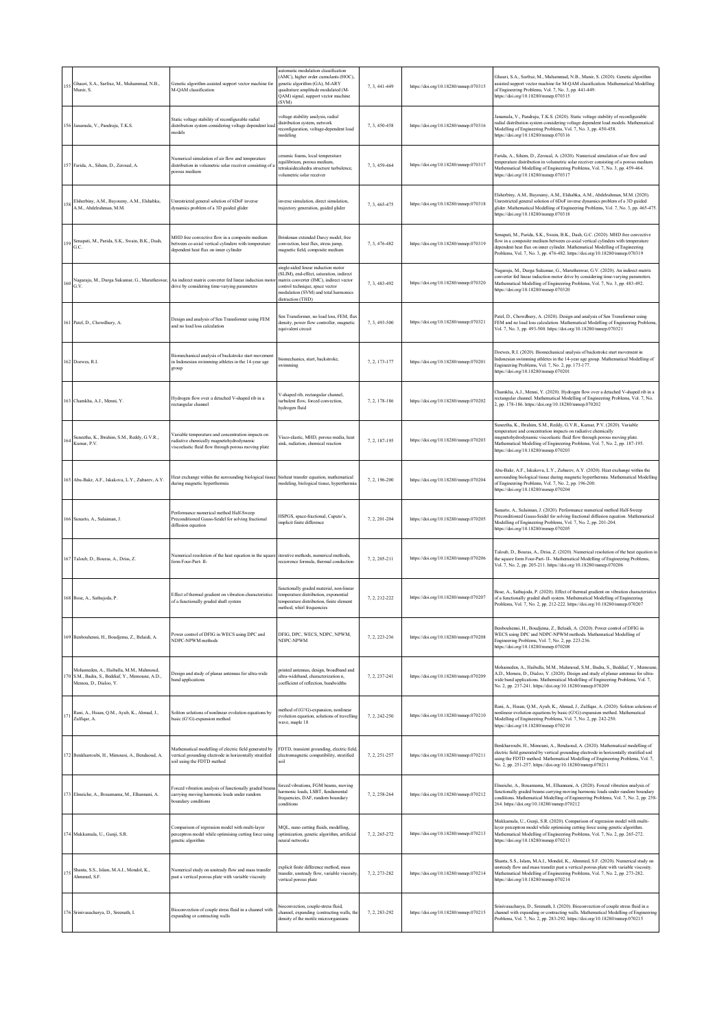| 15: | Ghauri, S.A., Sarfraz, M., Muhammad, N.B.,<br>Munir, S.                                                          | Genetic algorithm assisted support vector machine for<br>M-QAM classification                                                                       | automatic modulation classification<br>AMC), higher order cumulants (HOC).<br>enetic algorithm (GA), M-ARY<br>quadrature amplitude modulated (M-<br>QAM) signal, support vector machine<br>(SVM)                         | 7, 3, 441-449 | https://doi.org/10.18280/mmep.070315 | Ghauri, S.A., Sarfraz, M., Muhammad, N.B., Munir, S. (2020). Genetic algorithm<br>assisted support vector machine for M-QAM classification. Mathematical Modelling<br>of Engineering Problems, Vol. 7, No. 3, pp. 441-449.<br>https://doi.org/10.18280/mmep.070315                                                                           |
|-----|------------------------------------------------------------------------------------------------------------------|-----------------------------------------------------------------------------------------------------------------------------------------------------|--------------------------------------------------------------------------------------------------------------------------------------------------------------------------------------------------------------------------|---------------|--------------------------------------|----------------------------------------------------------------------------------------------------------------------------------------------------------------------------------------------------------------------------------------------------------------------------------------------------------------------------------------------|
|     | 156 Janamala, V., Pandraju, T.K.S.                                                                               | Static voltage stability of reconfigurable radial<br>distribution system considering voltage dependent loa<br>nodels                                | voltage stability analysis, radial<br>distribution system, network<br>econfiguration, voltage-dependent load<br>modeling                                                                                                 | 7, 3, 450-458 | https://doi.org/10.18280/mmep.070316 | Janamala, V., Pandraju, T.K.S. (2020). Static voltage stability of reconfigurable<br>radial distribution system considering voltage dependent load models. Mathematical<br>Modelling of Engineering Problems, Vol. 7, No. 3, pp. 450-458.<br>https://doi.org/10.18280/mmep.070316                                                            |
|     | Farida, A., Sihem, D., Zeroual, A.                                                                               | Numerical simulation of air flow and temperature<br>distribution in volumetric solar receiver consisting of<br>orous medium                         | eramic foams, local temperature<br>quilibrium, porous medium<br>etrakaidecahedra structure turbulence.<br>volumetric solar receiver                                                                                      | 7, 3, 459-464 | https://doi.org/10.18280/mmep.070317 | Farida, A., Sihem, D., Zeroual, A. (2020). Numerical simulation of air flow and<br>temperature distribution in volumetric solar receiver consisting of a porous medium<br>Mathematical Modelling of Engineering Problems, Vol. 7, No. 3, pp. 459-464.<br>https://doi.org/10.18280/mmep.070317                                                |
|     | Elsherbiny, A.M., Bayoumy, A.M., Elshabka,<br>A.M., Abdelrahman, M.M.                                            | Unrestricted general solution of 6DoF inverse<br>dynamics problem of a 3D guided glider                                                             | inverse simulation, direct simulation.<br>trajectory generation, guided glider                                                                                                                                           | 7, 3, 465-475 | https://doi.org/10.18280/mmep.070318 | Elsherbiny, A.M., Bayoumy, A.M., Elshabka, A.M., Abdelrahman, M.M. (2020).<br>Unrestricted general solution of 6DoF inverse dynamics problem of a 3D guided<br>glider. Mathematical Modelling of Engineering Problems, Vol. 7, No. 3, pp. 465-475.<br>https://doi.org/10.18280/mmep.070318                                                   |
| 159 | Senapati, M., Parida, S.K., Swain, B.K., Dash,<br>G.C.                                                           | MHD free convective flow in a composite medium<br>between co-axial vertical cylinders with temperature<br>dependent heat flux on inner cylinder     | Brinkman extended Darcy model, free<br>convection, heat flux, stress jump,<br>magnetic field, composite medium                                                                                                           | 7, 3, 476-482 | https://doi.org/10.18280/mmep.070319 | Senapati, M., Parida, S.K., Swain, B.K., Dash, G.C. (2020). MHD free convective<br>flow in a composite medium between co-axial vertical cylinders with temperature<br>dependent heat flux on inner cylinder. Mathematical Modelling of Engineering<br>Problems, Vol. 7, No. 3, pp. 476-482. https://doi.org/10.18280/mmep.070319             |
| 160 | Nagaraju, M., Durga Sukumar, G., Marutheswar,<br>G.V.                                                            | An indirect matrix converter fed linear induction moto<br>drive by considering time-varying parameters                                              | single-sided linear induction motor<br>SLIM), end-effect, saturation, indirect<br>natrix converter (IMC), indirect vector<br>ontrol technique, space vector<br>nodulation (SVM) and total harmonics<br>distraction (THD) | 7, 3, 483-492 | https://doi.org/10.18280/mmep.070320 | Nagaraju, M., Durga Sukumar, G., Marutheswar, G.V. (2020). An indirect matrix<br>converter fed linear induction motor drive by considering time-varying parameters.<br>Mathematical Modelling of Engineering Problems, Vol. 7, No. 3, pp. 483-492.<br>https://doi.org/10.18280/mmep.070320                                                   |
|     | Patel, D., Chowdhury, A.                                                                                         | Design and analysis of Sen Transformer using FEM<br>and no load loss calculation                                                                    | Sen Transformer, no load loss, FEM, flux<br>density, power flow controller, magnetic<br>equivalent circuit                                                                                                               | 7.3.493-500   | https://doi.org/10.18280/mmep.070321 | Patel, D., Chowdhury, A. (2020). Design and analysis of Sen Transformer using<br>FEM and no load loss calculation. Mathematical Modelling of Engineering Problems<br>Vol. 7, No. 3, pp. 493-500. https://doi.org/10.18280/mmep.070321                                                                                                        |
|     | 162 Doewes, R.I.                                                                                                 | Biomechanical analysis of backstroke start movement<br>in Indonesian swimming athletes in the 14-year age<br>group                                  | biomechanics, start, backstroke,<br>swimming                                                                                                                                                                             | 7, 2, 173-177 | https://doi.org/10.18280/mmep.070201 | Doewes, R.I. (2020). Biomechanical analysis of backstroke start movement in<br>Indonesian swimming athletes in the 14-year age group. Mathematical Modelling of<br>Engineering Problems, Vol. 7, No. 2, pp. 173-177.<br>https://doi.org/10.18280/mmep.070201                                                                                 |
|     | Chamkha, A.J., Menni, Y.                                                                                         | Hydrogen flow over a detached V-shaped rib in a<br>rectangular channel                                                                              | V-shaped rib, rectangular channel,<br>turbulent flow, forced convection.<br>hydrogen fluid                                                                                                                               | 7, 2, 178-186 | https://doi.org/10.18280/mmep.070202 | Chamkha, A.J., Menni, Y. (2020). Hydrogen flow over a detached V-shaped rib in a<br>rectangular channel. Mathematical Modelling of Engineering Problems, Vol. 7, No.<br>2, pp. 178-186. https://doi.org/10.18280/mmep.070202                                                                                                                 |
| 164 | Suneetha, K., Ibrahim, S.M., Reddy, G.V.R.,<br>Kumar, P.V.                                                       | Variable temperature and concentration impacts on<br>adiative chemically magnetohydrodynamic<br>viscoelastic fluid flow through porous moving plate | Visco-elastic, MHD, porous media, heat<br>ink, radiation, chemical reaction                                                                                                                                              | 7, 2, 187-195 | https://doi.org/10.18280/mmep.070203 | Suneetha, K., Ibrahim, S.M., Reddy, G.V.R., Kumar, P.V. (2020). Variable<br>temperature and concentration impacts on radiative chemically<br>magnetohydrodynamic viscoelastic fluid flow through porous moving plate.<br>Mathematical Modelling of Engineering Problems, Vol. 7, No. 2, pp. 187-195.<br>https://doi.org/10.18280/mmep.070203 |
|     | 165 Abu-Bakr, A.F., Iskakova, L.Y., Zubarev, A.Y.                                                                | Heat exchange within the surrounding biological tissue<br>during magnetic hyperthermia                                                              | bioheat transfer equation, mathematical<br>modeling, biological tissue, hyperthermia                                                                                                                                     | 7, 2, 196-200 | https://doi.org/10.18280/mmcp.070204 | Abu-Bakr, A.F., Iskakova, L.Y., Zubarev, A.Y. (2020). Heat exchange within the<br>surrounding biological tissue during magnetic hyperthermia. Mathematical Modelling<br>of Engineering Problems, Vol. 7, No. 2, pp. 196-200.<br>https://doi.org/10.18280/mmep.070204                                                                         |
|     | Sunarto, A., Sulaiman, J.                                                                                        | Performance numerical method Half-Sweep<br>Preconditioned Gauss-Seidel for solving fractional<br>diffusion equation                                 | HSPGS, space-fractional, Caputo's,<br>mplicit finite difference                                                                                                                                                          | 7.2.201-204   | https://doi.org/10.18280/mmep.070205 | Sunarto, A., Sulaiman, J. (2020). Performance numerical method Half-Sweep<br>Preconditioned Gauss-Seidel for solving fractional diffusion equation. Mathematical<br>Modelling of Engineering Problems, Vol. 7, No. 2, pp. 201-204.<br>https://doi.org/10.18280/mmep.070205                                                                   |
|     | 167 Taloub, D., Bouras, A., Driss, Z.                                                                            | Numerical resolution of the heat equation in the square<br>orm Four-Part-II-                                                                        | iterative methods, numerical methods,<br>ecurrence formula, thermal conduction                                                                                                                                           | 7, 2, 205-211 | https://doi.org/10.18280/mmep.070206 | Taloub, D., Bouras, A., Driss, Z. (2020). Numerical resolution of the heat equation in<br>the square form Four-Part- II-. Mathematical Modelling of Engineering Problems,<br>Vol. 7, No. 2, pp. 205-211. https://doi.org/10.18280/mmep.070206                                                                                                |
|     | 168 Bose, A., Sathujoda, P.                                                                                      | Effect of thermal gradient on vibration characteristics<br>of a functionally graded shaft system                                                    | functionally graded material, non-linear<br>emperature distribution, exponential<br>temperature distribution, finite element<br>method, whirl frequencies                                                                | 7, 2, 212-222 | https://doi.org/10.18280/mmep.070207 | Bose, A., Sathujoda, P. (2020). Effect of thermal gradient on vibration characteristics<br>of a functionally graded shaft system. Mathematical Modelling of Engineering<br>Problems, Vol. 7, No. 2, pp. 212-222. https://doi.org/10.18280/mmep.070207                                                                                        |
|     | 169 Benbouhenni, H., Boudjema, Z., Belaidi, A.                                                                   | Power control of DFIG in WECS using DPC and<br>NDPC-NPWM methods                                                                                    | DFIG. DPC, WECS, NDPC, NPWM.<br>NDPC-NPWM                                                                                                                                                                                | 7, 2, 223-236 | https://doi.org/10.18280/mmep.070208 | Benbouhenni, H., Boudjema, Z., Belaidi, A. (2020). Power control of DFIG in<br>WECS using DPC and NDPC-NPWM methods. Mathematical Modelling of<br>Engineering Problems, Vol. 7, No. 2, pp. 223-236.<br>https://doi.org/10.18280/mmep.070208                                                                                                  |
|     | Mohameden, A., Haiballa, M.M., Mahmoud,<br>S.M., Badra, S., Beddiaf, Y., Memoune, A.D.,<br>Memou, D., Dialoo, Y. | Design and study of planar antennas for ultra-wide<br>band applications                                                                             | printed antennas, design, broadband and<br>altra-wideband, characterization n.<br>oefficient of reflection, bandwidths                                                                                                   | 7, 2, 237-241 | https://doi.org/10.18280/mmcp.070209 | Mohameden, A., Haiballa, M.M., Mahmoud, S.M., Badra, S., Beddiaf, Y., Memoune<br>A.D., Memou, D., Dialoo, Y. (2020). Design and study of planar antennas for ultra-<br>wide band applications. Mathematical Modelling of Engineering Problems, Vol. 7,<br>No. 2, pp. 237-241. https://doi.org/10.18280/mmep.070209                           |
|     | Rani, A., Hssan, Q.M., Ayub, K., Ahmad, J.,<br>Zulfiqar, A.                                                      | Soliton solutions of nonlinear evolution equations by<br>vasic (G'/G)-expansion method                                                              | nethod of (G'/G)-expansion, nonlinear<br>volution equation, solutions of travelling<br>wave, maple 18                                                                                                                    | 7, 2, 242-250 | https://doi.org/10.18280/mmep.070210 | Rani, A., Hssan, Q.M., Ayub, K., Ahmad, J., Zulfiqar, A. (2020). Soliton solutions of<br>nonlinear evolution equations by basic (G'/G)-expansion method. Mathematical<br>Modelling of Engineering Problems, Vol. 7, No. 2, pp. 242-250.<br>https://doi.org/10.18280/mmcp.070210                                                              |
|     | 172 Benkharroubi, H., Mimouni, A., Bendaoud, A.                                                                  | Mathematical modelling of electric field generated by<br>vertical grounding electrode in horizontally stratified<br>ioil using the FDTD method      | <sup>7</sup> DTD, transient grounding, electric field<br>electromagnetic compatibility, stratified<br>soil                                                                                                               | 7.2.251-257   | https://doi.org/10.18280/mmep.070211 | Benkharroubi, H., Mimouni, A., Bendaoud, A. (2020). Mathematical modelling of<br>electric field generated by vertical grounding electrode in horizontally stratified soil<br>using the FDTD method. Mathematical Modelling of Engineering Problems, Vol. 7,<br>No. 2, pp. 251-257. https://doi.org/10.18280/mmep.070211                      |
|     | 173 Elmeiche, A., Bouamama, M., Elhannani, A.                                                                    | Forced vibration analysis of functionally graded beam<br>carrying moving harmonic loads under random<br>oundary conditions                          | forced vibrations, FGM beams, moving<br>aarmonic loads, LSBT, fundamental<br>frequencies, DAF, random boundary<br>onditions                                                                                              | 7, 2, 258-264 | https://doi.org/10.18280/mmep.070212 | Elmeiche, A., Bouamama, M., Elhannani, A. (2020). Forced vibration analysis of<br>functionally graded beams carrying moving harmonic loads under random boundary<br>conditions. Mathematical Modelling of Engineering Problems, Vol. 7, No. 2, pp. 258-<br>264. https://doi.org/10.18280/mmep.070212                                         |
|     | 174 Mukkamala, U., Gunji, S.R.                                                                                   | Comparison of regression model with multi-layer<br>perceptron model while optimising cutting force using<br>enetic algorithm                        | MQL, nano cutting fluids, modelling,<br>optimization, genetic algorithm, artificial<br>cural networks                                                                                                                    | 7, 2, 265-272 | https://doi.org/10.18280/mmep.070213 | Mukkamala, U., Gunji, S.R. (2020). Comparison of regression model with multi-<br>layer perceptron model while optimising cutting force using genetic algorithm.<br>Mathematical Modelling of Engineering Problems, Vol. 7, No. 2, pp. 265-272.<br>https://doi.org/10.18280/mmep.070213                                                       |
| 175 | Shanta, S.S., Islam, M.A.I., Mondol, K.,<br>Ahmmed, S.F.                                                         | Numerical study on unsteady flow and mass transfer<br>bast a vertical porous plate with variable viscosity                                          | xplicit finite difference method, mass<br>ransfer, unsteady flow, variable viscosity<br>vertical porous plate                                                                                                            | 7.2.273-282   | https://doi.org/10.18280/mmep.070214 | Shanta, S.S., Islam, M.A.I., Mondol, K., Ahmmed, S.F. (2020). Numerical study on<br>unsteady flow and mass transfer past a vertical porous plate with variable viscosity.<br>Mathematical Modelling of Engineering Problems, Vol. 7, No. 2, pp. 273-282.<br>https://doi.org/10.18280/mmep.070214                                             |
|     |                                                                                                                  |                                                                                                                                                     | ioconvection, couple-stress fluid,                                                                                                                                                                                       |               |                                      | Srinivasacharya, D., Sreenath, I. (2020). Bioconvection of couple stress fluid in a                                                                                                                                                                                                                                                          |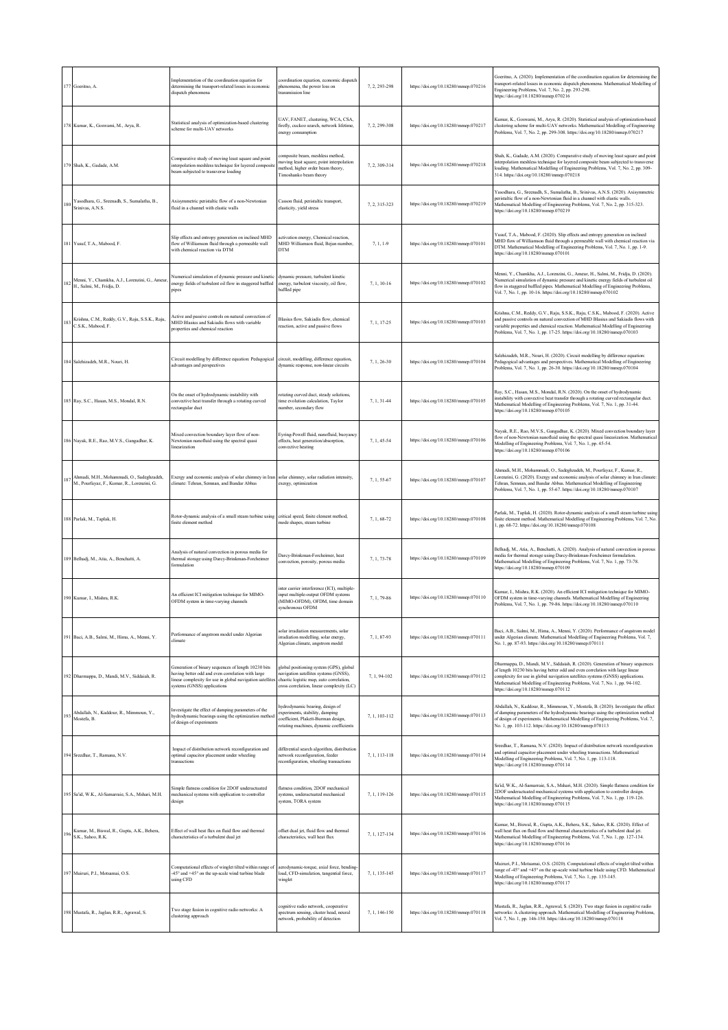|     | 177 Goeritno, A.                                                                         | Implementation of the coordination equation for<br>determining the transport-related losses in economic<br>dispatch phenomena                                                                      | coordination equation, economic dispatch<br>phenomena, the power loss on<br>transmission line                                                                            | 7, 2, 293-298 | https://doi.org/10.18280/mmep.070216 | Goeritno, A. (2020). Implementation of the coordination equation for determining the<br>transport-related losses in economic dispatch phenomena. Mathematical Modelling of<br>Engineering Problems, Vol. 7, No. 2, pp. 293-298.<br>https://doi.org/10.18280/mmep.070216                                                                                                   |
|-----|------------------------------------------------------------------------------------------|----------------------------------------------------------------------------------------------------------------------------------------------------------------------------------------------------|--------------------------------------------------------------------------------------------------------------------------------------------------------------------------|---------------|--------------------------------------|---------------------------------------------------------------------------------------------------------------------------------------------------------------------------------------------------------------------------------------------------------------------------------------------------------------------------------------------------------------------------|
|     | 178 Kumar, K., Goswami, M., Arya, R.                                                     | Statistical analysis of optimization-based clustering<br>scheme for multi-UAV networks                                                                                                             | UAV, FANET, clustering, WCA, CSA,<br>firefly, cuckoo search, network lifetime,<br>energy consumption                                                                     | 7, 2, 299-308 | https://doi.org/10.18280/mmcp.070217 | Kumar, K., Goswami, M., Arya, R. (2020). Statistical analysis of optimization-based<br>clustering scheme for multi-UAV networks. Mathematical Modelling of Engineering<br>Problems, Vol. 7, No. 2, pp. 299-308. https://doi.org/10.18280/mmep.070217                                                                                                                      |
|     | 179 Shah, K., Gadade, A.M.                                                               | Comparative study of moving least square and point<br>interpolation meshless technique for layered composit<br>beam subjected to transverse loading                                                | omposite beam, meshless method,<br>moving least square, point interpolation<br>method, higher order beam theory,<br>Timoshanko beam theory                               | 7, 2, 309-314 | https://doi.org/10.18280/mmep.070218 | Shah, K., Gadade, A.M. (2020). Comparative study of moving least square and point<br>interpolation meshless technique for layered composite beam subjected to transverse<br>loading. Mathematical Modelling of Engineering Problems, Vol. 7, No. 2, pp. 309-<br>314. https://doi.org/10.18280/mmep.070218                                                                 |
| 180 | Yasodhara, G., Sreenadh, S., Sumalatha, B.,<br>Srinivas, A.N.S.                          | Axisymmetric peristaltic flow of a non-Newtonian<br>fluid in a channel with elastic walls                                                                                                          | Casson fluid, peristaltic transport,<br>elasticity, yield stress                                                                                                         | 7, 2, 315-323 | https://doi.org/10.18280/mmep.070219 | Yasodhara, G., Sreenadh, S., Sumalatha, B., Srinivas, A.N.S. (2020). Axisymmetric<br>peristaltic flow of a non-Newtonian fluid in a channel with elastic walls.<br>Mathematical Modelling of Engineering Problems, Vol. 7, No. 2, pp. 315-323.<br>https://doi.org/10.18280/mmep.070219                                                                                    |
|     | 181 Yusuf, T.A., Mabood, F.                                                              | Slip effects and entropy generation on inclined MHD<br>flow of Williamson fluid through a permeable wall<br>with chemical reaction via DTM                                                         | activation energy, Chemical reaction,<br>MHD Williamson fluid, Bejan number,<br><b>DTM</b>                                                                               | $7, 1, 1-9$   | https://doi.org/10.18280/mmep.070101 | Yusuf, T.A., Mabood, F. (2020). Slip effects and entropy generation on inclined<br>MHD flow of Williamson fluid through a permeable wall with chemical reaction via<br>DTM. Mathematical Modelling of Engineering Problems, Vol. 7, No. 1, pp. 1-9.<br>https://doi.org/10.18280/mmep.070101                                                                               |
| 182 | Menni, Y., Chamkha, A.J., Lorenzini, G., Ameur,<br>H., Salmi, M., Fridja, D.             | Numerical simulation of dynamic pressure and kinetic<br>energy fields of turbulent oil flow in staggered baffled<br>pipes                                                                          | dynamic pressure, turbulent kinetic<br>energy, turbulent viscosity, oil flow,<br>baffled pipe                                                                            | 7, 1, 10-16   | https://doi.org/10.18280/mmep.070102 | Menni, Y., Chamkha, A.J., Lorenzini, G., Ameur, H., Salmi, M., Fridja, D. (2020).<br>Numerical simulation of dynamic pressure and kinetic energy fields of turbulent oil<br>flow in staggered baffled pipes. Mathematical Modelling of Engineering Problems,<br>Vol. 7, No. 1, pp. 10-16. https://doi.org/10.18280/mmep.070102                                            |
| 183 | Krishna, C.M., Reddy, G.V., Raju, S.S.K., Raju,<br>C.S.K., Mabood, F.                    | Active and passive controls on natural convection of<br>MHD Blasius and Sakiadis flows with variable<br>properties and chemical reaction                                                           | Blasius flow, Sakiadis flow, chemical<br>reaction, active and passive flows                                                                                              | 7, 1, 17-25   | https://doi.org/10.18280/mmep.070103 | Krishna, C.M., Reddy, G.V., Raju, S.S.K., Raju, C.S.K., Mabood, F. (2020). Active<br>and passive controls on natural convection of MHD Blasius and Sakiadis flows with<br>variable properties and chemical reaction. Mathematical Modelling of Engineering<br>Problems, Vol. 7, No. 1, pp. 17-25. https://doi.org/10.18280/mmep.070103                                    |
|     | 184 Salehizadeh, M.R., Nouri, H.                                                         | Circuit modelling by difference equation: Pedagogical<br>advantages and perspectives                                                                                                               | circuit, modelling, difference equation,<br>dynamic response, non-linear circuits                                                                                        | 7, 1, 26-30   | https://doi.org/10.18280/mmep.070104 | Salehizadeh, M.R., Nouri, H. (2020). Circuit modelling by difference equation:<br>Pedagogical advantages and perspectives. Mathematical Modelling of Engineering<br>Problems, Vol. 7, No. 1, pp. 26-30. https://doi.org/10.18280/mmep.070104                                                                                                                              |
|     | 185 Ray, S.C., Hasan, M.S., Mondal, R.N.                                                 | On the onset of hydrodynamic instability with<br>convective heat transfer through a rotating curved<br>rectangular duct                                                                            | rotating curved duct, steady solutions,<br>time evolution calculation, Taylor<br>number, secondary flow                                                                  | 7.1.31-44     | https://doi.org/10.18280/mmep.070105 | Ray, S.C., Hasan, M.S., Mondal, R.N. (2020). On the onset of hydrodynamic<br>instability with convective heat transfer through a rotating curved rectangular duct.<br>Mathematical Modelling of Engineering Problems, Vol. 7, No. 1, pp. 31-44.<br>https://doi.org/10.18280/mmep.070105                                                                                   |
|     | 186 Nayak, R.E., Rao, M.V.S., Gangadhar, K.                                              | Mixed convection boundary layer flow of non-<br>Newtonian nanofluid using the spectral quasi<br>linearization                                                                                      | Eyring-Powell fluid, nanofluid, buoyancy<br>effects, heat generation/absorption,<br>convective heating                                                                   | 7, 1, 45-54   | https://doi.org/10.18280/mmep.070106 | Nayak, R.E., Rao, M.V.S., Gangadhar, K. (2020). Mixed convection boundary layer<br>flow of non-Newtonian nanofluid using the spectral quasi linearization. Mathematical<br>Modelling of Engineering Problems, Vol. 7, No. 1, pp. 45-54.<br>https://doi.org/10.18280/mmep.070106                                                                                           |
| 187 | Ahmadi, M.H., Mohammadi, O., Sadeghzadeh,<br>M., Pourfayaz, F., Kumar, R., Lorenzini, G. | Exergy and economic analysis of solar chimney in Iran<br>climate: Tehran, Semnan, and Bandar Abbas                                                                                                 | solar chimney, solar radiation intensity,<br>exergy, optimization                                                                                                        | 7, 1, 55-67   | https://doi.org/10.18280/mmep.070107 | Ahmadi, M.H., Mohammadi, O., Sadeghzadeh, M., Pourfayaz, F., Kumar, R.,<br>Lorenzini, G. (2020). Exergy and economic analysis of solar chimney in Iran climate:<br>Tehran, Semnan, and Bandar Abbas. Mathematical Modelling of Engineering<br>Problems, Vol. 7, No. 1, pp. 55-67. https://doi.org/10.18280/mmep.070107                                                    |
|     | 188 Parlak, M., Taplak, H.                                                               | Rotor-dynamic analysis of a small steam turbine using<br>finite element method                                                                                                                     | critical speed, finite element method,<br>mode shapes, steam turbine                                                                                                     | 7.1.68-72     | https://doi.org/10.18280/mmep.070108 | Parlak, M., Taplak, H. (2020). Rotor-dynamic analysis of a small steam turbine using<br>finite element method. Mathematical Modelling of Engineering Problems, Vol. 7, No.<br>1, pp. 68-72. https://doi.org/10.18280/mmep.070108                                                                                                                                          |
|     | 189 Belhadj, M., Atia, A., Benchatti, A.                                                 | Analysis of natural convection in porous media for<br>thermal storage using Darcy-Brinkman-Forcheimer<br>formulation                                                                               | Darcy-Brinkman-Forcheimer, heat<br>convection, porosity, porous media                                                                                                    | 7, 1, 73-78   | https://doi.org/10.18280/mmep.070109 | Belhadj, M., Atia, A., Benchatti, A. (2020). Analysis of natural convection in porous<br>media for thermal storage using Darcy-Brinkman-Forcheimer formulation.<br>Mathematical Modelling of Engineering Problems, Vol. 7, No. 1, pp. 73-78.<br>https://doi.org/10.18280/mmep.070109                                                                                      |
|     | 190 Kumar, I., Mishra, R.K.                                                              | An efficient ICI mitigation technique for MIMO-<br>OFDM system in time-varying channels                                                                                                            | inter carrier interference (ICI), multiple-<br>input multiple-output OFDM systems<br>(MIMO-OFDM), OFDM, time domain<br>synchronous OFDM                                  | 7, 1, 79-86   | https://doi.org/10.18280/mmep.070110 | Kumar, I., Mishra, R.K. (2020). An efficient ICI mitigation technique for MIMO-<br>OFDM system in time-varying channels. Mathematical Modelling of Engineering<br>Problems, Vol. 7, No. 1, pp. 79-86. https://doi.org/10.18280/mmep.070110                                                                                                                                |
|     | 191 Baci, A.B., Salmi, M., Hima, A., Menni, Y.                                           | Performance of angstrom model under Algerian<br>elimate                                                                                                                                            | olar irradiation measurements, solar<br>irradiation modelling, solar energy,<br>Algerian climate, angstrom model                                                         | 7, 1, 87-93   | https://doi.org/10.18280/mmep.070111 | Baci, A.B., Salmi, M., Hima, A., Menni, Y. (2020). Performance of angstrom model<br>under Algerian climate. Mathematical Modelling of Engineering Problems, Vol. 7,<br>No. 1, pp. 87-93. https://doi.org/10.18280/mmep.070111                                                                                                                                             |
|     | 192 Dharmappa, D., Mandi, M.V., Siddaiah, R.                                             | Generation of binary sequences of length 10230 bits<br>aving better odd and even correlation with large<br>linear complexity for use in global navigation satellite<br>systems (GNSS) applications | global positioning system (GPS), global<br>navigation satellites systems (GNSS),<br>chaotic logistic map, auto correlation,<br>cross correlation, linear complexity (LC) | 7.1.94-102    | https://doi.org/10.18280/mmep.070112 | Dharmappa, D., Mandi, M.V., Siddaiah, R. (2020). Generation of binary sequences<br>of length 10230 bits having better odd and even correlation with large linear<br>complexity for use in global navigation satellites systems (GNSS) applications.<br>Mathematical Modelling of Engineering Problems, Vol. 7, No. 1, pp. 94-102.<br>https://doi.org/10.18280/mmep.070112 |
| 193 | Abdallah, N., Kaddour, R., Mimmoun, Y.,<br>Mostefa, B.                                   | Investigate the effect of damping parameters of the<br>hydrodynamic bearings using the optimization method<br>of design of experiments                                                             | hydrodynamic bearing, design of<br>experiments, stability, damping<br>coefficient, Plakett-Burman design,<br>rotating machines, dynamic coefficients                     | 7, 1, 103-112 | https://doi.org/10.18280/mmep.070113 | Abdallah, N., Kaddour, R., Mimmoun, Y., Mostefa, B. (2020). Investigate the effect<br>of damping parameters of the hydrodynamic bearings using the optimization method<br>of design of experiments. Mathematical Modelling of Engineering Problems, Vol. 7,<br>No. 1, pp. 103-112. https://doi.org/10.18280/mmep.070113                                                   |
|     | 194 Sreedhar, T., Ramana, N.V.                                                           | Impact of distribution network reconfiguration and<br>optimal capacitor placement under wheeling<br>ransactions                                                                                    | differential search algorithm, distribution<br>network reconfiguration, feeder<br>reconfiguration, wheeling transactions                                                 | 7, 1, 113-118 | https://doi.org/10.18280/mmep.070114 | Sreedhar, T., Ramana, N.V. (2020). Impact of distribution network reconfiguration<br>and optimal capacitor placement under wheeling transactions. Mathematical<br>Modelling of Engineering Problems, Vol. 7, No. 1, pp. 113-118.<br>https://doi.org/10.18280/mmep.070114                                                                                                  |
|     | 195 Sa'id, W.K., Al-Samarraie, S.A., Mshari, M.H.                                        | Simple flatness condition for 2DOF underactuated<br>mechanical systems with application to controller<br>design                                                                                    | flatness condition, 2DOF mechanical<br>systems, underactuated mechanical<br>system, TORA system                                                                          | 7, 1, 119-126 | https://doi.org/10.18280/mmep.070115 | Sa'id, W.K., Al-Samarraie, S.A., Mshari, M.H. (2020). Simple flatness condition for<br>2DOF underactuated mechanical systems with application to controller design.<br>Mathematical Modelling of Engineering Problems, Vol. 7, No. 1, pp. 119-126.<br>https://doi.org/10.18280/mmep.070115                                                                                |
| 196 | Kumar, M., Biswal, R., Gupta, A.K., Behera,<br>S.K., Sahoo, R.K.                         | Effect of wall heat flux on fluid flow and thermal<br>characteristics of a turbulent dual jet                                                                                                      | offset dual jet, fluid flow and thermal<br>characteristics, wall heat flux                                                                                               | 7, 1, 127-134 | https://doi.org/10.18280/mmep.070116 | Kumar, M., Biswal, R., Gupta, A.K., Behera, S.K., Sahoo, R.K. (2020). Effect of<br>wall heat flux on fluid flow and thermal characteristics of a turbulent dual jet.<br>Mathematical Modelling of Engineering Problems, Vol. 7, No. 1, pp. 127-134.<br>https://doi.org/10.18280/mmep.070116                                                                               |
|     | 197 Muiruri, P.I., Motsamai, O.S.                                                        | Computational effects of winglet tilted within range of<br>-45° and +45° on the up-scale wind turbine blade<br>using CFD                                                                           | aerodynamic-torque, axial force, bending<br>load, CFD-simulation, tangential force,<br>winglet                                                                           | 7, 1, 135-145 | https://doi.org/10.18280/mmep.070117 | Muiruri, P.I., Motsamai, O.S. (2020). Computational effects of winglet tilted within<br>range of -45° and +45° on the up-scale wind turbine blade using CFD. Mathematical<br>Modelling of Engineering Problems, Vol. 7, No. 1, pp. 135-145.<br>https://doi.org/10.18280/mmep.070117                                                                                       |
|     | 198 Mustafa, R., Jaglan, R.R., Agrawal, S.                                               | Two stage fusion in cognitive radio networks: A<br>clustering approach                                                                                                                             | cognitive radio network, cooperative<br>spectrum sensing, cluster head, neural<br>network, probability of detection                                                      | 7, 1, 146-150 | https://doi.org/10.18280/mmep.070118 | Mustafa, R., Jaglan, R.R., Agrawal, S. (2020). Two stage fusion in cognitive radio<br>networks: A clustering approach. Mathematical Modelling of Engineering Problems,<br>Vol. 7, No. 1, pp. 146-150. https://doi.org/10.18280/mmep.070118                                                                                                                                |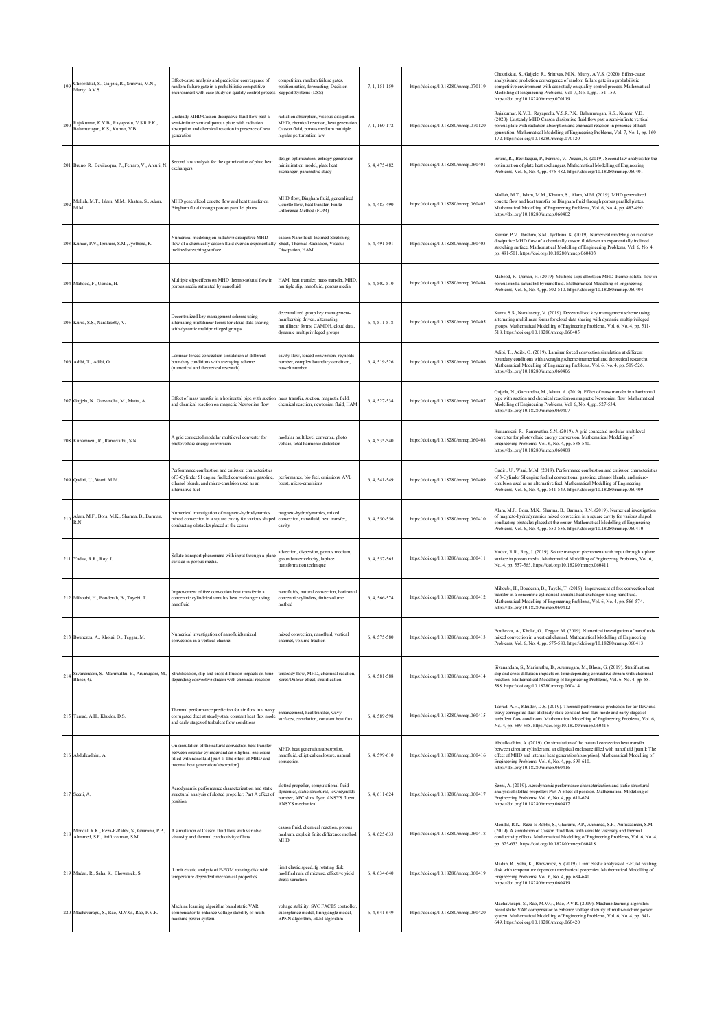| 199 | Choorikkat, S., Gajjele, R., Srinivas, M.N.,<br>Murty, A.V.S.                     | Effect-cause analysis and prediction convergence of<br>random failure gate in a probabilistic competitive<br>nvironment with case study on quality control proces                                             | ompetition, random failure gates,<br>oosition ratios, forecasting, Decision<br>Support Systems (DSS)                                                    | 7, 1, 151-159 | https://doi.org/10.18280/mmep.070119 | Choorikkat, S., Gajjele, R., Srinivas, M.N., Murty, A.V.S. (2020). Effect-cause<br>analysis and prediction convergence of random failure gate in a probabilistic<br>competitive environment with case study on quality control process. Mathematical<br>Modelling of Engineering Problems, Vol. 7, No. 1, pp. 151-159.<br>https://doi.org/10.18280/mmep.070119                       |
|-----|-----------------------------------------------------------------------------------|---------------------------------------------------------------------------------------------------------------------------------------------------------------------------------------------------------------|---------------------------------------------------------------------------------------------------------------------------------------------------------|---------------|--------------------------------------|--------------------------------------------------------------------------------------------------------------------------------------------------------------------------------------------------------------------------------------------------------------------------------------------------------------------------------------------------------------------------------------|
| 200 | Rajakumar, K.V.B., Rayaprolu, V.S.R.P.K.,<br>Balamurugan, K.S., Kumar, V.B.       | Unsteady MHD Casson dissipative fluid flow past a<br>semi-infinite vertical porous plate with radiation<br>absorption and chemical reaction in presence of heat<br>generation                                 | adiation absorption, viscous dissipation,<br>MHD, chemical reaction, heat generation<br>lasson fluid, porous medium multiple<br>egular perturbation law | 7, 1, 160-172 | https://doi.org/10.18280/mmep.070120 | Rajakumar, K.V.B., Rayaprolu, V.S.R.P.K., Balamurugan, K.S., Kumar, V.B.<br>(2020). Unsteady MHD Casson dissipative fluid flow past a semi-infinite vertical<br>porous plate with radiation absorption and chemical reaction in presence of heat<br>generation. Mathematical Modelling of Engineering Problems, Vol. 7, No. 1, pp. 160-<br>172. https://doi.org/10.18280/mmep.070120 |
| 201 | Bruno, R., Bevilacqua, P., Ferraro, V., Arcuri, N.                                | Second law analysis for the optimization of plate heat<br>exchangers                                                                                                                                          | design optimization, entropy generation<br>ninimization model, plate heat<br>exchanger, parametric study                                                | 6, 4, 475-482 | https://doi.org/10.18280/mmep.060401 | Bruno, R., Bevilacqua, P., Ferraro, V., Arcuri, N. (2019). Second law analysis for the<br>optimization of plate heat exchangers. Mathematical Modelling of Engineering<br>Problems, Vol. 6, No. 4, pp. 475-482. https://doi.org/10.18280/mmep.060401                                                                                                                                 |
| 202 | Mollah, M.T., Islam, M.M., Khatun, S., Alam,<br>M.M.                              | MHD generalized couette flow and heat transfer on<br>Bingham fluid through porous parallel plates                                                                                                             | MHD flow, Bingham fluid, generalized<br>Couette flow, heat transfer, Finite<br>Difference Method (FDM)                                                  | 6, 4, 483-490 | https://doi.org/10.18280/mmep.060402 | Mollah, M.T., Islam, M.M., Khatun, S., Alam, M.M. (2019). MHD generalized<br>couette flow and heat transfer on Bingham fluid through porous parallel plates.<br>Mathematical Modelling of Engineering Problems, Vol. 6, No. 4, pp. 483-490.<br>https://doi.org/10.18280/mmcp.060402                                                                                                  |
|     | 203 Kumar, P.V., Ibrahim, S.M., Jyothsna, K.                                      | Numerical modeling on radiative dissipative MHD<br>flow of a chemically casson fluid over an exponentiall<br>nclined stretching surface                                                                       | casson Nanofluid, Inclined Stretching<br>Sheet, Thermal Radiation, Viscous<br>Dissipation, HAM                                                          | 6, 4, 491-501 | https://doi.org/10.18280/mmep.060403 | Kumar, P.V., Ibrahim, S.M., Jyothsna, K. (2019). Numerical modeling on radiative<br>dissipative MHD flow of a chemically casson fluid over an exponentially inclined<br>stretching surface. Mathematical Modelling of Engineering Problems, Vol. 6, No. 4,<br>pp. 491-501. https://doi.org/10.18280/mmep.060403                                                                      |
|     | 204 Mabood, F., Usman, H.                                                         | Multiple slips effects on MHD thermo-solutal flow in<br>orous media saturated by nanofluid                                                                                                                    | HAM, heat transfer, mass transfer, MHD<br>nultiple slip, nanofluid, porous media                                                                        | 6, 4, 502-510 | https://doi.org/10.18280/mmep.060404 | Mabood, F., Usman, H. (2019). Multiple slips effects on MHD thermo-solutal flow in<br>porous media saturated by nanofluid. Mathematical Modelling of Engineering<br>Problems, Vol. 6, No. 4, pp. 502-510. https://doi.org/10.18280/mmep.060404                                                                                                                                       |
|     | 205 Kurra, S.S., Naralasetty, V.                                                  | Decentralized key management scheme using<br>alternating multilinear forms for cloud data sharing<br>with dynamic multiprivileged groups                                                                      | lecentralized group key management-<br>nembership driven, alternating<br>nultilinear forms, CAMDH, cloud data,<br>dynamic multiprivileged groups        | 6.4.511-518   | https://doi.org/10.18280/mmep.060405 | Kurra, S.S., Naralasetty, V. (2019). Decentralized key management scheme using<br>alternating multilinear forms for cloud data sharing with dynamic multiprivileged<br>groups. Mathematical Modelling of Engineering Problems, Vol. 6, No. 4, pp. 511-<br>518. https://doi.org/10.18280/mmep.060405                                                                                  |
|     | 206 Adibi, T., Adibi, O.                                                          | Laminar forced convection simulation at different<br>boundary conditions with averaging scheme<br>(numerical and theoretical research)                                                                        | cavity flow, forced convection, reynolds<br>number, complex boundary condition,<br>nusselt number                                                       | 6, 4, 519-526 | https://doi.org/10.18280/mmep.060406 | Adibi, T., Adibi, O. (2019). Laminar forced convection simulation at different<br>boundary conditions with averaging scheme (numerical and theoretical research).<br>Mathematical Modelling of Engineering Problems, Vol. 6, No. 4, pp. 519-526.<br>https://doi.org/10.18280/mmep.060406                                                                                             |
| 207 | Gajjela, N., Garvandha, M., Matta, A.                                             | Effect of mass transfer in a horizontal pipe with suctio<br>and chemical reaction on magnetic Newtonian flow                                                                                                  | mass transfer, suction, magnetic field,<br>chemical reaction, newtonian fluid, HAM                                                                      | 6, 4, 527-534 | https://doi.org/10.18280/mmep.060407 | Gajjela, N., Garvandha, M., Matta, A. (2019). Effect of mass transfer in a horizontal<br>pipe with suction and chemical reaction on magnetic Newtonian flow. Mathematical<br>Modelling of Engineering Problems, Vol. 6, No. 4, pp. 527-534.<br>https://doi.org/10.18280/mmep.060407                                                                                                  |
|     | 208 Kunamneni, R., Ramavathu, S.N.                                                | A grid connected modular multilevel converter for<br>hotovoltaic energy conversion                                                                                                                            | nodular multilevel converter, photo<br>voltaic, total harmonic distortion                                                                               | 6, 4, 535-540 | https://doi.org/10.18280/mmep.060408 | Kunamneni, R., Ramavathu, S.N. (2019). A grid connected modular multilevel<br>converter for photovoltaic energy conversion. Mathematical Modelling of<br>Engineering Problems, Vol. 6, No. 4, pp. 535-540.<br>https://doi.org/10.18280/mmep.060408                                                                                                                                   |
|     | 209 Qadiri, U., Wani, M.M.                                                        | Performance combustion and emission characteristics<br>of 3-Cylinder SI engine fuelled conventional gasoline,<br>ethanol blends, and micro-emulsion used as an<br>alternative fuel                            | performance, bio fuel, emissions, AVL<br>oost, micro-emulsions                                                                                          | 6, 4, 541-549 | https://doi.org/10.18280/mmep.060409 | Qadiri, U., Wani, M.M. (2019). Performance combustion and emission characteristics<br>of 3-Cylinder SI engine fuelled conventional gasoline, ethanol blends, and micro-<br>emulsion used as an alternative fuel. Mathematical Modelling of Engineering<br>Problems, Vol. 6, No. 4, pp. 541-549. https://doi.org/10.18280/mmep.060409                                                 |
| 210 | Alam, M.F., Bora, M.K., Sharma, B., Barman,<br>R.N.                               | Numerical investigation of magneto-hydrodynamics<br>mixed convection in a square cavity for various shaped<br>onducting obstacles placed at the center                                                        | nagneto-hydrodynamics, mixed<br>convection, nanofluid, heat transfer,<br>:avity                                                                         | 6, 4, 550-556 | https://doi.org/10.18280/mmep.060410 | Alam, M.F., Bora, M.K., Sharma, B., Barman, R.N. (2019). Numerical investigation<br>of magneto-hydrodynamics mixed convection in a square cavity for various shaped<br>conducting obstacles placed at the center. Mathematical Modelling of Engineering<br>Problems, Vol. 6, No. 4, pp. 550-556. https://doi.org/10.18280/mmep.060410                                                |
|     | 211 Yadav, R.R., Roy, J.                                                          | Solute transport phenomena with input through a plan<br>arface in porous media.                                                                                                                               | dvection, dispersion, porous medium,<br>poundwater velocity, laplace<br>ransformation technique                                                         | 6, 4, 557-565 | https://doi.org/10.18280/mmep.060411 | Yadav, R.R., Roy, J. (2019). Solute transport phenomena with input through a plane<br>surface in porous media. Mathematical Modelling of Engineering Problems, Vol. 6,<br>No. 4, pp. 557-565. https://doi.org/10.18280/mmep.060411                                                                                                                                                   |
|     | 212 Mihoubi, H., Bouderah, B., Tayebi, T.                                         | improvement of free convection heat transfer in a<br>oncentric cylindrical annulus heat exchanger using<br>anofluid                                                                                           | anofluids, natural convection, horizonta<br>oncentric cylinders, finite volume<br>nethod                                                                | 6, 4, 566-574 | https://doi.org/10.18280/mmep.060412 | Mihoubi, H., Bouderah, B., Tayebi, T. (2019). Improvement of free convection heat<br>ransfer in a concentric cylindrical annulus heat exchanger using nanofluid.<br>Mathematical Modelling of Engineering Problems, Vol. 6, No. 4, pp. 566-574.<br>https://doi.org/10.18280/mmep.060412                                                                                              |
|     | 213 Bouhezza, A., Kholai, O., Teggar, M.                                          | Numerical investigation of nanofluids mixed<br>convection in a vertical channel                                                                                                                               | mixed convection, nanofluid, vertical<br>channel, volume fraction                                                                                       | 6, 4, 575-580 | https://doi.org/10.18280/mmep.060413 | Bouhezza, A., Kholai, O., Teggar, M. (2019). Numerical investigation of nanofluids<br>mixed convection in a vertical channel. Mathematical Modelling of Engineering<br>Problems, Vol. 6, No. 4, pp. 575-580. https://doi.org/10.18280/mmep.060413                                                                                                                                    |
| 214 | Bhose, G.                                                                         | Sivanandam, S., Marimuthu, B., Arumugam, M., Stratification, slip and cross diffusion impacts on time<br>depending convective stream with chemical reaction                                                   | insteady flow, MHD, chemical reaction,<br>Soret/Dufour effect, stratification                                                                           | 6.4.581-588   | https://doi.org/10.18280/mmep.060414 | Sivanandam, S., Marimuthu, B., Arumugam, M., Bhose, G. (2019). Stratification,<br>slip and cross diffusion impacts on time depending convective stream with chemical<br>reaction. Mathematical Modelling of Engineering Problems, Vol. 6, No. 4, pp. 581-<br>588. https://doi.org/10.18280/mmep.060414                                                                               |
|     | 215 Tarrad, A.H., Khudor, D.S.                                                    | Thermal performance prediction for air flow in a wavy<br>corrugated duct at steady-state constant heat flux mode<br>and early stages of turbulent flow conditions                                             | enhancement, heat transfer, wavy<br>surfaces, correlation, constant heat flux                                                                           | 6, 4, 589-598 | https://doi.org/10.18280/mmep.060415 | Tarrad, A.H., Khudor, D.S. (2019). Thermal performance prediction for air flow in a<br>wavy corrugated duct at steady-state constant heat flux mode and early stages of<br>turbulent flow conditions. Mathematical Modelling of Engineering Problems, Vol. 6,<br>No. 4, pp. 589-598. https://doi.org/10.18280/mmep.060415                                                            |
|     | 216 Abdulkadhim. A                                                                | On simulation of the natural convection heat transfer<br>between circular cylinder and an elliptical enclosure<br>filled with nanofluid [part I: The effect of MHD and<br>nternal heat generation/absorption] | MHD, heat generation/absorption,<br>anofluid, elliptical enclosure, natural<br>onvection                                                                | 6.4.599-610   | https://doi.org/10.18280/mmep.060416 | Abdulkadhim, A. (2019). On simulation of the natural convection heat transfer<br>between circular cylinder and an elliptical enclosure filled with nanofluid [part I: The<br>effect of MHD and internal heat generation/absorption]. Mathematical Modelling of<br>Engineering Problems, Vol. 6, No. 4, pp. 599-610.<br>https://doi.org/10.18280/mmcp.060416                          |
|     | 217 Seeni, A.                                                                     | Aerodynamic performance characterization and static<br>structural analysis of slotted propeller: Part A effect of<br>osition                                                                                  | lotted propeller, computational fluid<br>dynamics, static structural, low reynolds<br>umber, APC slow flyer, ANSYS fluent,<br>ANSYS mechanical          | 6, 4, 611-624 | https://doi.org/10.18280/mmep.060417 | Seeni, A. (2019). Aerodynamic performance characterization and static structural<br>analysis of slotted propeller: Part A effect of position. Mathematical Modelling of<br>Engineering Problems, Vol. 6, No. 4, pp. 611-624.<br>https://doi.org/10.18280/mmcp.060417                                                                                                                 |
| 218 | Mondal, R.K., Reza-E-Rabbi, S., Gharami, P.P.,<br>Ahmmed, S.F., Arifuzzaman, S.M. | A simulation of Casson fluid flow with variable<br>viscosity and thermal conductivity effects                                                                                                                 | casson fluid, chemical reaction, porous<br>medium, explicit finite difference method<br><b>MHD</b>                                                      | 6.4.625-633   | https://doi.org/10.18280/mmcp.060418 | Mondal, R.K., Reza-E-Rabbi, S., Gharami, P.P., Ahmmed, S.F., Arifuzzaman, S.M.<br>(2019). A simulation of Casson fluid flow with variable viscosity and thermal<br>conductivity effects. Mathematical Modelling of Engineering Problems, Vol. 6, No. 4,<br>pp. 625-633. https://doi.org/10.18280/mmcp.060418                                                                         |
|     | 219 Madan, R., Saha, K., Bhowmick, S.                                             | Limit elastic analysis of E-FGM rotating disk with<br>emperature dependent mechanical properties                                                                                                              | imit elastic speed, fg rotating disk,<br>nodified rule of mixture, effective yield<br>stress variation                                                  | 6, 4, 634-640 | https://doi.org/10.18280/mmep.060419 | Madan, R., Saha, K., Bhowmick, S. (2019). Limit elastic analysis of E-FGM rotating<br>disk with temperature dependent mechanical properties. Mathematical Modelling of<br>Engineering Problems, Vol. 6, No. 4, pp. 634-640.<br>https://doi.org/10.18280/mmep.060419                                                                                                                  |
|     | 220 Machavarapu, S., Rao, M.V.G., Rao, P.V.R.                                     | Machine learning algorithm based static VAR<br>compensator to enhance voltage stability of multi-<br>machine power system                                                                                     | voltage stability, SVC FACTS controller,<br>susceptance model, firing angle model,<br>BPNN algorithm, ELM algorithm                                     | 6, 4, 641-649 | https://doi.org/10.18280/mmep.060420 | Machavarapu, S., Rao, M.V.G., Rao, P.V.R. (2019). Machine learning algorithm<br>based static VAR compensator to enhance voltage stability of multi-machine power<br>system. Mathematical Modelling of Engineering Problems, Vol. 6, No. 4, pp. 641-<br>649. https://doi.org/10.18280/mmep.060420                                                                                     |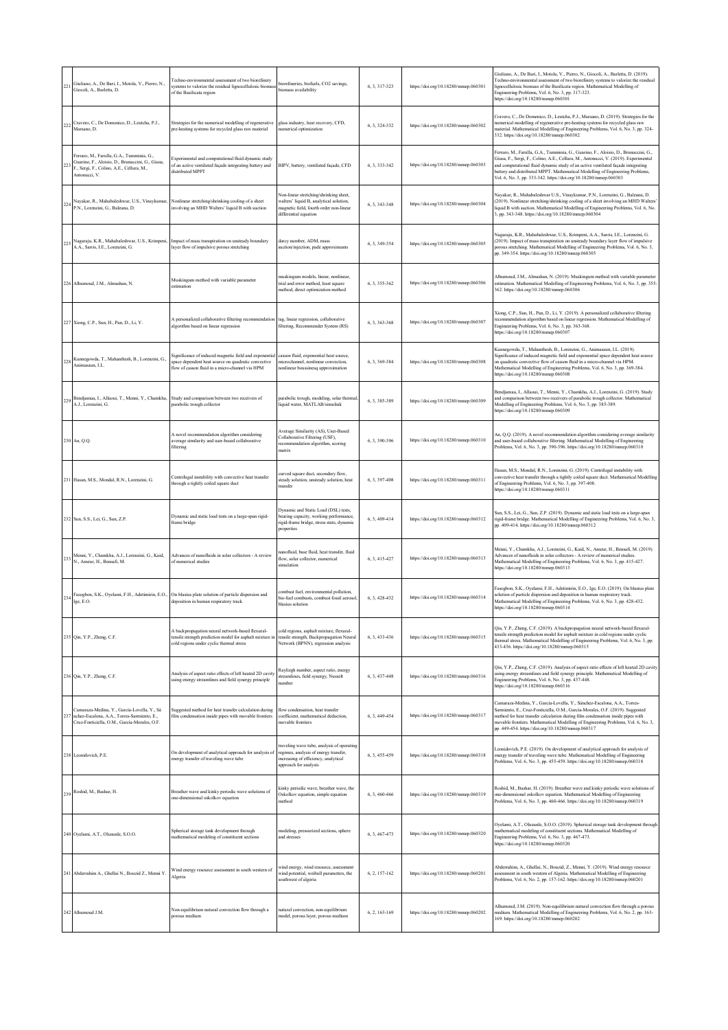| 221 | Giuliano, A., De Bari, I., Motola, V., Pierro, N.,<br>Giocoli, A., Barletta, D.                                                                             | Techno-environmental assessment of two biorefinery<br>systems to valorize the residual lignocellulosic bioma<br>of the Basilicata region                         | iorefineries, biofuels, CO2 savings,<br>biomass availability                                                                                          | 6, 3, 317-323 | https://doi.org/10.18280/mmep.060301 | Giuliano, A., De Bari, I., Motola, V., Pierro, N., Giocoli, A., Barletta, D. (2019).<br>Techno-environmental assessment of two biorefinery systems to valorize the residual<br>lignocellulosic biomass of the Basilicata region. Mathematical Modelling of<br>Engineering Problems, Vol. 6, No. 3, pp. 317-323.<br>https://doi.org/10.18280/mmep.060301                                                             |
|-----|-------------------------------------------------------------------------------------------------------------------------------------------------------------|------------------------------------------------------------------------------------------------------------------------------------------------------------------|-------------------------------------------------------------------------------------------------------------------------------------------------------|---------------|--------------------------------------|---------------------------------------------------------------------------------------------------------------------------------------------------------------------------------------------------------------------------------------------------------------------------------------------------------------------------------------------------------------------------------------------------------------------|
| 222 | Cravero, C., De Domenico, D., Leutcha, P.J.,<br>Marsano, D.                                                                                                 | Strategies for the numerical modelling of regenerative<br>pre-heating systems for recycled glass raw material                                                    | glass industry, heat recovery, CFD,<br>numerical optimization                                                                                         | 6, 3, 324-332 | https://doi.org/10.18280/mmep.060302 | Cravero, C., De Domenico, D., Leutcha, P.J., Marsano, D. (2019). Strategies for the<br>numerical modelling of regenerative pre-heating systems for recycled glass raw<br>material. Mathematical Modelling of Engineering Problems, Vol. 6, No. 3, pp. 324-<br>332. https://doi.org/10.18280/mmep.060302                                                                                                             |
| 223 | Ferraro, M., Farulla, G.A., Tumminia, G.,<br>Guarino, F., Aloisio, D., Brunaccini, G., Giusa,<br>F., Sergi, F., Colino, A.E., Cellura, M.,<br>Antonucci, V. | Experimental and computational fluid dynamic study<br>of an active ventilated façade integrating battery and<br>distributed MPPT                                 | BIPV, battery, ventilated façade, CFD                                                                                                                 | 6.3.333-342   | https://doi.org/10.18280/mmep.060303 | Ferraro, M., Farulla, G.A., Tumminia, G., Guarino, F., Aloisio, D., Brunaccini, G.,<br>Giusa, F., Sergi, F., Colino, A.E., Cellura, M., Antonucci, V. (2019). Experimental<br>and computational fluid dynamic study of an active ventilated façade integrating<br>battery and distributed MPPT. Mathematical Modelling of Engineering Problems,<br>Vol. 6, No. 3, pp. 333-342. https://doi.org/10.18280/mmep.060303 |
| 224 | Nayakar, R., Mahabaleshwar, U.S., Vinaykumar,<br>P.N., Lorenzini, G., Baleanu, D.                                                                           | Nonlinear stretching/shrinking cooling of a sheet<br>involving an MHD Walters' liquid B with suction                                                             | Non-linear stretching/shrinking sheet,<br>walters' liquid B, analytical solution,<br>magnetic field, fourth order non-linear<br>differential equation | 6, 3, 343-348 | https://doi.org/10.18280/mmep.060304 | Nayakar, R., Mahabaleshwar U.S., Vinaykumar, P.N., Lorenzini, G., Baleanu, D.<br>(2019). Nonlinear stretching/shrinking cooling of a sheet involving an MHD Walters'<br>liquid B with suction. Mathematical Modelling of Engineering Problems, Vol. 6, No.<br>3, pp. 343-348. https://doi.org/10.18280/mmcp.060304                                                                                                  |
| 225 | Nagaraju, K.R., Mahabaleshwar, U.S., Krimpeni,<br>A.A., Sarris, I.E., Lorenzini, G.                                                                         | Impact of mass transpiration on unsteady boundary<br>layer flow of impulsive porous stretching                                                                   | darcy number, ADM, mass<br>suction/injection, pade approximants                                                                                       | 6.3.349-354   | https://doi.org/10.18280/mmep.060305 | Nagaraju, K.R., Mahabaleshwar, U.S., Krimpeni, A.A., Sarris, I.E., Lorenzini, G.<br>(2019). Impact of mass transpiration on unsteady boundary layer flow of impulsive<br>porous stretching. Mathematical Modelling of Engineering Problems, Vol. 6, No. 3,<br>pp. 349-354. https://doi.org/10.18280/mmep.060305                                                                                                     |
|     | 226 Alhumoud, J.M., Almashan, N.                                                                                                                            | Muskingum method with variable parameter<br>estimation                                                                                                           | nuskingum models, linear, nonlinear.<br>trial and error method, least square<br>method, direct optimization method                                    | 6, 3, 355-362 | https://doi.org/10.18280/mmep.060306 | Alhumoud, J.M., Almashan, N. (2019). Muskingum method with variable parameter<br>estimation. Mathematical Modelling of Engineering Problems, Vol. 6, No. 3, pp. 355-<br>362. https://doi.org/10.18280/mmep.060306                                                                                                                                                                                                   |
|     | 227 Xiong, C.P., Sun, H., Pan, D., Li, Y.                                                                                                                   | A personalized collaborative filtering recommendation<br>algorithm based on linear regression                                                                    | tag, linear regression, collaborative<br>filtering, Recommender System (RS)                                                                           | 6, 3, 363-368 | https://doi.org/10.18280/mmep.060307 | Xiong, C.P., Sun, H., Pan, D., Li, Y. (2019). A personalized collaborative filtering<br>recommendation algorithm based on linear regression. Mathematical Modelling of<br>Engineering Problems, Vol. 6, No. 3, pp. 363-368.<br>https://doi.org/10.18280/mmcp.060307                                                                                                                                                 |
| 228 | Kunnegowda, T., Mahanthesh, B., Lorenzini, G.,<br>Animasaun. I.I.                                                                                           | Significance of induced magnetic field and exponential<br>space dependent heat source on quadratic convective<br>flow of casson fluid in a micro-channel via HPM | casson fluid, exponential heat source,<br>microchannel, nonlinear convection,<br>nonlinear boussinesq approximation                                   | 6, 3, 369-384 | https://doi.org/10.18280/mmep.060308 | Kunnegowda, T., Mahanthesh, B., Lorenzini, G., Animasaun, I.L. (2019).<br>Significance of induced magnetic field and exponential space dependent heat source<br>on quadratic convective flow of casson fluid in a micro-channel via HPM.<br>Mathematical Modelling of Engineering Problems, Vol. 6, No. 3, pp. 369-384.<br>https://doi.org/10.18280/mmep.060308                                                     |
| 229 | Bendjamaa, I., Allaoui, T., Menni, Y., Chamkha,<br>A.J., Lorenzini, G.                                                                                      | Study and comparison between two receivers of<br>parabolic trough collector                                                                                      | parabolic trough, modeling, solar thermal.<br>iquid water, MATLAB/simulink                                                                            | 6, 3, 385-389 | https://doi.org/10.18280/mmep.060309 | Bendjamaa, I., Allaoui, T., Menni, Y., Chamkha, A.J., Lorenzini, G. (2019). Study<br>and comparison between two receivers of parabolic trough collector. Mathematical<br>Modelling of Engineering Problems, Vol. 6, No. 3, pp. 385-389.<br>https://doi.org/10.18280/mmcp.060309                                                                                                                                     |
|     | 230 An, Q.Q.                                                                                                                                                | A novel recommendation algorithm considering<br>average similarity and user-based collaborative<br>filtering                                                     | Average Similarity (AS), User-Based<br>Collaborative Filtering (USF),<br>recommendation algorithm, scoring<br>matrix                                  | 6, 3, 390-396 | https://doi.org/10.18280/mmep.060310 | An, Q.Q. (2019). A novel recommendation algorithm considering average similarity<br>and user-based collaborative filtering. Mathematical Modelling of Engineering<br>Problems, Vol. 6, No. 3, pp. 390-396. https://doi.org/10.18280/mmep.060310                                                                                                                                                                     |
|     | 231 Hasan, M.S., Mondal, R.N., Lorenzini, G.                                                                                                                | Centrifugal instability with convective heat transfer<br>through a tightly coiled square duct                                                                    | turved square duct, secondary flow,<br>steady solution, unsteady solution, heat<br>transfer                                                           | 6, 3, 397-408 | https://doi.org/10.18280/mmep.060311 | Hasan, M.S., Mondal, R.N., Lorenzini, G. (2019). Centrifugal instability with<br>convective heat transfer through a tightly coiled square duct. Mathematical Modelling<br>of Engineering Problems, Vol. 6, No. 3, pp. 397-408.<br>https://doi.org/10.18280/mmep.060311                                                                                                                                              |
|     | 232 Sun, S.S., Lei, G., Sun, Z.P.                                                                                                                           | Dynamic and static load tests on a large-span rigid-<br>frame bridge                                                                                             | Dynamic and Static Load (DSL) tests.<br>bearing capacity, working performance,<br>rigid-frame bridge, stress state, dynamic<br>properties             | 6.3.409-414   | https://doi.org/10.18280/mmep.060312 | Sun, S.S., Lei, G., Sun, Z.P. (2019). Dynamic and static load tests on a large-span<br>rigid-frame bridge. Mathematical Modelling of Engineering Problems, Vol. 6, No. 3,<br>pp. 409-414. https://doi.org/10.18280/mmep.060312                                                                                                                                                                                      |
|     | 233 Menni, Y., Chamkha, A.J., Lorenzini, G., Kaid,<br>N., Ameur, H., Bensafi, M.                                                                            | Advances of nanofluids in solar collectors - A review<br>of numerical studies                                                                                    | anofluid, base fluid, heat transfer, fluid<br>flow, solar collector, numerical<br>simulation                                                          | 6, 3, 415-427 | https://doi.org/10.18280/mmep.060313 | Menni, Y., Chamkha, A.J., Lorenzini, G., Kaid, N., Ameur, H., Bensafi, M. (2019).<br>Advances of nanofluids in solar collectors - A review of numerical studies.<br>Mathematical Modelling of Engineering Problems, Vol. 6, No. 3, pp. 415-427.<br>https://doi.org/10.18280/mmep.060313                                                                                                                             |
| 234 | Ige, E.O.                                                                                                                                                   | Fasogbon, S.K., Oyelami, F.H., Adetimirin, E.O., On blasius plate solution of particle dispersion and<br>deposition in human respiratory track                   | combust fuel, environmental pollution,<br>oio-fuel combusts, combust fossil aerosol,<br>blasius solution                                              | 6, 3, 428-432 | https://doi.org/10.18280/mmep.060314 | Fasogbon, S.K., Oyelami, F.H., Adetimirin, E.O., Ige, E.O. (2019). On blasius plate<br>solution of particle dispersion and deposition in human respiratory track.<br>Mathematical Modelling of Engineering Problems, Vol. 6, No. 3, pp. 428-432.<br>https://doi.org/10.18280/mmep.060314                                                                                                                            |
|     | 235 Qin, Y.P., Zheng, C.F.                                                                                                                                  | A backpropagation neural network-based flexural-<br>tensile strength prediction model for asphalt mixture is<br>cold regions under cyclic thermal stress         | cold regions, asphalt mixture, flexural-<br>tensile strength, Backpropagation Neural<br>Network (BPNN), regression analysis                           | 6, 3, 433-436 | https://doi.org/10.18280/mmep.060315 | Qin, Y.P., Zheng, C.F. (2019). A backpropagation neural network-based flexural-<br>tensile strength prediction model for asphalt mixture in cold regions under cyclic<br>thermal stress. Mathematical Modelling of Engineering Problems, Vol. 6, No. 3, pp.<br>433-436. https://doi.org/10.18280/mmep.060315                                                                                                        |
|     | 236 Qin, Y.P., Zheng, C.F.                                                                                                                                  | Analysis of aspect ratio effects of left heated 2D cavity<br>using energy streamlines and field synergy principle                                                | Rayliegh number, aspect ratio, energy<br>streamlines, field synergy, Nusselt<br>umber                                                                 | 6, 3, 437-448 | https://doi.org/10.18280/mmep.060316 | Qin, Y.P., Zheng, C.F. (2019). Analysis of aspect ratio effects of left heated 2D cavity<br>using energy streamlines and field synergy principle. Mathematical Modelling of<br>Engineering Problems, Vol. 6, No. 3, pp. 437-448.<br>https://doi.org/10.18280/mmep.060316                                                                                                                                            |
| 237 | Camaraza-Medina, Y., García-Lovella, Y., Sá<br>nchez-Escalona, A.A., Torres-Sarmiento, E.,<br>Cruz-Fonticiella, O.M., García-Morales, O.F.                  | Suggested method for heat transfer calculation during<br>film condensation inside pipes with movable frontiers                                                   | flow condensation, heat transfer<br>coefficient, mathematical deduction,<br>novable frontiers                                                         | 6, 3, 449-454 | https://doi.org/10.18280/mmep.060317 | Camaraza-Medina, Y., García-Lovella, Y., Sánchez-Escalona, A.A., Torres-<br>Sarmiento, E., Cruz-Fonticiella, O.M., García-Morales, O.F. (2019). Suggested<br>method for heat transfer calculation during film condensation inside pipes with<br>movable frontiers. Mathematical Modelling of Engineering Problems, Vol. 6, No. 3,<br>pp. 449-454. https://doi.org/10.18280/mmep.060317                              |
|     | 238 Leonidovich, P.E.                                                                                                                                       | On development of analytical approach for analysis of<br>energy transfer of traveling wave tube                                                                  | raveling wave tube, analysis of operating<br>regimes, analysis of energy transfer,<br>increasing of efficiency, analytical<br>approach for analysis   | 6, 3, 455-459 | https://doi.org/10.18280/mmep.060318 | Leonidovich, P.E. (2019). On development of analytical approach for analysis of<br>energy transfer of traveling wave tube. Mathematical Modelling of Engineering<br>Problems, Vol. 6, No. 3, pp. 455-459. https://doi.org/10.18280/mmep.060318                                                                                                                                                                      |
| 239 | Roshid, M., Bashar, H.                                                                                                                                      | Breather wave and kinky periodic wave solutions of<br>one-dimensional oskolkov equation                                                                          | kinky periodic wave, breather wave, the<br>Oskolkov equation, simple equation<br>method                                                               | 6, 3, 460-466 | https://doi.org/10.18280/mmep.060319 | Roshid, M., Bashar, H. (2019). Breather wave and kinky periodic wave solutions of<br>one-dimensional oskolkov equation. Mathematical Modelling of Engineering<br>Problems, Vol. 6, No. 3, pp. 460-466. https://doi.org/10.18280/mmep.060319                                                                                                                                                                         |
|     | 240 Oyelami, A.T., Olusunle, S.O.O.                                                                                                                         | Spherical storage tank development through<br>mathematical modeling of constituent sections                                                                      | nodeling, pressurized sections, sphere<br>and stresses                                                                                                | 6, 3, 467-473 | https://doi.org/10.18280/mmep.060320 | Oyelami, A.T., Olusunle, S.O.O. (2019). Spherical storage tank development through<br>mathematical modeling of constituent sections. Mathematical Modelling of<br>Engineering Problems, Vol. 6, No. 3, pp. 467-473.<br>https://doi.org/10.18280/mmcp.060320                                                                                                                                                         |
|     | 241 Abderrahim A., Ghellai N., Bouzid Z., Menni Y.                                                                                                          | Wind energy resource assessment in south western of<br>Algeria                                                                                                   | wind energy, wind resource, assessment<br>wind potential, weibull parameters, the<br>southwest of algeria                                             | 6, 2, 157-162 | https://doi.org/10.18280/mmep.060201 | Abderrahim, A., Ghellai, N., Bouzid, Z., Menni, Y. (2019). Wind energy resource<br>assessment in south western of Algeria. Mathematical Modelling of Engineering<br>Problems, Vol. 6, No. 2, pp. 157-162. https://doi.org/10.18280/mmep.060201                                                                                                                                                                      |
|     | 242 Alhumoud J.M                                                                                                                                            | Non-equilibrium natural convection flow through a<br>porous medium                                                                                               | natural convection, non-equilibrium<br>model, porous layer, porous medium                                                                             | 6, 2, 163-169 | https://doi.org/10.18280/mmep.060202 | Alhumoud, J.M. (2019). Non-equilibrium natural convection flow through a porous<br>medium. Mathematical Modelling of Engineering Problems, Vol. 6, No. 2, pp. 163-<br>169. https://doi.org/10.18280/mmep.060202                                                                                                                                                                                                     |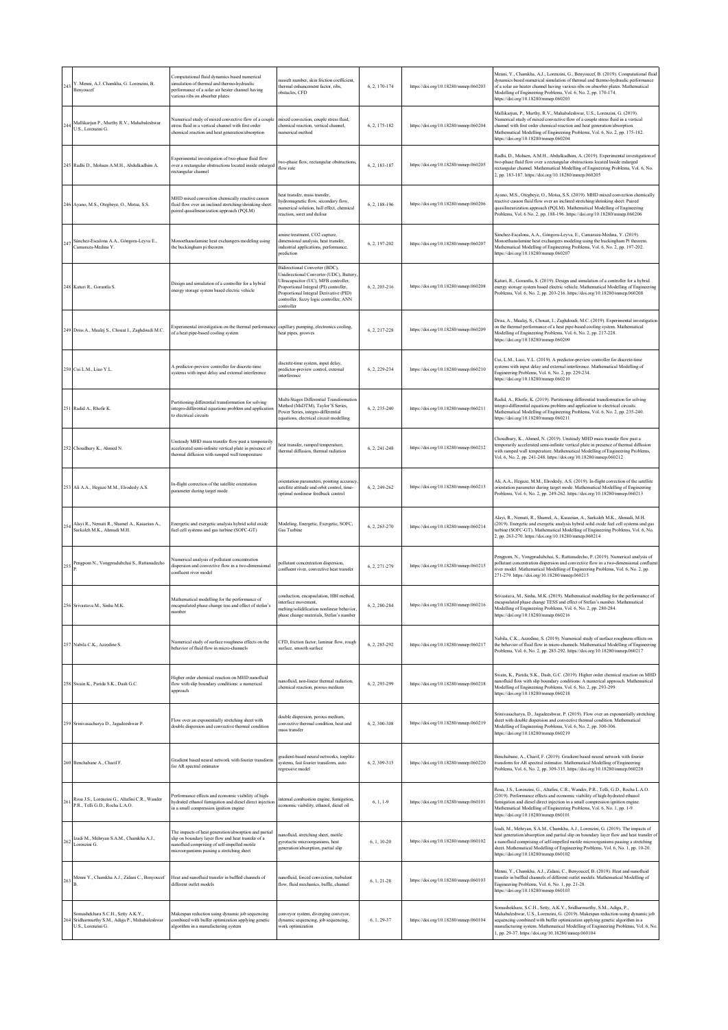| 243 | Y. Menni, A.J. Chamkha, G. Lorenzini, B.<br>Benyoucef                                                   | Computational fluid dynamics based numerical<br>simulation of thermal and thermo-hydraulic<br>performance of a solar air heater channel having<br>various ribs on absorber plates                       | nusselt number, skin friction coefficient,<br>thermal enhancement factor, ribs,<br>bstacles, CFD                                                                                                                                                               | 6, 2, 170-174 | https://doi.org/10.18280/mmep.060203 | Menni, Y., Chamkha, A.J., Lorenzini, G., Benyoucef, B. (2019). Computational fluid<br>dynamics based numerical simulation of thermal and thermo-hydraulic performance<br>of a solar air heater channel having various ribs on absorber plates. Mathematical<br>Modelling of Engineering Problems, Vol. 6, No. 2, pp. 170-174.<br>https://doi.org/10.18280/mmcp.060203                        |
|-----|---------------------------------------------------------------------------------------------------------|---------------------------------------------------------------------------------------------------------------------------------------------------------------------------------------------------------|----------------------------------------------------------------------------------------------------------------------------------------------------------------------------------------------------------------------------------------------------------------|---------------|--------------------------------------|----------------------------------------------------------------------------------------------------------------------------------------------------------------------------------------------------------------------------------------------------------------------------------------------------------------------------------------------------------------------------------------------|
| 244 | Mallikarjun P., Murthy R.V., Mahabaleshwar<br>U.S., Lorenzini G.                                        | Numerical study of mixed convective flow of a couple<br>tress fluid in a vertical channel with first order<br>chemical reaction and heat generation/absorption                                          | nixed convection, couple stress fluid,<br>chemical reaction, vertical channel,<br>numerical method                                                                                                                                                             | 6, 2, 175-182 | https://doi.org/10.18280/mmep.060204 | Mallikarjun, P., Murthy, R.V., Mahabaleshwar, U.S., Lorenzini, G. (2019).<br>Numerical study of mixed convective flow of a couple stress fluid in a vertical<br>channel with first order chemical reaction and heat generation/absorption.<br>Mathematical Modelling of Engineering Problems, Vol. 6, No. 2, pp. 175-182.<br>https://doi.org/10.18280/mmep.060204                            |
|     | 245 Radhi D., Mohsen A.M.H., Abdulkadhim A.                                                             | Experimental investigation of two-phase fluid flow<br>over a rectangular obstructions located inside enlarged<br>ectangular channel                                                                     | wo-phase flow, rectangular obstructions,<br>flow rate                                                                                                                                                                                                          | 6, 2, 183-187 | https://doi.org/10.18280/mmep.060205 | Radhi, D., Mohsen, A.M.H., Abdulkadhim, A. (2019). Experimental investigation of<br>wo-phase fluid flow over a rectangular obstructions located Inside enlarged<br>rectangular channel. Mathematical Modelling of Engineering Problems, Vol. 6, No.<br>2, pp. 183-187. https://doi.org/10.18280/mmcp.060205                                                                                  |
|     | 246 Ayano, M.S., Otegbeye, O., Motsa, S.S.                                                              | MHD mixed convection chemically reactive casson<br>fluid flow over an inclined stretching/shrinking sheet:<br>paired quasilinearization approach (PQLM)                                                 | eat transfer, mass transfer,<br>sydromagnetic flow, secondary flow,<br>umerical solution, hall effect, chemical<br>reaction, soret and dufour                                                                                                                  | 6, 2, 188-196 | https://doi.org/10.18280/mmep.060206 | Ayano, M.S., Otegbeye, O., Motsa, S.S. (2019). MHD mixed convection chemically<br>reactive casson fluid flow over an inclined stretching/shrinking sheet: Paired<br>quasilinearization approach (PQLM). Mathematical Modelling of Engineering<br>Problems, Vol. 6 No. 2, pp. 188-196. https://doi.org/10.18280/mmep.060206                                                                   |
| 247 | Sánchez-Escalona A.A., Góngora-Leyva E.,<br>Camaraza-Medina Y.                                          | Monoethanolamine heat exchangers modeling using<br>the buckingham pi theorem                                                                                                                            | amine treatment, CO2 capture,<br>dimensional analysis, heat transfer,<br>ndustrial applications, performance,<br>prediction                                                                                                                                    | 6, 2, 197-202 | https://doi.org/10.18280/mmep.060207 | Sánchez-Escalona, A.A., Góngora-Leyva, E., Camaraza-Medina, Y. (2019).<br>Monoethanolamine heat exchangers modeling using the buckingham Pi theorem.<br>Mathematical Modelling of Engineering Problems, Vol. 6, No. 2, pp. 197-202.<br>https://doi.org/10.18280/mmep.060207                                                                                                                  |
|     | 248 Katuri R., Gorantla S.                                                                              | Design and simulation of a controller for a hybrid<br>energy storage system based electric vehicle                                                                                                      | Bidirectional Converter (BDC),<br>Unidirectional Converter (UDC), Battery<br>Ultracapacitor (UC), MFB controller,<br>Proportional Integral (PI) controller,<br>Proportional Integral Derivative (PID)<br>controller, fuzzy logic controller, ANN<br>:ontroller | 6, 2, 203-216 | https://doi.org/10.18280/mmep.060208 | Katuri, R., Gorantla, S. (2019). Design and simulation of a controller for a hybrid<br>energy storage system based electric vehicle. Mathematical Modelling of Engineering<br>Problems, Vol. 6, No. 2, pp. 203-216. https://doi.org/10.18280/mmep.060208                                                                                                                                     |
|     | 249 Driss A., Maalej S., Chouat I., Zaghdoudi M.C.                                                      | Experimental investigation on the thermal performanc<br>of a heat pipe-based cooling system                                                                                                             | capillary pumping, electronics cooling,<br>teat pipes, grooves                                                                                                                                                                                                 | 6, 2, 217-228 | https://doi.org/10.18280/mmcp.060209 | Driss, A., Maalej, S., Chouat, I., Zaghdoudi, M.C. (2019). Experimental investigation<br>on the thermal performance of a heat pipe-based cooling system. Mathematical<br>Modelling of Engineering Problems, Vol. 6, No. 2, pp. 217-228.<br>https://doi.org/10.18280/mmep.060209                                                                                                              |
|     | 250 Cui L.M., Liao Y.L.                                                                                 | A predictor-preview controller for discrete-time<br>systems with input delay and external interference                                                                                                  | liscrete-time system, input delay,<br>predictor-preview control, external<br>nterference                                                                                                                                                                       | 6.2.229-234   | https://doi.org/10.18280/mmep.060210 | Cui, L.M., Liao, Y.L. (2019). A predictor-preview controller for discrete-time<br>systems with input delay and external interference. Mathematical Modelling of<br>Engineering Problems, Vol. 6, No. 2, pp. 229-234.<br>https://doi.org/10.18280/mmep.060210                                                                                                                                 |
| 251 | Radid A., Rhofir K.                                                                                     | Partitioning differential transformation for solving<br>integro-differential equations problem and application<br>o electrical circuits                                                                 | Multi-Stages Differential Transformation<br>Method (MsDTM), Taylor'S Series,<br>Power Series, integro-differential<br>equations, electrical circuit modelling                                                                                                  | 6, 2, 235-240 | https://doi.org/10.18280/mmep.060211 | Radid, A., Rhofir, K. (2019). Partitioning differential transformation for solving<br>integro-differential equations problem and application to electrical circuits.<br>Mathematical Modelling of Engineering Problems, Vol. 6, No. 2, pp. 235-240.<br>https://doi.org/10.18280/mmep.060211                                                                                                  |
|     | 252 Choudhury K., Ahmed N.                                                                              | Unsteady MHD mass transfer flow past a temporarily<br>accelerated semi-infinite vertical plate in presence of<br>thermal diffusion with ramped wall temperature                                         | eat transfer, ramped temperature,<br>hermal diffusion, thermal radiation                                                                                                                                                                                       | 6, 2, 241-248 | https://doi.org/10.18280/mmep.060212 | Choudhury, K., Ahmed, N. (2019). Unsteady MHD mass transfer flow past a<br>temporarily accelerated semi-infinite vertical plate in presence of thermal diffusion<br>with ramped wall temperature. Mathematical Modelling of Engineering Problems,<br>Vol. 6, No. 2, pp. 241-248. https://doi.org/10.18280/mmep.060212                                                                        |
|     | 253 Ali A.A., Hegaze M.M., Elrodesly A.S.                                                               | In-flight correction of the satellite orientation<br>parameter during target mode                                                                                                                       | rientation parameters, pointing accuracy<br>satellite attitude and orbit control, time-<br>optimal nonlinear feedback control                                                                                                                                  | 6, 2, 249-262 | https://doi.org/10.18280/mmep.060213 | Ali, A.A., Hegaze, M.M., Elrodesly, A.S. (2019). In-flight correction of the satellite<br>orientation parameter during target mode. Mathematical Modelling of Engineering<br>Problems, Vol. 6, No. 2, pp. 249-262. https://doi.org/10.18280/mmep.060213                                                                                                                                      |
| 254 | Alayi R., Nemati R., Shamel A., Kasaeian A.,<br>Sarkalch M.K., Ahmadi M.H.                              | Energetic and exergetic analysis hybrid solid oxide<br>fuel cell systems and gas turbine (SOFC-GT)                                                                                                      | Modeling, Energetic, Exergetic, SOFC,<br>Gas Turbine                                                                                                                                                                                                           | 6.2.263-270   | https://doi.org/10.18280/mmep.060214 | Alayi, R., Nemati, R., Shamel, A., Kasaeian, A., Sarkaleh M.K., Ahmadi, M.H.<br>(2019). Energetic and exergetic analysis hybrid solid oxide fuel cell systems and gas<br>turbine (SOFC-GT). Mathematical Modelling of Engineering Problems, Vol. 6, No.<br>2, pp. 263-270. https://doi.org/10.18280/mmep.060214                                                                              |
| 255 | Pengpom N., Vongpradubchai S., Rattanadecho                                                             | Numerical analysis of pollutant concentration<br>lispersion and convective flow in a two-dimensional<br>confluent river model                                                                           | sollutant concentration dispersion.<br>onfluent river, convective heat transfer                                                                                                                                                                                | 6, 2, 271-279 | https://doi.org/10.18280/mmep.060215 | Pengpom, N., Vongpradubchai, S., Rattanadecho, P. (2019). Numerical analysis of<br>bollutant concentration dispersion and convective flow in a two-dimensional confluen<br>iver model. Mathematical Modelling of Engineering Problems, Vol. 6, No. 2, pp.<br>271-279. https://doi.org/10.18280/mmep.060215                                                                                   |
|     | 256 Srivastava M., Sinha M.K.                                                                           | Mathematical modelling for the performance of<br>encapsulated phase change tess and effect of stefan's<br>umber                                                                                         | onduction, encapsulation, HBI method,<br>nterface movement.<br>nelting/solidification nonlinear behavior,<br>bhase change materials, Stefan's numbe                                                                                                            | 6, 2, 280-284 | https://doi.org/10.18280/mmep.060216 | Srivastava, M., Sinha, M.K. (2019). Mathematical modelling for the performance of<br>encapsulated phase change TESS and effect of Stefan's number. Mathematical<br>Modelling of Engineering Problems, Vol. 6, No. 2, pp. 280-284.<br>ttps://doi.org/10.18280/mmep.060216                                                                                                                     |
|     | 257 Nabila C.K., Azzedine S.                                                                            | Numerical study of surface roughness effects on the<br>behavior of fluid flow in micro-channels                                                                                                         | CFD, friction factor, laminar flow, rough<br>surface, smooth surface                                                                                                                                                                                           | 6, 2, 285-292 | https://doi.org/10.18280/mmep.060217 | Nabila, C.K., Azzedine, S. (2019). Numerical study of surface roughness effects on<br>the behavior of fluid flow in micro-channels. Mathematical Modelling of Engineering<br>Problems, Vol. 6, No. 2, pp. 285-292. https://doi.org/10.18280/mmep.060217                                                                                                                                      |
|     | 258 Swain K., Parida S.K., Dash G.C.                                                                    | Higher order chemical reaction on MHD nanofluid<br>flow with slip boundary conditions: a numerical<br>approach                                                                                          | anofluid, non-linear thermal radiation,<br>chemical reaction, porous medium                                                                                                                                                                                    | 6, 2, 293-299 | https://doi.org/10.18280/mmep.060218 | Swain, K., Parida, S.K., Dash, G.C. (2019). Higher order chemical reaction on MHD<br>nanofluid flow with slip boundary conditions: A numerical approach. Mathematical<br>Modelling of Engineering Problems, Vol. 6, No. 2, pp. 293-299.<br>https://doi.org/10.18280/mmep.060218                                                                                                              |
|     | 259 Srinivasacharya D., Jagadeeshwar P.                                                                 | Flow over an exponentially stretching sheet with<br>double dispersion and convective thermal condition                                                                                                  | double dispersion, porous medium,<br>onvective thermal condition, heat and<br>nass transfer                                                                                                                                                                    | 6, 2, 300-308 | https://doi.org/10.18280/mmep.060219 | Srinivasacharya, D., Jagadeeshwar, P. (2019). Flow over an exponentially stretching<br>sheet with double dispersion and convective thermal condition. Mathematical<br>Modelling of Engineering Problems, Vol. 6, No. 2, pp. 300-306.<br>https://doi.org/10.18280/mmep.060219                                                                                                                 |
|     | 260 Benchabane A., Charif F.                                                                            | Gradient based neural network with fourier transform<br>for AR spectral estimator                                                                                                                       | gradient-based neural networks, toeplitz<br>systems, fast fourier transform, auto<br>regressive model                                                                                                                                                          | 6, 2, 309-315 | https://doi.org/10.18280/mmep.060220 | Benchabane, A., Charif, F. (2019). Gradient based neural network with fourier<br>transform for AR spectral estimator. Mathematical Modelling of Engineering<br>Problems, Vol. 6, No. 2, pp. 309-315. https://doi.org/10.18280/mmep.060220                                                                                                                                                    |
| 26  | Rosa J.S., Lorenzini G., Altafini C.R., Wander<br>P.R., Telli G.D., Rocha L.A.O.                        | Performance effects and economic viability of high-<br>hydrated ethanol fumigation and diesel direct injectior<br>in a small compression ignition engine                                                | nternal combustion engine, fumigation,<br>economic viability, ethanol, diesel oil                                                                                                                                                                              | $6, 1, 1-9$   | https://doi.org/10.18280/mmep.060101 | Rosa, J.S., Lorenzini, G., Altafini, C.R., Wander, P.R., Telli, G.D., Rocha L.A.O.<br>(2019). Performance effects and economic viability of high-hydrated ethanol<br>fumigation and diesel direct injection in a small compression ignition engine.<br>Mathematical Modelling of Engineering Problems, Vol. 6, No. 1, pp. 1-9.<br>https://doi.org/10.18280/mmep.060101                       |
| 262 | Izadi M., Mehryan S.A.M., Chamkha A.J.,<br>Lorenzini G.                                                 | The impacts of heat generation/absorption and partial<br>slip on boundary layer flow and heat transfer of a<br>anofluid comprising of self-impelled motile<br>microorganisms passing a stretching sheet | anofluid, stretching sheet, motile<br>gyrotactic microorganisms, heat<br>eneration/absorption, partial slip                                                                                                                                                    | 6, 1, 10-20   | https://doi.org/10.18280/mmep.060102 | Izadi, M., Mehryan, S.A.M., Chamkha, A.J., Lorenzini, G. (2019). The impacts of<br>heat generation/absorption and partial slip on boundary layer flow and heat transfer of<br>a nanofluid comprising of self-impelled motile microorganisms passing a stretching<br>sheet. Mathematical Modelling of Engineering Problems, Vol. 6, No. 1, pp. 10-20.<br>https://doi.org/10.18280/mmep.060102 |
| 263 | Menni Y., Chamkha A.J., Zidani C., Benyoucef                                                            | Heat and nanofluid transfer in baffled channels of<br>different outlet models                                                                                                                           | anofluid, forced convection, turbulent<br>flow, fluid mechanics, baffle, channel                                                                                                                                                                               | 6, 1, 21-28   | https://doi.org/10.18280/mmep.060103 | Menni, Y., Chamkha, A.J., Zidani, C., Benyoucef, B. (2019). Heat and nanofluid<br>transfer in baffled channels of different outlet models. Mathematical Modelling of<br>Engineering Problems, Vol. 6, No. 1, pp. 21-28.<br>https://doi.org/10.18280/mmep.060103                                                                                                                              |
|     | Somashekhara S.C.H., Setty A.K.Y.,<br>Sridharmurthy S.M., Adiga P., Mahabaleshwar<br>U.S., Lorenzini G. | Makespan reduction using dynamic job sequencing<br>combined with buffer optimization applying genetic<br>algorithm in a manufacturing system                                                            | onveyor system, diverging conveyor,<br>dynamic sequencing, job sequencing,<br>vork optimization                                                                                                                                                                | 6, 1, 29-37   | https://doi.org/10.18280/mmep.060104 | Somashekhara, S.C.H., Setty, A.K.Y., Sridharmurthy, S.M., Adiga, P.,<br>Mahabaleshwar, U.S., Lorenzini, G. (2019). Makespan reduction using dynamic job<br>sequencing combined with buffer optimization applying genetic algorithm in a<br>manufacturing system. Mathematical Modelling of Engineering Problems, Vol. 6, No.<br>, pp. 29-37. https://doi.org/10.18280/mmep.060104            |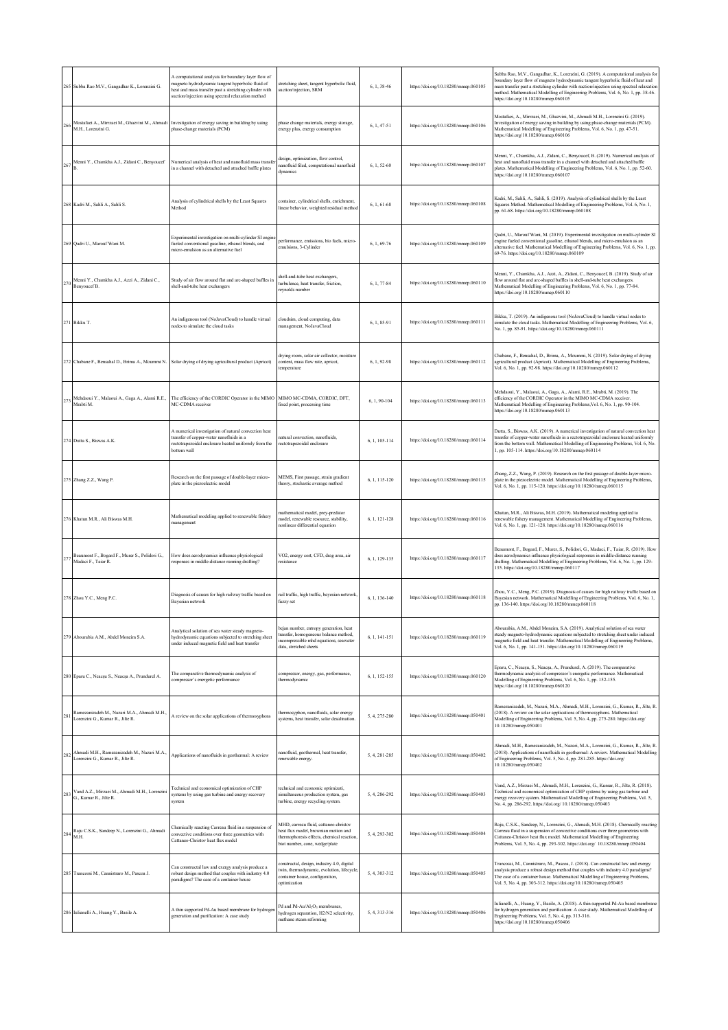|             | 265 Subba Rao M.V., Gangadhar K., Lorenzini G.                                   | A computational analysis for boundary layer flow of<br>magneto hydrodynamic tangent hyperbolic fluid of<br>icat and mass transfer past a stretching cylinder with<br>suction/injection using spectral relaxation method | stretching sheet, tangent hyperbolic fluid,<br>suction/injection, SRM                                                                                         | 6, 1, 38-46     | https://doi.org/10.18280/mmep.060105 | Subba Rao, M.V., Gangadhar, K., Lorenzini, G. (2019). A computational analysis for<br>boundary layer flow of magneto hydrodynamic tangent hyperbolic fluid of heat and<br>mass transfer past a stretching cylinder with suction/injection using spectral relaxation<br>nethod. Mathematical Modelling of Engineering Problems, Vol. 6, No. 1, pp. 38-46.<br>https://doi.org/10.18280/mmep.060105 |
|-------------|----------------------------------------------------------------------------------|-------------------------------------------------------------------------------------------------------------------------------------------------------------------------------------------------------------------------|---------------------------------------------------------------------------------------------------------------------------------------------------------------|-----------------|--------------------------------------|--------------------------------------------------------------------------------------------------------------------------------------------------------------------------------------------------------------------------------------------------------------------------------------------------------------------------------------------------------------------------------------------------|
| 266         | Mostafaci A., Mirrzaci M., Ghazvini M., Ahmadi<br>M.H. Lorenzini G.              | Investigation of energy saving in building by using<br>phase-change materials (PCM)                                                                                                                                     | phase change materials, energy storage,<br>energy plus, energy consumption                                                                                    | $6, 1, 47-51$   | https://doi.org/10.18280/mmep.060106 | Mostafaei, A., Mirrzaei, M., Ghazvini, M., Ahmadi M.H., Lorenzini G. (2019).<br>Investigation of energy saving in building by using phase-change materials (PCM).<br>Mathematical Modelling of Engineering Problems, Vol. 6, No. 1, pp. 47-51.<br>https://doi.org/10.18280/mmep.060106                                                                                                           |
| 267         | Menni Y., Chamkha A.J., Zidani C., Benyoucef                                     | Numerical analysis of heat and nanofluid mass transfe<br>in a channel with detached and attached baffle plates                                                                                                          | design, optimization, flow control,<br>nanofluid filed, computational nanofluid<br>dynamics                                                                   | $6, 1, 52 - 60$ | https://doi.org/10.18280/mmep.060107 | Menni, Y., Chamkha, A.J., Zidani, C., Benyoucef, B. (2019). Numerical analysis of<br>heat and nanofluid mass transfer in a channel with detached and attached baffle<br>plates. Mathematical Modelling of Engineering Problems, Vol. 6, No. 1, pp. 52-60.<br>https://doi.org/10.18280/mmep.060107                                                                                                |
|             | 268 Kadri M., Sahli A., Sahli S.                                                 | Analysis of cylindrical shells by the Least Squares<br>Method                                                                                                                                                           | container, cylindrical shells, enrichment,<br>linear behavior, weighted residual method                                                                       | $6, 1, 61-68$   | https://doi.org/10.18280/mmep.060108 | Kadri, M., Sahli, A., Sahli, S. (2019). Analysis of cylindrical shells by the Least<br>Squares Method. Mathematical Modelling of Engineering Problems, Vol. 6, No. 1,<br>pp. 61-68. https://doi.org/10.18280/mmep.060108                                                                                                                                                                         |
|             | 269 Qadri U., Marouf Wani M.                                                     | Experimental investigation on multi-cylinder SI engin<br>fueled conventional gasoline, ethanol blends, and<br>micro-emulsion as an alternative fuel                                                                     | performance, emissions, bio fuels, micro-<br>emulsions, 3-Cylinder                                                                                            | $6, 1, 69-76$   | https://doi.org/10.18280/mmep.060109 | Qadri, U., Marouf Wani, M. (2019). Experimental investigation on multi-cylinder SI<br>engine fueled conventional gasoline, ethanol blends, and micro-emulsion as an<br>alternative fuel. Mathematical Modelling of Engineering Problems, Vol. 6, No. 1, pp.<br>69-76. https://doi.org/10.18280/mmep.060109                                                                                       |
| 270         | Menni Y., Chamkha A.J., Azzi A., Zidani C.,<br>Benyoucef B.                      | Study of air flow around flat and arc-shaped baffles in<br>shell-and-tube heat exchangers                                                                                                                               | shell-and-tube heat exchangers,<br>turbulence, heat transfer, friction,<br>reynolds number                                                                    | 6.1.77-84       | https://doi.org/10.18280/mmep.060110 | Menni, Y., Chamkha, A.J., Azzi, A., Zidani, C., Benyoucef, B. (2019). Study of air<br>low around flat and arc-shaped baffles in shell-and-tube heat exchangers.<br>Mathematical Modelling of Engineering Problems, Vol. 6, No. 1, pp. 77-84.<br>https://doi.org/10.18280/mmep.060110                                                                                                             |
|             | 271 Bikku T.                                                                     | An indigenous tool (NoJavaCloud) to handle virtual<br>nodes to simulate the cloud tasks                                                                                                                                 | cloudsim, cloud computing, data<br>management, NoJavaCloud                                                                                                    | 6, 1, 85-91     | https://doi.org/10.18280/mmep.060111 | Bikku, T. (2019). An indigenous tool (NoJavaCloud) to handle virtual nodes to<br>simulate the cloud tasks. Mathematical Modelling of Engineering Problems, Vol. 6,<br>No. 1, pp. 85-91. https://doi.org/10.18280/mmep.060111                                                                                                                                                                     |
|             |                                                                                  | 272 Chabane F., Bensahal D., Brima A., Moummi N. Solar drying of drying agricultural product (Apricot)                                                                                                                  | drying room, solar air collector, moisture<br>content, mass flow rate, apricot,<br>temperature                                                                | 6.1.92-98       | https://doi.org/10.18280/mmep.060112 | Chabane, F., Bensahal, D., Brima, A., Moummi, N. (2019). Solar drying of drying<br>agricultural product (Apricot). Mathematical Modelling of Engineering Problems,<br>Vol. 6, No. 1, pp. 92-98. https://doi.org/10.18280/mmep.060112                                                                                                                                                             |
| 273         | Mehdaoui Y., Malaoui A., Gaga A., Alami R.E.,<br>Mrabti M.                       | The efficiency of the CORDIC Operator in the MIMC<br>MC-CDMA receiver                                                                                                                                                   | MIMO MC-CDMA, CORDIC, DFT,<br>fixed point, processing time                                                                                                    | 6, 1, 90-104    | https://doi.org/10.18280/mmep.060113 | Mehdaoui, Y., Malaoui, A., Gaga, A., Alami, R.E., Mrabti, M. (2019). The<br>efficiency of the CORDIC Operator in the MIMO MC-CDMA receiver.<br>Mathematical Modelling of Engineering Problems, Vol. 6, No. 1, pp. 90-104.<br>https://doi.org/10.18280/mmep.060113                                                                                                                                |
|             | 274 Dutta S., Biswas A.K.                                                        | A numerical investigation of natural convection heat<br>ransfer of copper-water nanofluids in a<br>rectotrapezoidal enclosure heated uniformly from the<br>bottom wall                                                  | atural convection, nanofluids,<br>rectotrapezoidal enclosure                                                                                                  | 6, 1, 105-114   | https://doi.org/10.18280/mmep.060114 | Dutta, S., Biswas, A.K. (2019). A numerical investigation of natural convection heat<br>ransfer of copper-water nanofluids in a rectotrapezoidal enclosure heated uniformly<br>from the bottom wall. Mathematical Modelling of Engineering Problems, Vol. 6, No.<br>1, pp. 105-114. https://doi.org/10.18280/mmcp.060114                                                                         |
|             | 275 Zhang Z.Z., Wang P.                                                          | Research on the first passage of double-layer micro-<br>plate in the piezoelectric model                                                                                                                                | MEMS, First passage, strain gradient<br>theory, stochastic average method                                                                                     | 6, 1, 115-120   | https://doi.org/10.18280/mmep.060115 | Zhang, Z.Z., Wang, P. (2019). Research on the first passage of double-layer micro-<br>plate in the piezoelectric model. Mathematical Modelling of Engineering Problems,<br>Vol. 6, No. 1, pp. 115-120. https://doi.org/10.18280/mmep.060115                                                                                                                                                      |
|             | 276 Khatun M.R., Ali Biswas M.H.                                                 | Mathematical modeling applied to renewable fishery<br>nanagement                                                                                                                                                        | nathematical model, prey-predator<br>model, renewable resource, stability,<br>nonlinear differential equation                                                 | 6, 1, 121-128   | https://doi.org/10.18280/mmep.060116 | Khatun, M.R., Ali Biswas, M.H. (2019). Mathematical modeling applied to<br>renewable fishery management. Mathematical Modelling of Engineering Problems,<br>Vol. 6, No. 1, pp. 121-128. https://doi.org/10.18280/mmep.060116                                                                                                                                                                     |
| 277         | Beaumont F., Bogard F., Murer S., Polidori G.,<br>Madaci F., Taiar R.            | How does aerodynamics influence physiological<br>responses in middle-distance running drafting?                                                                                                                         | VO2, energy cost, CFD, drag area, air<br>resistance                                                                                                           | 6.1.129-135     | https://doi.org/10.18280/mmep.060117 | Beaumont, F., Bogard, F., Murer, S., Polidori, G., Madaci, F., Taiar, R. (2019). How<br>does aerodynamics influence physiological responses in middle-distance running<br>drafting. Mathematical Modelling of Engineering Problems, Vol. 6, No. 1, pp. 129-<br>135. https://doi.org/10.18280/mmep.060117                                                                                         |
|             | 278 Zhou Y.C., Meng P.C.                                                         | Diagnosis of causes for high railway traffic based on<br>Bayesian network                                                                                                                                               | rail traffic, high traffic, bayesian network,<br>fuzzy set                                                                                                    | 6, 1, 136-140   | https://doi.org/10.18280/mmep.060118 | Zhou, Y.C., Meng, P.C. (2019). Diagnosis of causes for high railway traffic based on<br>Bayesian network. Mathematical Modelling of Engineering Problems, Vol. 6, No. 1,<br>pp. 136-140. https://doi.org/10.18280/mmep.060118                                                                                                                                                                    |
|             | 279 Abourabia A.M., Abdel Moneim S.A.                                            | Analytical solution of sea water steady magneto-<br>hydrodynamic equations subjected to stretching sheet<br>under induced magnetic field and heat transfer                                                              | oejan number, entropy generation, heat<br>transfer, homogeneous balance method,<br>incompressible mhd equations, seawater<br>data, stretched sheets           | 6, 1, 141-151   | https://doi.org/10.18280/mmep.060119 | Abourabia, A.M., Abdel Moneim, S.A. (2019). Analytical solution of sea water<br>steady magneto-hydrodynamic equations subjected to stretching sheet under induced<br>magnetic field and heat transfer. Mathematical Modelling of Engineering Problems,<br>Vol. 6, No. 1, pp. 141-151. https://doi.org/10.18280/mmep.060119                                                                       |
|             | 280 Eparu C., Neacșu S., Neacșa A., Prundurel A.                                 | The comparative thermodynamic analysis of<br>ompressor's energetic performance                                                                                                                                          | compressor, energy, gas, performance,<br>thermodynamic                                                                                                        | 6, 1, 152-155   | https://doi.org/10.18280/mmep.060120 | Eparu, C., Neacșu, S., Neacșa, A., Prundurel, A. (2019). The comparative<br>thermodynamic analysis of compressor's energetic performance. Mathematical<br>Modelling of Engineering Problems, Vol. 6, No. 1, pp. 152-155.<br>https://doi.org/10.18280/mmep.060120                                                                                                                                 |
| 281         | Ramezanizadeh M., Nazari M.A., Ahmadi M.H.,<br>Lorenzini G., Kumar R., Jilte R.  | A review on the solar applications of thermosyphons                                                                                                                                                                     | thermosyphon, nanofluids, solar energy<br>systems, heat transfer, solar desalination.                                                                         | 5.4.275-280     | https://doi.org/10.18280/mmep.050401 | Ramezanizadeh, M., Nazari, M.A., Ahmadi, M.H., Lorenzini, G., Kumar, R., Jilte, R.<br>(2018). A review on the solar applications of thermosyphons. Mathematical<br>Modelling of Engineering Problems, Vol. 5, No. 4, pp. 275-280. https://doi.org/<br>10.18280/mmep.050401                                                                                                                       |
| ${\bf 282}$ | Ahmadi M.H., Ramezanizadeh M., Nazari M.A.,<br>Lorenzini G., Kumar R., Jilte R.  | Applications of nanofluids in geothermal: A review                                                                                                                                                                      | nanofluid, geothermal, heat transfer,<br>renewable energy.                                                                                                    | 5, 4, 281-285   | https://doi.org/10.18280/mmep.050402 | Ahmadi, M.H., Ramezanizadeh, M., Nazari, M.A., Lorenzini, G., Kumar, R., Jilte, R.<br>(2018). Applications of nanofluids in geothermal: A review. Mathematical Modelling<br>of Engineering Problems, Vol. 5, No. 4, pp. 281-285. https://doi.org/<br>10.18280/mmep.050402                                                                                                                        |
| 283         | Vand A.Z., Mirzaei M., Ahmadi M.H., Lorenzini<br>G., Kumar R., Jilte R.          | Technical and economical optimization of CHP<br>systems by using gas turbine and energy recovery<br>system                                                                                                              | technical and economic optimizati,<br>simultaneous production system, gas<br>turbine, energy recycling system.                                                | 5, 4, 286-292   | https://doi.org/10.18280/mmep.050403 | Vand, A.Z., Mirzaei M., Ahmadi, M.H., Lorenzini, G., Kumar, R., Jilte, R. (2018).<br>Technical and economical optimization of CHP systems by using gas turbine and<br>energy recovery system. Mathematical Modelling of Engineering Problems, Vol. 5,<br>No. 4, pp. 286-292. https://doi.org/ 10.18280/mmep.050403                                                                               |
|             | Raju C.S.K., Sandeep N., Lorenzini G., Ahmadi<br>$^{284}$ $_{\rm{M.H.}}^{^\sim}$ | Chemically reacting Carreau fluid in a suspension of<br>convective conditions over three geometries with<br>Cattaneo-Christov heat flux model                                                                           | MHD, carreau fluid, cattaneo-christov<br>heat flux model, brownian motion and<br>thermophoresis effects, chemical reaction,<br>biot number, cone, wedge/plate | 5, 4, 293-302   | https://doi.org/10.18280/mmep.050404 | Raju, C.S.K., Sandeep, N., Lorenzini, G., Ahmadi, M.H. (2018). Chemically reacting<br>Carreau fluid in a suspension of convective conditions over three geometries with<br>Cattaneo-Christov heat flux model. Mathematical Modelling of Engineering<br>Problems, Vol. 5, No. 4, pp. 293-302. https://doi.org/ 10.18280/mmep.050404                                                               |
|             | 285 Trancossi M., Cannistraro M., Pascoa J.                                      | Can constructal law and exergy analysis produce a<br>robust design method that couples with industry 4.0<br>paradigms? The case of a container house                                                                    | onstructal, design, industry 4.0, digital<br>win, thermodynamic, evolution, lifecycle<br>container house, configuration,<br>optimization                      | 5, 4, 303-312   | https://doi.org/10.18280/mmep.050405 | Trancossi, M., Cannistraro, M., Pascoa, J. (2018). Can constructal law and exergy<br>malysis produce a robust design method that couples with industry 4.0 paradigms?<br>The case of a container house. Mathematical Modelling of Engineering Problems,<br>Vol. 5, No. 4, pp. 303-312. https://doi.org/10.18280/mmep.050405                                                                      |
|             | 286 Iulianelli A., Huang Y., Basile A.                                           | A thin supported Pd-Au based membrane for hydroger<br>generation and purification: A case study                                                                                                                         | Pd and Pd-Au/Al <sub>2</sub> O <sub>3</sub> membranes,<br>hydrogen separation, H2/N2 selectivity,<br>methane steam reforming                                  | 5, 4, 313-316   | https://doi.org/10.18280/mmep.050406 | Iulianelli, A., Huang, Y., Basile, A. (2018). A thin supported Pd-Au based membrane<br>for hydrogen generation and purification: A case study. Mathematical Modelling of<br>Engineering Problems, Vol. 5, No. 4, pp. 313-316.<br>https://doi.org/10.18280/mmep.050406                                                                                                                            |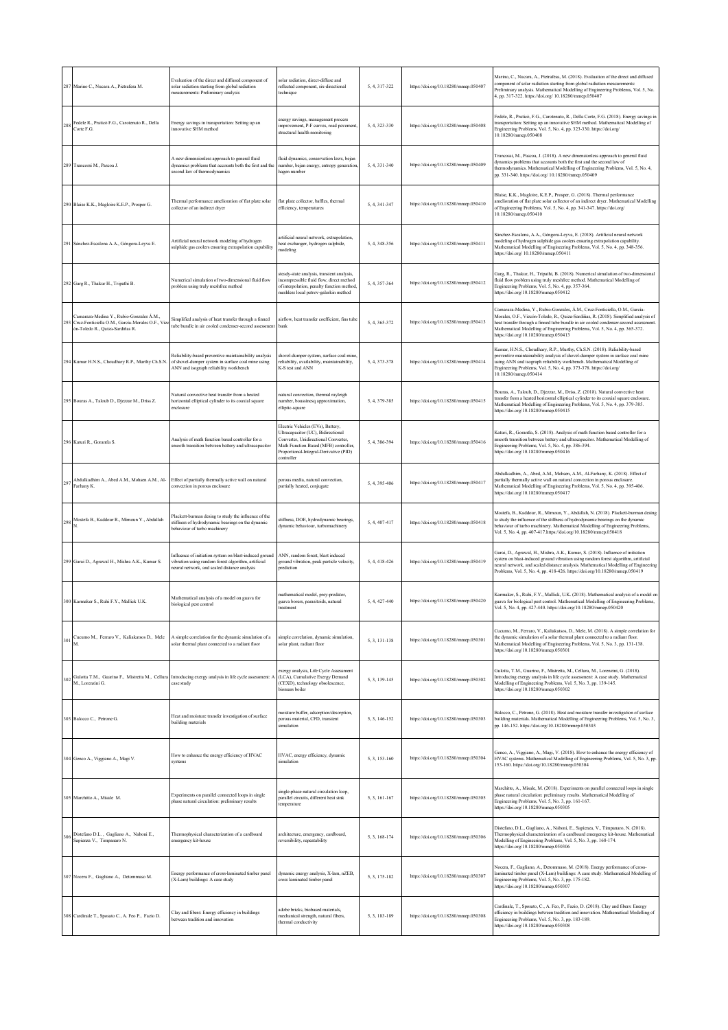|     | 287 Marino C., Nucara A., Pietrafesa M.                                                                                         | Evaluation of the direct and diffused component of<br>solar radiation starting from global radiation<br>neasurements: Preliminary analysis                   | olar radiation, direct-diffuse and<br>reflected component, six-directional<br>echnique                                                                                                                           | 5, 4, 317-322 | https://doi.org/10.18280/mmep.050407 | Marino, C., Nucara, A., Pietrafesa, M. (2018). Evaluation of the direct and diffused<br>component of solar radiation starting from global radiation measurements:<br>Preliminary analysis. Mathematical Modelling of Engineering Problems, Vol. 5, No.<br>4, pp. 317-322. https://doi.org/ 10.18280/mmep.050407                                                                  |
|-----|---------------------------------------------------------------------------------------------------------------------------------|--------------------------------------------------------------------------------------------------------------------------------------------------------------|------------------------------------------------------------------------------------------------------------------------------------------------------------------------------------------------------------------|---------------|--------------------------------------|----------------------------------------------------------------------------------------------------------------------------------------------------------------------------------------------------------------------------------------------------------------------------------------------------------------------------------------------------------------------------------|
| 288 | Fedele R., Praticò F.G., Carotenuto R., Della<br>Corte F.G.                                                                     | Energy savings in transportation: Setting up an<br>nnovative SHM method                                                                                      | nergy savings, management process<br>nprovement, P-F curves, road pavement,<br>structural health monitoring                                                                                                      | 5, 4, 323-330 | https://doi.org/10.18280/mmep.050408 | Fedele, R., Praticò, F.G., Carotenuto, R., Della Corte, F.G. (2018). Energy savings in<br>transportation: Setting up an innovative SHM method. Mathematical Modelling of<br>Engineering Problems, Vol. 5, No. 4, pp. 323-330. https://doi.org/<br>10.18280/mmep.050408                                                                                                           |
|     | 289 Trancossi M., Pascoa J.                                                                                                     | A new dimensionless approach to general fluid<br>dynamics problems that accounts both the first and the<br>econd law of thermodynamics                       | fluid dynamics, conservation laws, bejan<br>number, bejan energy, entropy generation<br>agen number                                                                                                              | 5, 4, 331-340 | https://doi.org/10.18280/mmep.050409 | Trancossi, M., Pascoa, J. (2018). A new dimensionless approach to general fluid<br>dynamics problems that accounts both the first and the second law of<br>thermodynamics. Mathematical Modelling of Engineering Problems, Vol. 5, No. 4,<br>pp. 331-340. https://doi.org/ 10.18280/mmep.050409                                                                                  |
| 290 | Blaise K.K., Magloire K.E.P., Prosper G.                                                                                        | Thermal performance amelioration of flat plate solar<br>collector of an indirect dryer                                                                       | flat plate collector, baffles, thermal<br>efficiency, temperatures                                                                                                                                               | 5.4.341-347   | https://doi.org/10.18280/mmep.050410 | Blaise, K.K., Magloire, K.E.P., Prosper, G. (2018). Thermal performance<br>amelioration of flat plate solar collector of an indirect dryer. Mathematical Modelling<br>of Engineering Problems, Vol. 5, No. 4, pp. 341-347. https://doi.org/<br>10.18280/mmep.050410                                                                                                              |
| 291 | Sánchez-Escalona A.A., Góngora-Leyva E.                                                                                         | Artificial neural network modeling of hydrogen<br>ulphide gas coolers ensuring extrapolation capability                                                      | rtificial neural network, extrapolation,<br>teat exchanger, hydrogen sulphide,<br>nodeling                                                                                                                       | 5, 4, 348-356 | https://doi.org/10.18280/mmep.050411 | Sánchez-Escalona, A.A., Góngora-Leyva, E. (2018). Artificial neural network<br>modeling of hydrogen sulphide gas coolers ensuring extrapolation capability.<br>Mathematical Modelling of Engineering Problems, Vol. 5, No. 4, pp. 348-356.<br>https://doi.org/ 10.18280/mmep.050411                                                                                              |
|     | 292 Garg R., Thakur H., Tripathi B.                                                                                             | Numerical simulation of two-dimensional fluid flow<br>problem using truly meshfree method                                                                    | teady-state analysis, transient analysis,<br>ncompressible fluid flow, direct method<br>of interpolation, penalty function method,<br>meshless local petrov-galerkin method                                      | 5.4.357-364   | https://doi.org/10.18280/mmep.050412 | Garg, R., Thakur, H., Tripathi, B. (2018). Numerical simulation of two-dimensional<br>fluid flow problem using truly meshfree method. Mathematical Modelling of<br>Engineering Problems, Vol. 5, No. 4, pp. 357-364.<br>https://doi.org/10.18280/mmep.050412                                                                                                                     |
| 293 | Camaraza-Medina Y., Rubio-Gonzales Á.M.,<br>Cruz-Fonticiella O.M., García-Morales O.F., Vizc<br>ón-Toledo R., Quiza-Sardiñas R. | Simplified analysis of heat transfer through a finned<br>tube bundle in air cooled condenser-second assessment                                               | airflow, heat transfer coefficient, fins tube<br>bank                                                                                                                                                            | 5, 4, 365-372 | https://doi.org/10.18280/mmep.050413 | Camaraza-Medina, Y., Rubio-Gonzales, Á.M., Cruz-Fonticiella, O.M., García-<br>Morales, O.F., Vizcón-Toledo, R., Ouiza-Sardiñas, R. (2018). Simplified analysis of<br>heat transfer through a finned tube bundle in air cooled condenser-second assessment<br>Mathematical Modelling of Engineering Problems, Vol. 5, No. 4, pp. 365-372.<br>https://doi.org/10.18280/mmep.050413 |
|     | 294 Kumar H.N.S., Choudhary R.P., Murthy Ch.S.N.                                                                                | Reliability-based preventive maintainability analysis<br>of shovel-dumper system in surface coal mine using<br>ANN and isograph reliability workbench        | hovel-dumper system, surface coal mine,<br>reliability, availability, maintainability,<br>K-S test and ANN                                                                                                       | 5, 4, 373-378 | https://doi.org/10.18280/mmcp.050414 | Kumar, H.N.S., Choudhary, R.P., Murthy, Ch.S.N. (2018). Reliability-based<br>preventive maintainability analysis of shovel-dumper system in surface coal mine<br>using ANN and isograph reliability workbench. Mathematical Modelling of<br>Engineering Problems, Vol. 5, No. 4, pp. 373-378. https://doi.org/<br>10.18280/mmep.050414                                           |
|     | 295 Bouras A., Taloub D., Djezzar M., Driss Z.                                                                                  | Natural convective heat transfer from a heated<br>horizontal elliptical cylinder to its coaxial square<br>enclosure                                          | atural convection, thermal rayleigh<br>umber, boussinesq approximation,<br>elliptic-square                                                                                                                       | 5, 4, 379-385 | https://doi.org/10.18280/mmep.050415 | Bouras, A., Taloub, D., Djezzar, M., Driss, Z. (2018). Natural convective heat<br>transfer from a heated horizontal elliptical cylinder to its coaxial square enclosure.<br>Mathematical Modelling of Engineering Problems, Vol. 5, No. 4, pp. 379-385.<br>https://doi.org/10.18280/mmep.050415                                                                                  |
|     | 296 Katuri R., Gorantla S.                                                                                                      | Analysis of math function based controller for a<br>mooth transition between battery and ultracapacitor                                                      | Electric Vehicles (EVs), Battery,<br>Ultracapacitor (UC), Bidirectional<br>Converter, Unidirectional Converter,<br>Math Function Based (MFB) controller,<br>Proportional-Integral-Derivative (PID)<br>:ontroller | 5, 4, 386-394 | https://doi.org/10.18280/mmep.050416 | Katuri, R., Gorantla, S. (2018). Analysis of math function based controller for a<br>smooth transition between battery and ultracapacitor. Mathematical Modelling of<br>Engineering Problems, Vol. 5, No. 4, pp. 386-394.<br>https://doi.org/10.18280/mmep.050416                                                                                                                |
| 297 | Abdulkadhim A., Abed A.M., Mohsen A.M., Al-<br>Farhany K.                                                                       | Effect of partially thermally active wall on natural<br>convection in porous enclosure                                                                       | porous media, natural convection,<br>partially heated, conjugate                                                                                                                                                 | 5.4.395-406   | https://doi.org/10.18280/mmep.050417 | Abdulkadhim, A., Abed, A.M., Mohsen, A.M., Al-Farhany, K. (2018). Effect of<br>partially thermally active wall on natural convection in porous enclosure.<br>Mathematical Modelling of Engineering Problems, Vol. 5, No. 4, pp. 395-406.<br>https://doi.org/10.18280/mmep.050417                                                                                                 |
| 298 | Mostefa B., Kaddour R., Mimoun Y., Abdallah                                                                                     | Plackett-burman desing to study the influence of the<br>stiffness of hydrodynamic bearings on the dynamic<br>behaviour of turbo machinerv                    | tiffness, DOE, hydrodynamic bearings,<br>dynamic behaviour, turbomachinery                                                                                                                                       | 5, 4, 407-417 | https://doi.org/10.18280/mmep.050418 | Mostefa, B., Kaddour, R., Mimoun, Y., Abdallah, N. (2018). Plackett-burman desing<br>to study the influence of the stiffness of hydrodynamic bearings on the dynamic<br>behaviour of turbo machinery. Mathematical Modelling of Engineering Problems,<br>Vol. 5, No. 4, pp. 407-417.https://doi.org/10.18280/mmcp.050418                                                         |
|     | 299 Garai D., Agrawal H., Mishra A.K., Kumar S.                                                                                 | influence of initiation system on blast-induced ground<br>vibration using random forest algorithm, artificial<br>eural network, and scaled distance analysis | ANN, random forest, blast induced<br>ground vibration, peak particle velocity,<br>prediction                                                                                                                     | 5.4.418-426   | https://doi.org/10.18280/mmep.050419 | Garai, D., Agrawal, H., Mishra, A.K., Kumar, S. (2018). Influence of initiation<br>system on blast-induced ground vibration using random forest algorithm, artificial<br>neural network, and scaled distance analysis. Mathematical Modelling of Engineering<br>Problems, Vol. 5, No. 4, pp. 418-426. https://doi.org/10.18280/mmep.050419                                       |
|     | 300 Karmaker S., Ruhi F.Y., Mallick U.K.                                                                                        | Mathematical analysis of a model on guava for<br>biological pest control                                                                                     | mathematical model, prey-predator,<br>guava borers, parasitoids, natural<br>treatment                                                                                                                            | 5, 4, 427-440 | https://doi.org/10.18280/mmep.050420 | Karmaker, S., Ruhi, F.Y., Mallick, U.K. (2018). Mathematical analysis of a model or<br>guava for biological pest control. Mathematical Modelling of Engineering Problems,<br>Vol. 5, No. 4, pp. 427-440. https://doi.org/10.18280/mmcp.050420                                                                                                                                    |
| 301 | Cucumo M., Ferraro V., Kaliakatsos D., Mele                                                                                     | A simple correlation for the dynamic simulation of a<br>olar thermal plant connected to a radiant floor                                                      | simple correlation, dynamic simulation,<br>solar plant, radiant floor                                                                                                                                            | 5, 3, 131-138 | https://doi.org/10.18280/mmep.050301 | Cucumo, M., Ferraro, V., Kaliakatsos, D., Mele, M. (2018). A simple correlation for<br>the dynamic simulation of a solar thermal plant connected to a radiant floor.<br>Mathematical Modelling of Engineering Problems, Vol. 5, No. 3, pp. 131-138.<br>https://doi.org/10.18280/mmep.050301                                                                                      |
| 302 | M., Lorenzini G.                                                                                                                | Gulotta T.M., Guarino F., Mistretta M., Cellura Introducing exergy analysis in life cycle assessment:<br>ase study:                                          | xergy analysis, Life Cycle Assessment<br>(LCA), Cumulative Exergy Demand<br>(CEXD), technology obsolescence,<br>biomass boiler                                                                                   | 5, 3, 139-145 | https://doi.org/10.18280/mmep.050302 | Gulotta, T.M., Guarino, F., Mistretta, M., Cellura, M., Lorenzini, G. (2018).<br>Introducing exergy analysis in life cycle assessment: A case study. Mathematical<br>Modelling of Engineering Problems, Vol. 5, No. 3, pp. 139-145.<br>https://doi.org/10.18280/mmep.050302                                                                                                      |
|     | 303 Balocco C., Petrone G.                                                                                                      | Heat and moisture transfer investigation of surface<br>building materials                                                                                    | noisture buffer, adsorption/desorption,<br>porous material, CFD, transient<br>simulation                                                                                                                         | 5, 3, 146-152 | https://doi.org/10.18280/mmep.050303 | Balocco, C., Petrone, G. (2018). Heat and moisture transfer investigation of surface<br>building materials. Mathematical Modelling of Engineering Problems, Vol. 5, No. 3,<br>pp. 146-152. https://doi.org/10.18280/mmep.050303                                                                                                                                                  |
| 304 | Genco A., Viggiano A., Magi V.                                                                                                  | How to enhance the energy efficiency of HVAC<br>systems                                                                                                      | HVAC, energy efficiency, dynamic<br>simulation                                                                                                                                                                   | 5, 3, 153-160 | https://doi.org/10.18280/mmep.050304 | Genco, A., Viggiano, A., Magi, V. (2018). How to enhance the energy efficiency of<br>HVAC systems. Mathematical Modelling of Engineering Problems, Vol. 5, No. 3, pp.<br>153-160. https://doi.org/10.18280/mmep.050304                                                                                                                                                           |
|     | 305 Marchitto A., Misale M.                                                                                                     | Experiments on parallel connected loops in single<br>phase natural circulation: preliminary results                                                          | ingle-phase natural circulation loop,<br>parallel circuits, different heat sink<br>emperature                                                                                                                    | 5, 3, 161-167 | https://doi.org/10.18280/mmep.050305 | Marchitto, A., Misale, M. (2018). Experiments on parallel connected loops in single<br>phase natural circulation: preliminary results. Mathematical Modelling of<br>Engineering Problems, Vol. 5, No. 3, pp. 161-167.<br>https://doi.org/10.18280/mmep.050305                                                                                                                    |
| 306 | Distefano D.L., Gagliano A., Naboni E.,<br>Sapienza V., Timpanaro N.                                                            | Thermophysical characterization of a cardboard<br>emergency kit-house                                                                                        | rchitecture, emergency, cardboard,<br>reversibility, repeatability                                                                                                                                               | 5, 3, 168-174 | https://doi.org/10.18280/mmep.050306 | Distefano, D.L., Gagliano, A., Naboni, E., Sapienza, V., Timpanaro, N. (2018).<br>Thermophysical characterization of a cardboard emergency kit-house. Mathematical<br>Modelling of Engineering Problems, Vol. 5, No. 3, pp. 168-174.<br>https://doi.org/10.18280/mmep.050306                                                                                                     |
|     | 307 Nocera F., Gagliano A., Detommaso M.                                                                                        | Energy performance of cross-laminated timber panel<br>(X-Lam) buildings: A case study                                                                        | dynamic energy analysis, X-lam, nZEB,<br>cross laminated timber panel                                                                                                                                            | 5, 3, 175-182 | https://doi.org/10.18280/mmep.050307 | Nocera, F., Gagliano, A., Detommaso, M. (2018). Energy performance of cross-<br>laminated timber panel (X-Lam) buildings: A case study. Mathematical Modelling of<br>Engineering Problems, Vol. 5, No. 3, pp. 175-182.<br>https://doi.org/10.18280/mmep.050307                                                                                                                   |
|     | 308 Cardinale T., Sposato C., A. Feo P., Fazio D.                                                                               | Clay and fibers: Energy efficiency in buildings<br>between tradition and innovation                                                                          | adobe bricks, biobased materials,<br>mechanical strength, natural fibers,<br>hermal conductivity                                                                                                                 | 5.3.183-189   | https://doi.org/10.18280/mmep.050308 | Cardinale, T., Sposato, C., A. Feo, P., Fazio, D. (2018). Clay and fibers: Energy<br>efficiency in buildings between tradition and innovation. Mathematical Modelling of<br>Engineering Problems, Vol. 5, No. 3, pp. 183-189.<br>https://doi.org/10.18280/mmep.050308                                                                                                            |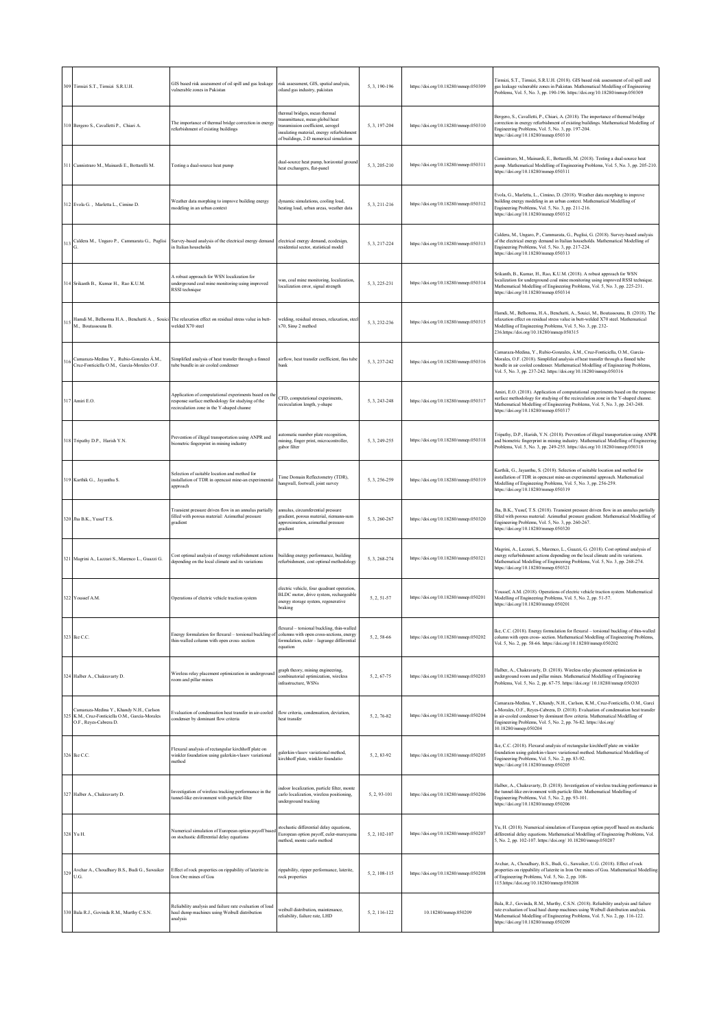|     | 309 Tirmizi S.T., Tirmizi S.R.U.H.                                                                                | GIS based risk assessment of oil spill and gas leakage<br>vulnerable zones in Pakistan                                                                | risk assessment, GIS, spatial analysis,<br>oiland gas industry, pakistan                                                                                                                     | 5, 3, 190-196 | https://doi.org/10.18280/mmep.050309 | Tirmizi, S.T., Tirmizi, S.R.U.H. (2018). GIS based risk assessment of oil spill and<br>gas leakage vulnerable zones in Pakistan. Mathematical Modelling of Engineering<br>Problems, Vol. 5, No. 3, pp. 190-196. https://doi.org/10.18280/mmep.050309                                                                                             |
|-----|-------------------------------------------------------------------------------------------------------------------|-------------------------------------------------------------------------------------------------------------------------------------------------------|----------------------------------------------------------------------------------------------------------------------------------------------------------------------------------------------|---------------|--------------------------------------|--------------------------------------------------------------------------------------------------------------------------------------------------------------------------------------------------------------------------------------------------------------------------------------------------------------------------------------------------|
|     | 310 Bergero S., Cavalletti P., Chiari A.                                                                          | The importance of thermal bridge correction in energy<br>refurbishment of existing buildings                                                          | thermal bridges, mean thermal<br>transmittance, mean global heat<br>transmission coefficient, aerogel<br>insulating material, energy refurbishment<br>of buildings, 2-D numerical simulation | 5, 3, 197-204 | https://doi.org/10.18280/mmep.050310 | Bergero, S., Cavalletti, P., Chiari, A. (2018). The importance of thermal bridge<br>correction in energy refurbishment of existing buildings. Mathematical Modelling of<br>Engineering Problems, Vol. 5, No. 3, pp. 197-204.<br>https://doi.org/10.18280/mmep.050310                                                                             |
| 311 | Cannistraro M., Mainardi E., Bottarelli M.                                                                        | Testing a dual-source heat pump                                                                                                                       | dual-source heat pump, horizontal ground<br>heat exchangers, flat-panel                                                                                                                      | 5, 3, 205-210 | https://doi.org/10.18280/mmep.050311 | Cannistraro, M., Mainardi, E., Bottarelli, M. (2018). Testing a dual-source heat<br>pump. Mathematical Modelling of Engineering Problems, Vol. 5, No. 3, pp. 205-210.<br>https://doi.org/10.18280/mmep.050311                                                                                                                                    |
|     | Evola G., Marletta L., Cimino D.                                                                                  | Weather data morphing to improve building energy<br>modeling in an urban context                                                                      | dynamic simulations, cooling load,<br>heating load, urban areas, weather data                                                                                                                | 5, 3, 211-216 | https://doi.org/10.18280/mmep.050312 | Evola, G., Marletta, L., Cimino, D. (2018). Weather data morphing to improve<br>puilding energy modeling in an urban context. Mathematical Modelling of<br>Engineering Problems, Vol. 5, No. 3, pp. 211-216.<br>https://doi.org/10.18280/mmep.050312                                                                                             |
| 313 | Caldera M., Ungaro P., Cammarata G., Puglisi                                                                      | Survey-based analysis of the electrical energy demand<br>in Italian households                                                                        | electrical energy demand, ecodesign,<br>esidential sector, statistical model                                                                                                                 | 5, 3, 217-224 | https://doi.org/10.18280/mmep.050313 | Caldera, M., Ungaro, P., Cammarata, G., Puglisi, G. (2018). Survey-based analysis<br>of the electrical energy demand in Italian households. Mathematical Modelling of<br>Engineering Problems, Vol. 5, No. 3, pp. 217-224.<br>https://doi.org/10.18280/mmep.050313                                                                               |
|     | 314 Srikanth B., Kumar H., Rao K.U.M.                                                                             | A robust approach for WSN localization for<br>underground coal mine monitoring using improved<br>RSSI technique                                       | wsn, coal mine monitoring, localization,<br>localization error, signal strength                                                                                                              | 5, 3, 225-231 | https://doi.org/10.18280/mmep.050314 | Srikanth, B., Kumar, H., Rao, K.U.M. (2018). A robust approach for WSN<br>ocalization for underground coal mine monitoring using improved RSSI technique.<br>Mathematical Modelling of Engineering Problems, Vol. 5, No. 3, pp. 225-231.<br>https://doi.org/10.18280/mmep.050314                                                                 |
| 315 | M., Boutassouna B.                                                                                                | Hamdi M., Belhorma H.A., Benchatti A., Souici The relaxation effect on residual stress value in butt-<br>welded X70 steel                             | welding, residual stresses, relaxation, steel<br>x70, Siny 2 method                                                                                                                          | 5, 3, 232-236 | https://doi.org/10.18280/mmep.050315 | Hamdi, M., Belhorma, H.A., Benchatti, A., Souici, M., Boutassouna, B. (2018). The<br>relaxation effect on residual stress value in butt-welded X70 steel. Mathematical<br>Modelling of Engineering Problems, Vol. 5, No. 3, pp. 232-<br>236.https://doi.org/10.18280/mmep.050315                                                                 |
| 316 | Camaraza-Medina Y., Rubio-Gonzales Á.M.,<br>Cruz-Fonticiella O.M., García-Morales O.F.                            | Simplified analysis of heat transfer through a finned<br>tube bundle in air cooled condenser                                                          | airflow, heat transfer coefficient, fins tube<br>bank                                                                                                                                        | 5, 3, 237-242 | https://doi.org/10.18280/mmep.050316 | Camaraza-Medina, Y., Rubio-Gonzales, Á.M., Cruz-Fonticiella, O.M., García-<br>Morales, O.F. (2018). Simplified analysis of heat transfer through a finned tube<br>pundle in air cooled condenser. Mathematical Modelling of Engineering Problems,<br>Vol. 5, No. 3, pp. 237-242. https://doi.org/10.18280/mmep.050316                            |
|     | 317 Amiri E.O.                                                                                                    | Application of computational experiments based on th<br>response surface methodology for studying of the<br>recirculation zone in the Y-shaped channe | CFD, computational experiments,<br>recirculation length, y-shape                                                                                                                             | 5, 3, 243-248 | https://doi.org/10.18280/mmep.050317 | Amiri, E.O. (2018). Application of computational experiments based on the response<br>surface methodology for studying of the recirculation zone in the Y-shaped channe.<br>Mathematical Modelling of Engineering Problems, Vol. 5, No. 3, pp. 243-248.<br>https://doi.org/10.18280/mmep.050317                                                  |
|     | 318 Tripathy D.P., Harish Y.N.                                                                                    | Prevention of illegal transportation using ANPR and<br>biometric fingerprint in mining industry                                                       | automatic number plate recognition,<br>mining, finger print, microcontroller,<br>gabor filter                                                                                                | 5.3.249-255   | https://doi.org/10.18280/mmep.050318 | Tripathy, D.P., Harish, Y.N. (2018). Prevention of illegal transportation using ANPR<br>and biometric fingerprint in mining industry. Mathematical Modelling of Engineering<br>Problems, Vol. 5, No. 3, pp. 249-255. https://doi.org/10.18280/mmep.050318                                                                                        |
|     | Karthik G., Jayanthu S.                                                                                           | Selection of suitable location and method for<br>installation of TDR in opencast mine-an experimental<br>approach                                     | Time Domain Reflectometry (TDR),<br>hangwall, footwall, joint survey                                                                                                                         | 5, 3, 256-259 | https://doi.org/10.18280/mmep.050319 | Karthik, G., Jayanthu, S. (2018). Selection of suitable location and method for<br>nstallation of TDR in opencast mine-an experimental approach. Mathematical<br>Modelling of Engineering Problems, Vol. 5, No. 3, pp. 256-259.<br>https://doi.org/10.18280/mmep.050319                                                                          |
|     | 320 Jha B.K., Yusuf T.S.                                                                                          | Transient pressure driven flow in an annulus partially<br>filled with porous material: Azimuthal pressure<br>gradient                                 | innulus, circumferential pressure<br>gradient, porous material, riemann-sum<br>approximation, azimuthal pressure<br>gradient                                                                 | 5.3.260-267   | https://doi.org/10.18280/mmep.050320 | Jha, B.K., Yusuf, T.S. (2018). Transient pressure driven flow in an annulus partially<br>filled with porous material: Azimuthal pressure gradient. Mathematical Modelling of<br>Engineering Problems, Vol. 5, No. 3, pp. 260-267.<br>https://doi.org/10.18280/mmep.050320                                                                        |
| 321 | Magrini A., Lazzari S., Marenco L., Guazzi G.                                                                     | Cost optimal analysis of energy refurbishment actions<br>depending on the local climate and its variations                                            | building energy performance, building<br>refurbishment, cost optimal methodology                                                                                                             | 5, 3, 268-274 | https://doi.org/10.18280/mmep.050321 | Magrini, A., Lazzari, S., Marenco, L., Guazzi, G. (2018). Cost optimal analysis of<br>nergy refurbishment actions depending on the local climate and its variations.<br>Mathematical Modelling of Engineering Problems, Vol. 5, No. 3, pp. 268-274.<br>https://doi.org/10.18280/mmep.050321                                                      |
|     | 322 Youssef A.M                                                                                                   | Operations of electric vehicle traction system                                                                                                        | electric vehicle, four quadrant operation<br>BLDC motor, drive system, rechargeable<br>energy storage system, regenerative<br>braking                                                        | 5.2.51-57     | https://doi.org/10.18280/mmep.050201 | Youssef, A.M. (2018). Operations of electric vehicle traction system. Mathematical<br>Modelling of Engineering Problems, Vol. 5, No. 2, pp. 51-57.<br>https://doi.org/10.18280/mmep.050201                                                                                                                                                       |
| 323 | Ike C.C.                                                                                                          | Energy formulation for flexural - torsional buckling<br>thin-walled column with open cross- section                                                   | flexural - torsional buckling, thin-walled<br>columns with open cross-sections, energy<br>formulation, euler - lagrange differential<br>equation                                             | 5, 2, 58-66   | https://doi.org/10.18280/mmep.050202 | Ike, C.C. (2018). Energy formulation for flexural - torsional buckling of thin-walled<br>column with open cross- section. Mathematical Modelling of Engineering Problems,<br>Vol. 5, No. 2, pp. 58-66. https://doi.org/10.18280/mmep.050202                                                                                                      |
|     | 324 Halber A., Chakravarty D.                                                                                     | Wireless relay placement optimization in underground<br>room and pillar mines                                                                         | graph theory, mining engineering,<br>combinatorial optimization, wireless<br>infrastructure, WSNs                                                                                            | 5, 2, 67-75   | https://doi.org/10.18280/mmep.050203 | Halber, A., Chakravarty, D. (2018). Wireless relay placement optimization in<br>underground room and pillar mines. Mathematical Modelling of Engineering<br>Problems, Vol. 5, No. 2, pp. 67-75. https://doi.org/ 10.18280/mmep.050203                                                                                                            |
| 32. | Camaraza-Medina Y., Khandy N.H., Carlson<br>K.M., Cruz-Fonticiella O.M., García-Morales<br>O.F., Reyes-Cabrera D. | Evaluation of condensation heat transfer in air-cooled<br>condenser by dominant flow criteria                                                         | flow criteria, condensation, deviation,<br>heat transfer                                                                                                                                     | 5, 2, 76-82   | https://doi.org/10.18280/mmep.050204 | Camaraza-Medina, Y., Khandy, N.H., Carlson, K.M., Cruz-Fonticiella, O.M., Garcí<br>-Morales, O.F., Reyes-Cabrera, D. (2018). Evaluation of condensation heat transfer<br>n air-cooled condenser by dominant flow criteria. Mathematical Modelling of<br>Engineering Problems, Vol. 5, No. 2, pp. 76-82. https://doi.org/<br>10.18280/mmep.050204 |
|     | 326 Ike C.C.                                                                                                      | Flexural analysis of rectangular kirchhoff plate on<br>winkler foundation using galerkin-vlasov variational<br>method                                 | ralerkin-vlasov variational method.<br>kirchhoff plate, winkler foundatio                                                                                                                    | 5, 2, 83-92   | https://doi.org/10.18280/mmep.050205 | Ike, C.C. (2018). Flexural analysis of rectangular kirchhoff plate on winkler<br>foundation using galerkin-vlasov variational method. Mathematical Modelling of<br>Engineering Problems, Vol. 5, No. 2, pp. 83-92.<br>https://doi.org/10.18280/mmep.050205                                                                                       |
| 327 | Halber A., Chakravarty D.                                                                                         | Investigation of wireless tracking performance in the<br>tunnel-like environment with particle filter                                                 | ndoor localization, particle filter, monte<br>carlo localization, wireless positioning,<br>underground tracking                                                                              | 5, 2, 93-101  | https://doi.org/10.18280/mmep.050206 | Halber, A., Chakravarty, D. (2018). Investigation of wireless tracking performance in<br>the tunnel-like environment with particle filter. Mathematical Modelling of<br>Engineering Problems, Vol. 5, No. 2, pp. 93-101.<br>https://doi.org/10.18280/mmep.050206                                                                                 |
|     | 328 Yu H.                                                                                                         | Numerical simulation of European option payoff base<br>on stochastic differential delay equations                                                     | tochastic differential delay equations,<br>European option payoff, culer-maruyama<br>method, monte carlo method                                                                              | 5, 2, 102-107 | https://doi.org/10.18280/mmep.050207 | Yu, H. (2018). Numerical simulation of European option payoff based on stochastic<br>differential delay equations. Mathematical Modelling of Engineering Problems, Vol.<br>5, No. 2, pp. 102-107. https://doi.org/ 10.18280/mmep.050207                                                                                                          |
| 329 | Avchar A., Choudhary B.S., Budi G., Sawaiker<br>U.G.                                                              | Effect of rock properties on rippability of laterite in<br>Iron Ore mines of Goa                                                                      | rippability, ripper performance, laterite,<br>rock properties                                                                                                                                | 5, 2, 108-115 | https://doi.org/10.18280/mmep.050208 | Avchar, A., Choudhary, B.S., Budi, G., Sawaiker, U.G. (2018). Effect of rock<br>properties on rippability of laterite in Iron Ore mines of Goa. Mathematical Modelling<br>of Engineering Problems, Vol. 5, No. 2, pp. 108-<br>115.https://doi.org/10.18280/mmep.050208                                                                           |
|     | 330 Bala R.J., Govinda R.M., Murthy C.S.N.                                                                        | Reliability analysis and failure rate evaluation of load<br>haul dump machines using Weibull distribution<br>analysis                                 | veibull distribution, maintenance,<br>reliability, failure rate, LHD                                                                                                                         | 5, 2, 116-122 | 10.18280/mmep.050209                 | Bala, R.J., Govinda, R.M., Murthy, C.S.N. (2018). Reliability analysis and failure<br>rate evaluation of load haul dump machines using Weibull distribution analysis.<br>Mathematical Modelling of Engineering Problems, Vol. 5, No. 2, pp. 116-122.<br>https://doi.org/10.18280/mmep.050209                                                     |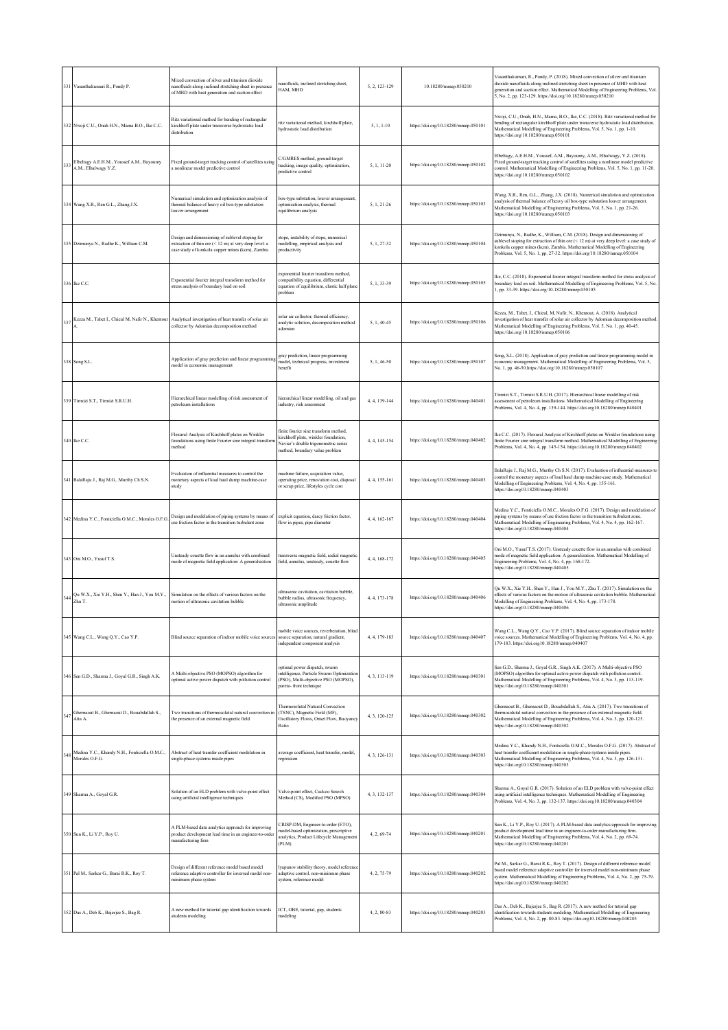|     | 331 Vasanthakumari R., Pondy P.                                                                             | Mixed convection of silver and titanium dioxide<br>nanofluids along inclined stretching sheet in presence<br>of MHD with heat generation and suction effect  | nanofluids, inclined stretching sheet,<br>HAM, MHD                                                                                                      | 5, 2, 123-129 | 10.18280/mmep.050210                 | Vasanthakumari, R., Pondy, P. (2018). Mixed convection of silver and titanium<br>dioxide nanofluids along inclined stretching sheet in presence of MHD with heat<br>generation and suction effect. Mathematical Modelling of Engineering Problems, Vol.<br>5, No. 2, pp. 123-129. https://doi.org/10.18280/mmep.050210         |
|-----|-------------------------------------------------------------------------------------------------------------|--------------------------------------------------------------------------------------------------------------------------------------------------------------|---------------------------------------------------------------------------------------------------------------------------------------------------------|---------------|--------------------------------------|--------------------------------------------------------------------------------------------------------------------------------------------------------------------------------------------------------------------------------------------------------------------------------------------------------------------------------|
|     | 332 Nwoji C.U., Onah H.N., Mama B.O., Ike C.C.                                                              | Ritz variational method for bending of rectangular<br>kirchhoff plate under transverse hydrostatic load<br>distribution                                      | ritz variational method, kirchhoff plate,<br>hydrostatic load distribution                                                                              | $5, 1, 1-10$  | https://doi.org/10.18280/mmep.050101 | Nwoji, C.U., Onah, H.N., Mama, B.O., Ike, C.C. (2018). Ritz variational method for<br>bending of rectangular kirchhoff plate under transverse hydrostatic load distribution.<br>Mathematical Modelling of Engineering Problems, Vol. 5, No. 1, pp. 1-10.<br>https://doi.org/10.18280/mmep.050101                               |
| 333 | Elbeltagy A.E.H.M., Youssef A.M., Bayoumy<br>A.M., Elhalwagy Y.Z.                                           | Fixed ground-target tracking control of satellites using<br>a nonlinear model predictive control                                                             | C/GMRES method, ground-target<br>tracking, image quality, optimization,<br>predictive control                                                           | 5, 1, 11-20   | https://doi.org/10.18280/mmep.050102 | Elbeltagy, A.E.H.M., Youssef, A.M., Bayoumy, A.M., Elhalwagy, Y.Z. (2018).<br>Fixed ground-target tracking control of satellites using a nonlinear model predictive<br>control. Mathematical Modelling of Engineering Problems, Vol. 5, No. 1, pp. 11-20.<br>https://doi.org/10.18280/mmep.050102                              |
|     | 334 Wang X.R., Ren G.L., Zhang J.X.                                                                         | Numerical simulation and optimization analysis of<br>thermal balance of heavy oil box-type substation<br>ouver arrangement                                   | box-type substation, louver arrangement,<br>optimization analysis, thermal<br>equilibrium analysis                                                      | 5, 1, 21-26   | https://doi.org/10.18280/mmep.050103 | Wang, X.R., Ren, G.L., Zhang, J.X. (2018). Numerical simulation and optimization<br>analysis of thermal balance of heavy oil box-type substation louver arrangement.<br>Mathematical Modelling of Engineering Problems, Vol. 5, No. 1, pp. 21-26.<br>https://doi.org/10.18280/mmep.050103                                      |
|     | 335 Dzimunya N., Radhe K., William C.M.                                                                     | Design and dimensioning of sublevel stoping for<br>extraction of thin ore (< 12 m) at very deep level: a<br>case study of konkola copper mines (kcm), Zambia | stope, instability of stope, numerical<br>modelling, empirical analysis and<br>productivity                                                             | 5, 1, 27-32   | https://doi.org/10.18280/mmep.050104 | Dzimunya, N., Radhe, K., William, C.M. (2018). Design and dimensioning of<br>sublevel stoping for extraction of thin ore (< 12 m) at very deep level: a case study of<br>conkola copper mines (kcm), Zambia. Mathematical Modelling of Engineering<br>Problems, Vol. 5, No. 1, pp. 27-32. https://doi.org/10.18280/mmep.050104 |
|     | 336 Ike C.C.                                                                                                | Exponential fourier integral transform method for<br>stress analysis of boundary load on soil                                                                | exponential fourier transform method.<br>compatibility equation, differential<br>equation of equilibrium, elastic half plane<br>problem                 | 5.1.33-39     | https://doi.org/10.18280/mmep.050105 | Ike, C.C. (2018). Exponential fourier integral transform method for stress analysis of<br>boundary load on soil. Mathematical Modelling of Engineering Problems, Vol. 5, No.<br>1, pp. 33-39. https://doi.org/10.18280/mmep.050105                                                                                             |
|     |                                                                                                             | 337 Kezza M., Tabet I., Chieul M, Nafir N., Khentout Analytical investigation of heat transfer of solar air<br>collector by Adomian decomposition method     | solar air collector, thermal efficiency,<br>analytic solution, decomposition method<br>adomian                                                          | 5, 1, 40-45   | https://doi.org/10.18280/mmep.050106 | Kezza, M., Tabet, I., Chieul, M, Nafir, N., Khentout, A. (2018). Analytical<br>investigation of heat transfer of solar air collector by Adomian decomposition method<br>Mathematical Modelling of Engineering Problems, Vol. 5, No. 1, pp. 40-45.<br>https://doi.org/10.18280/mmep.050106                                      |
|     | 338 Song S.L.                                                                                               | Application of gray prediction and linear programmin<br>model in economic management                                                                         | gray prediction, linear programming<br>model, technical progress, investment<br>benefit                                                                 | $5.1.46 - 50$ | https://doi.org/10.18280/mmep.050107 | Song, S.L. (2018). Application of gray prediction and linear programming model in<br>economic management. Mathematical Modelling of Engineering Problems, Vol. 5,<br>No. 1, pp. 46-50.https://doi.org/10.18280/mmep.050107                                                                                                     |
|     | 339 Tirmizi S.T., Tirmizi S.R.U.H.                                                                          | Hierarchical linear modelling of risk assessment of<br>etroleum installations                                                                                | hierarchical linear modelling, oil and gas<br>industry, risk assessment                                                                                 | 4, 4, 139-144 | https://doi.org/10.18280/mmep.040401 | Tirmizi S.T., Tirmizi S.R.U.H. (2017). Hierarchical linear modelling of risk<br>assessment of petroleum installations. Mathematical Modelling of Engineering<br>Problems, Vol. 4, No. 4, pp. 139-144. https://doi.org10.18280/mmep.040401                                                                                      |
|     | 340 Ike C.C.                                                                                                | Flexural Analysis of Kirchhoff plates on Winkler<br>foundations using finite Fourier sine integral transfort<br>method                                       | finite fourier sine transform method,<br>kirchhoff plate, winkler foundation,<br>Navier's double trigonometric series<br>method, boundary value problem | 4.4.145-154   | https://doi.org/10.18280/mmep.040402 | Ike C.C. (2017). Flexural Analysis of Kirchhoff plates on Winkler foundations using<br>finite Fourier sine integral transform method. Mathematical Modelling of Engineering<br>Problems, Vol. 4, No. 4, pp. 145-154. https://doi.org10.18280/mmep.040402                                                                       |
|     | 341 BalaRaju J., Raj M.G., Murthy Ch S.N.                                                                   | Evaluation of influential measures to control the<br>monetary aspects of load haul dump machine-case<br>study                                                | machine failure, acquisition value,<br>operating price, renovation cost, disposal<br>or scrap price, lifestyles cycle cost                              | 4, 4, 155-161 | https://doi.org/10.18280/mmep.040403 | BalaRaju J., Raj M.G., Murthy Ch S.N. (2017). Evaluation of influential measures to<br>control the monetary aspects of load haul dump machine-case study. Mathematical<br>Modelling of Engineering Problems, Vol. 4, No. 4, pp. 155-161.<br>https://doi.org10.18280/mmep.040403                                                |
|     | 342 Medina Y.C., Fonticiella O.M.C., Morales O.F.G.                                                         | Design and modelation of piping systems by means of<br>use friction factor in the transition turbulent zone                                                  | explicit equation, darcy friction factor.<br>flow in pipes, pipe diameter                                                                               | 4, 4, 162-167 | https://doi.org/10.18280/mmcp.040404 | Medina Y.C., Fonticiella O.M.C., Morales O.F.G. (2017). Design and modelation of<br>piping systems by means of use friction factor in the transition turbulent zone.<br>Mathematical Modelling of Engineering Problems, Vol. 4, No. 4, pp. 162-167.<br>https://doi.org10.18280/mmep.040404                                     |
|     | 343 Oni M.O., Yusuf T.S.                                                                                    | Unsteady couette flow in an annulus with combined<br>mode of magnetic field application: A generalization                                                    | transverse magnetic field, radial magnetic<br>field, annulus, unsteady, couette flow                                                                    | 4, 4, 168-172 | https://doi.org/10.18280/mmep.040405 | Oni M.O., Yusuf T.S. (2017). Unsteady couette flow in an annulus with combined<br>mode of magnetic field application: A generalization. Mathematical Modelling of<br>Engineering Problems, Vol. 4, No. 4, pp. 168-172.<br>https://doi.org10.18280/mmep.040405                                                                  |
| 344 | Qu W.X., Xie Y.H., Shen Y., Han J., You M.Y., Simulation on the effects of various factors on the<br>Zhu T. | motion of ultrasonic cavitation bubble                                                                                                                       | ultrasonic cavitation, cavitation bubble,<br>bubble radius, ultrasonic frequency,<br>ultrasonic amplitude                                               | 4, 4, 173-178 | https://doi.org/10.18280/mmep.040406 | Qu W.X., Xie Y.H., Shen Y., Han J., You M.Y., Zhu T. (2017). Simulation on the<br>effects of various factors on the motion of ultrasonic cavitation bubble. Mathematical<br>Modelling of Engineering Problems, Vol. 4, No. 4, pp. 173-178.<br>https://doi.org10.18280/mmep.040406                                              |
|     | 345 Wang C.L., Wang Q.Y., Cao Y.P.                                                                          | Blind source separation of indoor mobile voice sources                                                                                                       | mobile voice sources, reverberation, blind<br>source separation, natural gradient,<br>independent component analysis                                    | 4, 4, 179-183 | https://doi.org/10.18280/mmep.040407 | Wang C.L., Wang Q.Y., Cao Y.P. (2017). Blind source separation of indoor mobile<br>voice sources. Mathematical Modelling of Engineering Problems, Vol. 4, No. 4, pp.<br>179-183. https://doi.org10.18280/mmep.040407                                                                                                           |
|     | 346 Sen G.D., Sharma J., Goyal G.R., Singh A.K.                                                             | A Multi-objective PSO (MOPSO) algorithm for<br>optimal active power dispatch with pollution control                                                          | optimal power dispatch, swarm<br>intelligence, Particle Swarm Optimization<br>(PSO), Multi-objective PSO (MOPSO),<br>pareto-front technique             | 4, 3, 113-119 | https://doi.org/10.18280/mmep.040301 | Sen G.D., Sharma J., Goyal G.R., Singh A.K. (2017). A Multi-objective PSO<br>(MOPSO) algorithm for optimal active power dispatch with pollution control.<br>Mathematical Modelling of Engineering Problems, Vol. 4, No. 3, pp. 113-119.<br>https://doi.org10.18280/mmep.040301                                                 |
| 347 | Ghernaout B., Ghernaout D., Bouabdallah S.,<br>Atia A.                                                      | Two transitions of thermosolutal natural convection in<br>the presence of an external magnetic field                                                         | <b>Thermosolutal Natural Convection</b><br>(TSNC), Magnetic Field (MF),<br>Oscillatory Flows, Onset Flow, Buoyancy<br>Ratio                             | 4, 3, 120-125 | https://doi.org/10.18280/mmep.040302 | Ghernaout B., Ghernaout D., Bouabdallah S., Atia A. (2017). Two transitions of<br>thermosolutal natural convection in the presence of an external magnetic field.<br>Mathematical Modelling of Engineering Problems, Vol. 4, No. 3, pp. 120-125.<br>https://doi.org10.18280/mmep.040302                                        |
| 348 | Medina Y.C., Khandy N.H., Fonticiella O.M.C.,<br>Morales O.F.G.                                             | Abstract of heat transfer coefficient modelation in<br>single-phase systems inside pipes                                                                     | average coefficient, heat transfer, model,<br>regression                                                                                                | 4, 3, 126-131 | https://doi.org/10.18280/mmep.040303 | Medina Y.C., Khandy N.H., Fonticiella O.M.C., Morales O.F.G. (2017). Abstract of<br>heat transfer coefficient modelation in single-phase systems inside pipes.<br>Mathematical Modelling of Engineering Problems, Vol. 4, No. 3, pp. 126-131.<br>https://doi.org10.18280/mmep.040303                                           |
|     | 349 Sharma A., Goyal G.R.                                                                                   | Solution of an ELD problem with valve-point effect<br>using artificial intelligence techniques                                                               | Valve-point effect, Cuckoo Search<br>Method (CS), Modified PSO (MPSO)                                                                                   | 4.3.132-137   | https://doi.org/10.18280/mmep.040304 | Sharma A., Goyal G.R. (2017). Solution of an ELD problem with valve-point effect<br>using artificial intelligence techniques. Mathematical Modelling of Engineering<br>Problems, Vol. 4, No. 3, pp. 132-137. https://doi.org10.18280/mmep.040304                                                                               |
|     | 350 Sun K., Li Y.P., Roy U.                                                                                 | A PLM-based data analytics approach for improving<br>product development lead time in an engineer-to-order<br>nanufacturing firm                             | :RISP-DM, Engineer-to-order (ETO),<br>nodel-based optimization, prescriptive<br>analytics, Product Lifecycle Management<br>(PLM)                        | 4, 2, 69-74   | https://doi.org/10.18280/mmep.040201 | Sun K., Li Y.P., Roy U. (2017). A PLM-based data analytics approach for improving<br>product development lead time in an engineer-to-order manufacturing firm.<br>Mathematical Modelling of Engineering Problems, Vol. 4, No. 2, pp. 69-74.<br>https://doi.org10.18280/mmep.040201                                             |
|     | 351 Pal M., Sarkar G., Barai R.K., Roy T.                                                                   | Design of different reference model based model<br>reference adaptive controller for inversed model non-<br>minimum phase system                             | lyapunov stability theory, model reference<br>adaptive control, non-minimum phase<br>system, reference model                                            | 4, 2, 75-79   | https://doi.org/10.18280/mmep.040202 | Pal M., Sarkar G., Barai R.K., Roy T. (2017). Design of different reference model<br>based model reference adaptive controller for inversed model non-minimum phase<br>system. Mathematical Modelling of Engineering Problems, Vol. 4, No. 2, pp. 75-79.<br>https://doi.org10.18280/mmep.040202                                |
|     | 352 Das A., Deb K., Bajerjee S., Bag R.                                                                     | A new method for tutorial gap identification towards<br>students modeling                                                                                    | ICT, OBE, tutorial, gap, students<br>modeling                                                                                                           | 4, 2, 80-83   | https://doi.org/10.18280/mmep.040203 | Das A., Deb K., Bajerjee S., Bag R. (2017). A new method for tutorial gap<br>identification towards students modeling. Mathematical Modelling of Engineering<br>Problems, Vol. 4, No. 2, pp. 80-83. https://doi.org10.18280/mmep.040203                                                                                        |